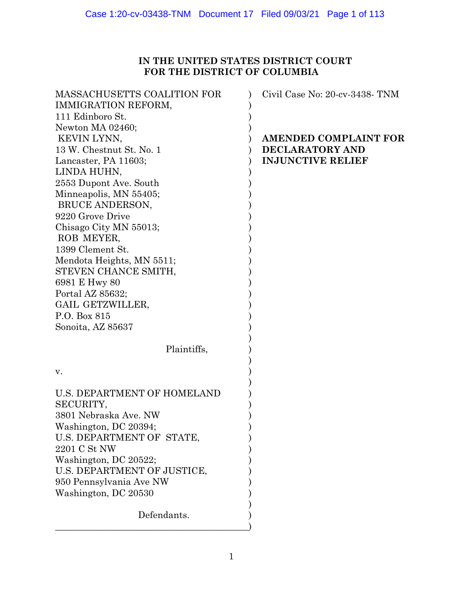# **IN THE UNITED STATES DISTRICT COURT FOR THE DISTRICT OF COLUMBIA**

| <b>MASSACHUSETTS COALITION FOR</b><br>IMMIGRATION REFORM,<br>111 Edinboro St.<br>Newton MA 02460; | Civil Case No: 20-cv-3438- TNM                                              |
|---------------------------------------------------------------------------------------------------|-----------------------------------------------------------------------------|
| KEVIN LYNN,<br>13 W. Chestnut St. No. 1<br>Lancaster, PA 11603;                                   | <b>AMENDED COMPLAINT FOR</b><br>DECLARATORY AND<br><b>INJUNCTIVE RELIEF</b> |
| LINDA HUHN,                                                                                       |                                                                             |
| 2553 Dupont Ave. South                                                                            |                                                                             |
| Minneapolis, MN 55405;                                                                            |                                                                             |
| BRUCE ANDERSON,                                                                                   |                                                                             |
| 9220 Grove Drive<br>Chisago City MN 55013;                                                        |                                                                             |
| ROB MEYER,                                                                                        |                                                                             |
| 1399 Clement St.                                                                                  |                                                                             |
| Mendota Heights, MN 5511;                                                                         |                                                                             |
| STEVEN CHANCE SMITH,                                                                              |                                                                             |
| 6981 E Hwy 80                                                                                     |                                                                             |
| Portal AZ 85632;<br>GAIL GETZWILLER,                                                              |                                                                             |
| P.O. Box 815                                                                                      |                                                                             |
| Sonoita, AZ 85637                                                                                 |                                                                             |
|                                                                                                   |                                                                             |
| Plaintiffs,                                                                                       |                                                                             |
| v.                                                                                                |                                                                             |
| <b>U.S. DEPARTMENT OF HOMELAND</b><br>SECURITY,                                                   |                                                                             |
| 3801 Nebraska Ave. NW                                                                             |                                                                             |
| Washington, DC 20394;<br>U.S. DEPARTMENT OF STATE,                                                |                                                                             |
| 2201 C St NW                                                                                      |                                                                             |
| Washington, DC 20522;                                                                             |                                                                             |
| U.S. DEPARTMENT OF JUSTICE,                                                                       |                                                                             |
| 950 Pennsylvania Ave NW                                                                           |                                                                             |
| Washington, DC 20530                                                                              |                                                                             |
| Defendants.                                                                                       |                                                                             |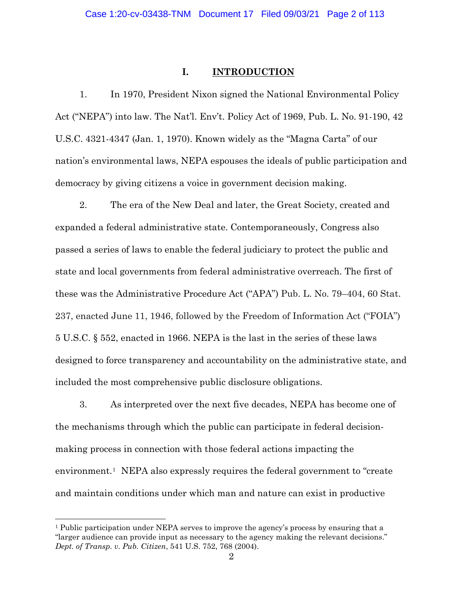## **I. INTRODUCTION**

1. In 1970, President Nixon signed the National Environmental Policy Act ("NEPA") into law. The Nat'l. Env't. Policy Act of 1969, Pub. L. No. 91-190, 42 U.S.C. 4321-4347 (Jan. 1, 1970). Known widely as the "Magna Carta" of our nation's environmental laws, NEPA espouses the ideals of public participation and democracy by giving citizens a voice in government decision making.

2. The era of the New Deal and later, the Great Society, created and expanded a federal administrative state. Contemporaneously, Congress also passed a series of laws to enable the federal judiciary to protect the public and state and local governments from federal administrative overreach. The first of these was the Administrative Procedure Act ("APA") Pub. L. No. 79–404, 60 Stat. 237, enacted June 11, 1946, followed by the Freedom of Information Act ("FOIA") 5 U.S.C. § 552, enacted in 1966. NEPA is the last in the series of these laws designed to force transparency and accountability on the administrative state, and included the most comprehensive public disclosure obligations.

3. As interpreted over the next five decades, NEPA has become one of the mechanisms through which the public can participate in federal decisionmaking process in connection with those federal actions impacting the environment.[1](#page-1-0) NEPA also expressly requires the federal government to "create and maintain conditions under which man and nature can exist in productive

<span id="page-1-0"></span><sup>1</sup> Public participation under NEPA serves to improve the agency's process by ensuring that a "larger audience can provide input as necessary to the agency making the relevant decisions." *Dept. of Transp. v. Pub. Citizen*, 541 U.S. 752, 768 (2004).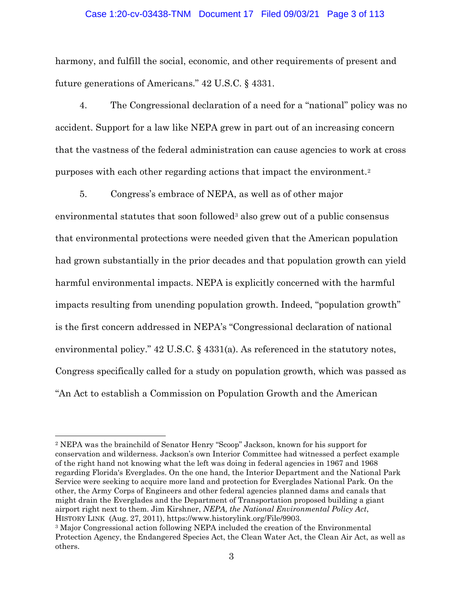## Case 1:20-cv-03438-TNM Document 17 Filed 09/03/21 Page 3 of 113

harmony, and fulfill the social, economic, and other requirements of present and future generations of Americans." 42 U.S.C. § 4331.

4. The Congressional declaration of a need for a "national" policy was no accident. Support for a law like NEPA grew in part out of an increasing concern that the vastness of the federal administration can cause agencies to work at cross purposes with each other regarding actions that impact the environment.[2](#page-2-0)

5. Congress's embrace of NEPA, as well as of other major

environmental statutes that soon followed<sup>[3](#page-2-1)</sup> also grew out of a public consensus that environmental protections were needed given that the American population had grown substantially in the prior decades and that population growth can yield harmful environmental impacts. NEPA is explicitly concerned with the harmful impacts resulting from unending population growth. Indeed, "population growth" is the first concern addressed in NEPA's "Congressional declaration of national environmental policy." 42 U.S.C. § 4331(a). As referenced in the statutory notes, Congress specifically called for a study on population growth, which was passed as "An Act to establish a Commission on Population Growth and the American

<span id="page-2-0"></span><sup>2</sup> NEPA was the brainchild of Senator Henry "Scoop" Jackson, known for his support for conservation and wilderness. Jackson's own Interior Committee had witnessed a perfect example of the right hand not knowing what the left was doing in federal agencies in 1967 and 1968 regarding Florida's Everglades. On the one hand, the Interior Department and the National Park Service were seeking to acquire more land and protection for Everglades National Park. On the other, the Army Corps of Engineers and other federal agencies planned dams and canals that might drain the Everglades and the Department of Transportation proposed building a giant airport right next to them. Jim Kirshner, *NEPA, the National Environmental Policy Act*, HISTORY LINK (Aug. 27, 2011), https://www.historylink.org/File/9903.

<span id="page-2-1"></span><sup>3</sup> Major Congressional action following NEPA included the creation of the Environmental Protection Agency, the Endangered Species Act, the Clean Water Act, the Clean Air Act, as well as others.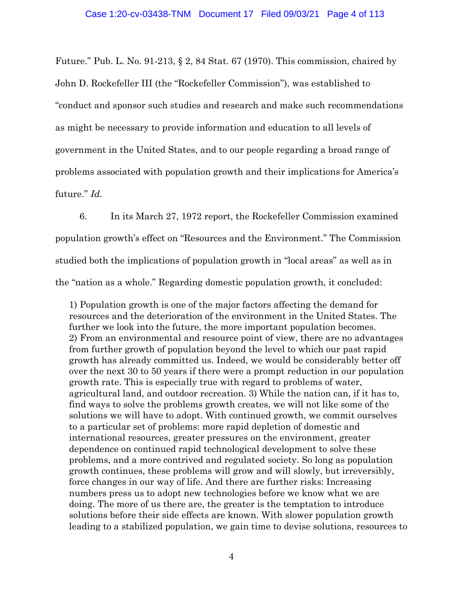Future." Pub. L. No. 91-213, § 2, 84 Stat. 67 (1970). This commission, chaired by John D. Rockefeller III (the "Rockefeller Commission"), was established to "conduct and sponsor such studies and research and make such recommendations as might be necessary to provide information and education to all levels of government in the United States, and to our people regarding a broad range of problems associated with population growth and their implications for America's future." *Id.*

6. In its March 27, 1972 report, the Rockefeller Commission examined population growth's effect on "Resources and the Environment." The Commission studied both the implications of population growth in "local areas" as well as in the "nation as a whole." Regarding domestic population growth, it concluded:

1) Population growth is one of the major factors affecting the demand for resources and the deterioration of the environment in the United States. The further we look into the future, the more important population becomes. 2) From an environmental and resource point of view, there are no advantages from further growth of population beyond the level to which our past rapid growth has already committed us. Indeed, we would be considerably better off over the next 30 to 50 years if there were a prompt reduction in our population growth rate. This is especially true with regard to problems of water, agricultural land, and outdoor recreation. 3) While the nation can, if it has to, find ways to solve the problems growth creates, we will not like some of the solutions we will have to adopt. With continued growth, we commit ourselves to a particular set of problems: more rapid depletion of domestic and international resources, greater pressures on the environment, greater dependence on continued rapid technological development to solve these problems, and a more contrived and regulated society. So long as population growth continues, these problems will grow and will slowly, but irreversibly, force changes in our way of life. And there are further risks: Increasing numbers press us to adopt new technologies before we know what we are doing. The more of us there are, the greater is the temptation to introduce solutions before their side effects are known. With slower population growth leading to a stabilized population, we gain time to devise solutions, resources to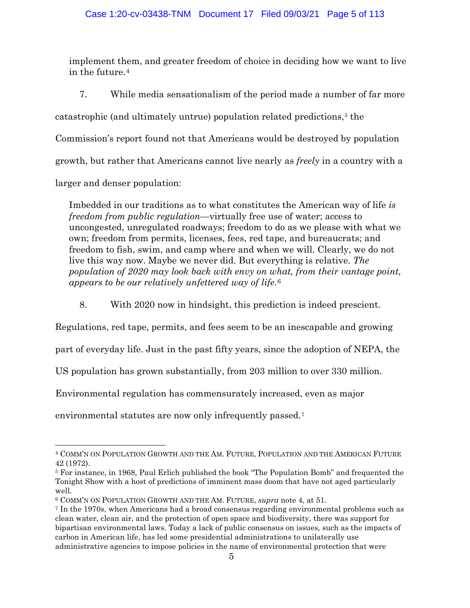implement them, and greater freedom of choice in deciding how we want to live in the future.[4](#page-4-0) 

7. While media sensationalism of the period made a number of far more

catastrophic (and ultimately untrue) population related predictions,<sup>[5](#page-4-1)</sup> the

Commission's report found not that Americans would be destroyed by population

growth, but rather that Americans cannot live nearly as *freely* in a country with a

larger and denser population:

Imbedded in our traditions as to what constitutes the American way of life *is freedom from public regulation*—virtually free use of water; access to uncongested, unregulated roadways; freedom to do as we please with what we own; freedom from permits, licenses, fees, red tape, and bureaucrats; and freedom to fish, swim, and camp where and when we will. Clearly, we do not live this way now. Maybe we never did. But everything is relative. *The population of 2020 may look back with envy on what, from their vantage point, appears to be our relatively unfettered way of life*.[6](#page-4-2)

8. With 2020 now in hindsight, this prediction is indeed prescient.

Regulations, red tape, permits, and fees seem to be an inescapable and growing

part of everyday life. Just in the past fifty years, since the adoption of NEPA, the

US population has grown substantially, from 203 million to over 330 million.

Environmental regulation has commensurately increased, even as major

environmental statutes are now only infrequently passed.<sup>[7](#page-4-3)</sup>

<span id="page-4-0"></span> $\overline{a}$ <sup>4</sup> COMM'N ON POPULATION GROWTH AND THE AM. FUTURE, POPULATION AND THE AMERICAN FUTURE 42 (1972).

<span id="page-4-1"></span><sup>5</sup> For instance, in 1968, Paul Erlich published the book "The Population Bomb" and frequented the Tonight Show with a host of predictions of imminent mass doom that have not aged particularly well.

<span id="page-4-2"></span><sup>6</sup> COMM'N ON POPULATION GROWTH AND THE AM. FUTURE, *supra* note 4, at 51.

<span id="page-4-3"></span><sup>7</sup> In the 1970s, when Americans had a broad consensus regarding environmental problems such as clean water, clean air, and the protection of open space and biodiversity, there was support for bipartisan environmental laws. Today a lack of public consensus on issues, such as the impacts of carbon in American life, has led some presidential administrations to unilaterally use administrative agencies to impose policies in the name of environmental protection that were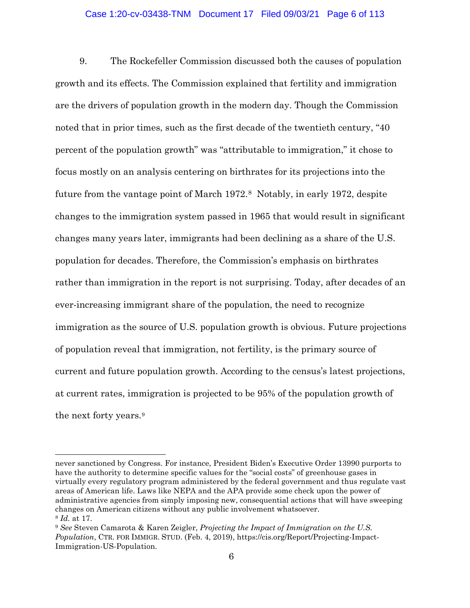## Case 1:20-cv-03438-TNM Document 17 Filed 09/03/21 Page 6 of 113

9. The Rockefeller Commission discussed both the causes of population growth and its effects. The Commission explained that fertility and immigration are the drivers of population growth in the modern day. Though the Commission noted that in prior times, such as the first decade of the twentieth century, "40 percent of the population growth" was "attributable to immigration," it chose to focus mostly on an analysis centering on birthrates for its projections into the future from the vantage point of March 1972.[8](#page-5-0) Notably, in early 1972, despite changes to the immigration system passed in 1965 that would result in significant changes many years later, immigrants had been declining as a share of the U.S. population for decades. Therefore, the Commission's emphasis on birthrates rather than immigration in the report is not surprising. Today, after decades of an ever-increasing immigrant share of the population, the need to recognize immigration as the source of U.S. population growth is obvious. Future projections of population reveal that immigration, not fertility, is the primary source of current and future population growth. According to the census's latest projections, at current rates, immigration is projected to be 95% of the population growth of the next forty years.[9](#page-5-1)

never sanctioned by Congress. For instance, President Biden's Executive Order 13990 purports to have the authority to determine specific values for the "social costs" of greenhouse gases in virtually every regulatory program administered by the federal government and thus regulate vast areas of American life. Laws like NEPA and the APA provide some check upon the power of administrative agencies from simply imposing new, consequential actions that will have sweeping changes on American citizens without any public involvement whatsoever. <sup>8</sup> *Id.* at 17.

<span id="page-5-1"></span><span id="page-5-0"></span><sup>9</sup> *See* Steven Camarota & Karen Zeigler, *Projecting the Impact of Immigration on the U.S. Population*, CTR. FOR IMMIGR. STUD. (Feb. 4, 2019), https://cis.org/Report/Projecting-Impact-Immigration-US-Population.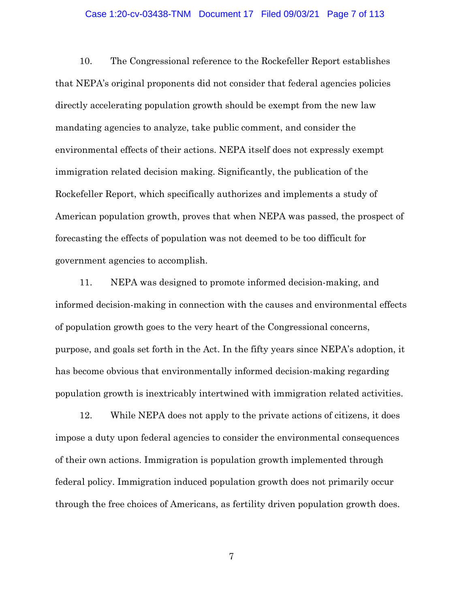### Case 1:20-cv-03438-TNM Document 17 Filed 09/03/21 Page 7 of 113

10. The Congressional reference to the Rockefeller Report establishes that NEPA's original proponents did not consider that federal agencies policies directly accelerating population growth should be exempt from the new law mandating agencies to analyze, take public comment, and consider the environmental effects of their actions. NEPA itself does not expressly exempt immigration related decision making. Significantly, the publication of the Rockefeller Report, which specifically authorizes and implements a study of American population growth, proves that when NEPA was passed, the prospect of forecasting the effects of population was not deemed to be too difficult for government agencies to accomplish.

11. NEPA was designed to promote informed decision-making, and informed decision-making in connection with the causes and environmental effects of population growth goes to the very heart of the Congressional concerns, purpose, and goals set forth in the Act. In the fifty years since NEPA's adoption, it has become obvious that environmentally informed decision-making regarding population growth is inextricably intertwined with immigration related activities.

12. While NEPA does not apply to the private actions of citizens, it does impose a duty upon federal agencies to consider the environmental consequences of their own actions. Immigration is population growth implemented through federal policy. Immigration induced population growth does not primarily occur through the free choices of Americans, as fertility driven population growth does.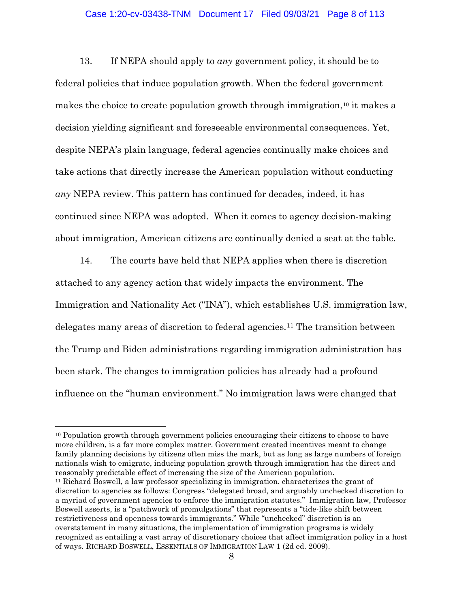## Case 1:20-cv-03438-TNM Document 17 Filed 09/03/21 Page 8 of 113

13. If NEPA should apply to *any* government policy, it should be to federal policies that induce population growth. When the federal government makes the choice to create population growth through immigration,<sup>[10](#page-7-0)</sup> it makes a decision yielding significant and foreseeable environmental consequences. Yet, despite NEPA's plain language, federal agencies continually make choices and take actions that directly increase the American population without conducting *any* NEPA review. This pattern has continued for decades, indeed, it has continued since NEPA was adopted. When it comes to agency decision-making about immigration, American citizens are continually denied a seat at the table.

14. The courts have held that NEPA applies when there is discretion attached to any agency action that widely impacts the environment. The Immigration and Nationality Act ("INA"), which establishes U.S. immigration law, delegates many areas of discretion to federal agencies.[11](#page-7-1) The transition between the Trump and Biden administrations regarding immigration administration has been stark. The changes to immigration policies has already had a profound influence on the "human environment." No immigration laws were changed that

<span id="page-7-1"></span><span id="page-7-0"></span><sup>10</sup> Population growth through government policies encouraging their citizens to choose to have more children, is a far more complex matter. Government created incentives meant to change family planning decisions by citizens often miss the mark, but as long as large numbers of foreign nationals wish to emigrate, inducing population growth through immigration has the direct and reasonably predictable effect of increasing the size of the American population. <sup>11</sup> Richard Boswell, a law professor specializing in immigration, characterizes the grant of discretion to agencies as follows: Congress "delegated broad, and arguably unchecked discretion to a myriad of government agencies to enforce the immigration statutes." Immigration law, Professor Boswell asserts, is a "patchwork of promulgations" that represents a "tide-like shift between restrictiveness and openness towards immigrants." While "unchecked" discretion is an overstatement in many situations, the implementation of immigration programs is widely recognized as entailing a vast array of discretionary choices that affect immigration policy in a host of ways. RICHARD BOSWELL, ESSENTIALS OF IMMIGRATION LAW 1 (2d ed. 2009).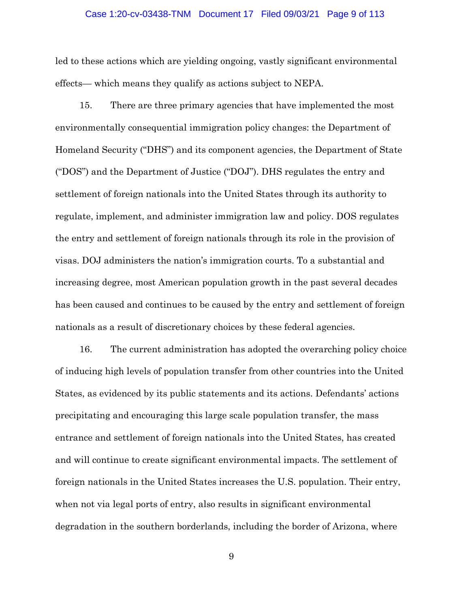### Case 1:20-cv-03438-TNM Document 17 Filed 09/03/21 Page 9 of 113

led to these actions which are yielding ongoing, vastly significant environmental effects— which means they qualify as actions subject to NEPA.

15. There are three primary agencies that have implemented the most environmentally consequential immigration policy changes: the Department of Homeland Security ("DHS") and its component agencies, the Department of State ("DOS") and the Department of Justice ("DOJ"). DHS regulates the entry and settlement of foreign nationals into the United States through its authority to regulate, implement, and administer immigration law and policy. DOS regulates the entry and settlement of foreign nationals through its role in the provision of visas. DOJ administers the nation's immigration courts. To a substantial and increasing degree, most American population growth in the past several decades has been caused and continues to be caused by the entry and settlement of foreign nationals as a result of discretionary choices by these federal agencies.

16. The current administration has adopted the overarching policy choice of inducing high levels of population transfer from other countries into the United States, as evidenced by its public statements and its actions. Defendants' actions precipitating and encouraging this large scale population transfer, the mass entrance and settlement of foreign nationals into the United States, has created and will continue to create significant environmental impacts. The settlement of foreign nationals in the United States increases the U.S. population. Their entry, when not via legal ports of entry, also results in significant environmental degradation in the southern borderlands, including the border of Arizona, where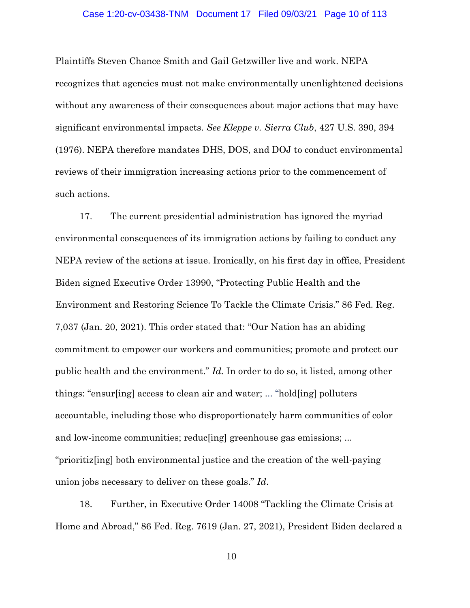## Case 1:20-cv-03438-TNM Document 17 Filed 09/03/21 Page 10 of 113

Plaintiffs Steven Chance Smith and Gail Getzwiller live and work. NEPA recognizes that agencies must not make environmentally unenlightened decisions without any awareness of their consequences about major actions that may have significant environmental impacts. *See Kleppe v. Sierra Club*, 427 U.S. 390, 394 (1976). NEPA therefore mandates DHS, DOS, and DOJ to conduct environmental reviews of their immigration increasing actions prior to the commencement of such actions.

17. The current presidential administration has ignored the myriad environmental consequences of its immigration actions by failing to conduct any NEPA review of the actions at issue. Ironically, on his first day in office, President Biden signed Executive Order 13990, "Protecting Public Health and the Environment and Restoring Science To Tackle the Climate Crisis." 86 Fed. Reg. 7,037 (Jan. 20, 2021). This order stated that: "Our Nation has an abiding commitment to empower our workers and communities; promote and protect our public health and the environment." *Id.* In order to do so, it listed, among other things: "ensur[ing] access to clean air and water; ... "hold[ing] polluters accountable, including those who disproportionately harm communities of color and low-income communities; reducting greenhouse gas emissions; ... "prioritiz[ing] both environmental justice and the creation of the well-paying union jobs necessary to deliver on these goals." *Id*.

18. Further, in Executive Order 14008 "Tackling the Climate Crisis at Home and Abroad," 86 Fed. Reg. 7619 (Jan. 27, 2021), President Biden declared a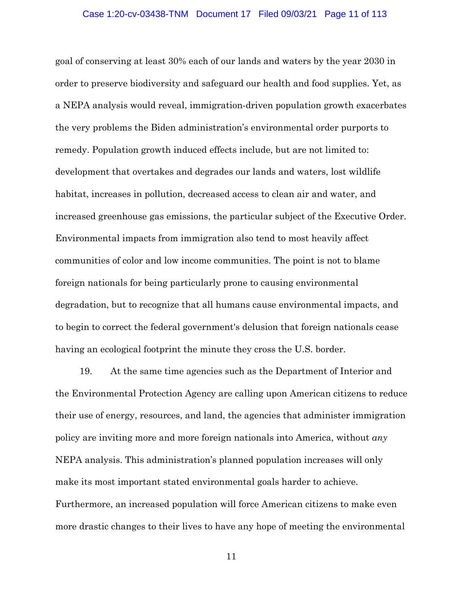## Case 1:20-cv-03438-TNM Document 17 Filed 09/03/21 Page 11 of 113

goal of conserving at least 30% each of our lands and waters by the year 2030 in order to preserve biodiversity and safeguard our health and food supplies. Yet, as a NEPA analysis would reveal, immigration-driven population growth exacerbates the very problems the Biden administration's environmental order purports to remedy. Population growth induced effects include, but are not limited to: development that overtakes and degrades our lands and waters, lost wildlife habitat, increases in pollution, decreased access to clean air and water, and increased greenhouse gas emissions, the particular subject of the Executive Order. Environmental impacts from immigration also tend to most heavily affect communities of color and low income communities. The point is not to blame foreign nationals for being particularly prone to causing environmental degradation, but to recognize that all humans cause environmental impacts, and to begin to correct the federal government's delusion that foreign nationals cease having an ecological footprint the minute they cross the U.S. border.

19. At the same time agencies such as the Department of Interior and the Environmental Protection Agency are calling upon American citizens to reduce their use of energy, resources, and land, the agencies that administer immigration policy are inviting more and more foreign nationals into America, without *any*  NEPA analysis. This administration's planned population increases will only make its most important stated environmental goals harder to achieve. Furthermore, an increased population will force American citizens to make even more drastic changes to their lives to have any hope of meeting the environmental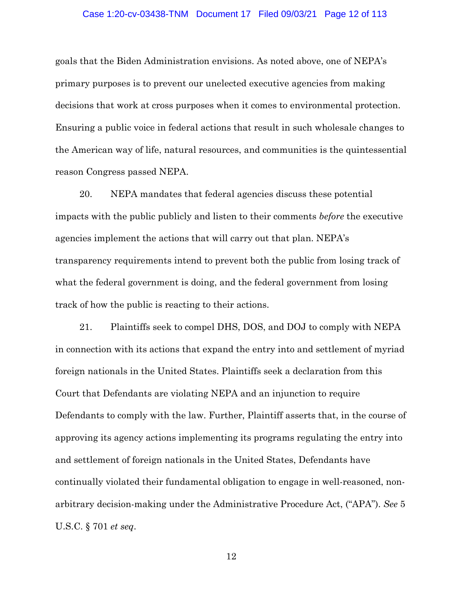## Case 1:20-cv-03438-TNM Document 17 Filed 09/03/21 Page 12 of 113

goals that the Biden Administration envisions. As noted above, one of NEPA's primary purposes is to prevent our unelected executive agencies from making decisions that work at cross purposes when it comes to environmental protection. Ensuring a public voice in federal actions that result in such wholesale changes to the American way of life, natural resources, and communities is the quintessential reason Congress passed NEPA.

20. NEPA mandates that federal agencies discuss these potential impacts with the public publicly and listen to their comments *before* the executive agencies implement the actions that will carry out that plan. NEPA's transparency requirements intend to prevent both the public from losing track of what the federal government is doing, and the federal government from losing track of how the public is reacting to their actions.

21. Plaintiffs seek to compel DHS, DOS, and DOJ to comply with NEPA in connection with its actions that expand the entry into and settlement of myriad foreign nationals in the United States. Plaintiffs seek a declaration from this Court that Defendants are violating NEPA and an injunction to require Defendants to comply with the law. Further, Plaintiff asserts that, in the course of approving its agency actions implementing its programs regulating the entry into and settlement of foreign nationals in the United States, Defendants have continually violated their fundamental obligation to engage in well-reasoned, nonarbitrary decision-making under the Administrative Procedure Act, ("APA"). *See* 5 U.S.C. § 701 *et seq*.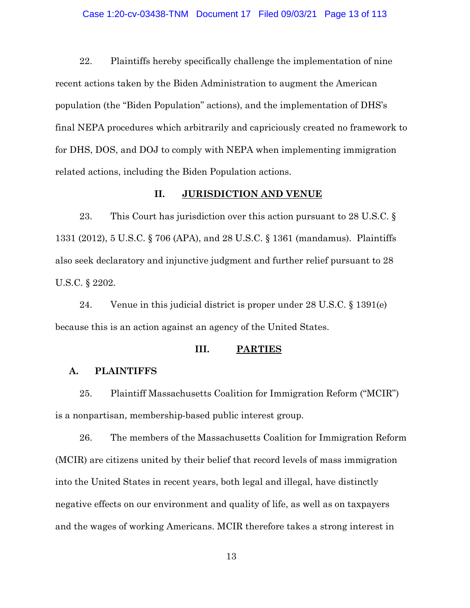## Case 1:20-cv-03438-TNM Document 17 Filed 09/03/21 Page 13 of 113

22. Plaintiffs hereby specifically challenge the implementation of nine recent actions taken by the Biden Administration to augment the American population (the "Biden Population" actions), and the implementation of DHS's final NEPA procedures which arbitrarily and capriciously created no framework to for DHS, DOS, and DOJ to comply with NEPA when implementing immigration related actions, including the Biden Population actions.

## **II. JURISDICTION AND VENUE**

23. This Court has jurisdiction over this action pursuant to 28 U.S.C. § 1331 (2012), 5 U.S.C. § 706 (APA), and 28 U.S.C. § 1361 (mandamus). Plaintiffs also seek declaratory and injunctive judgment and further relief pursuant to 28 U.S.C. § 2202.

24. Venue in this judicial district is proper under 28 U.S.C. § 1391(e) because this is an action against an agency of the United States.

## **III. PARTIES**

## **A. PLAINTIFFS**

25. Plaintiff Massachusetts Coalition for Immigration Reform ("MCIR") is a nonpartisan, membership-based public interest group.

26. The members of the Massachusetts Coalition for Immigration Reform (MCIR) are citizens united by their belief that record levels of mass immigration into the United States in recent years, both legal and illegal, have distinctly negative effects on our environment and quality of life, as well as on taxpayers and the wages of working Americans. MCIR therefore takes a strong interest in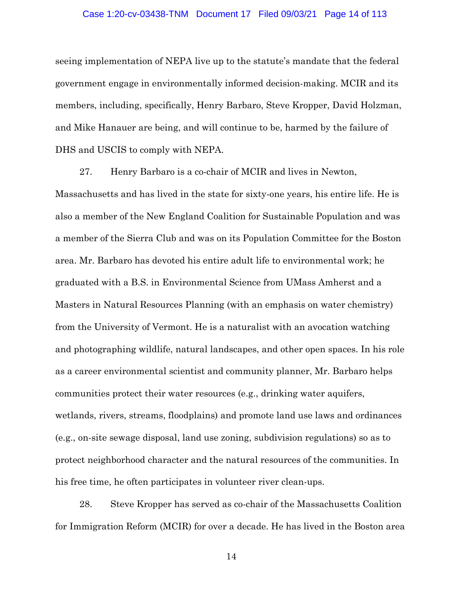#### Case 1:20-cv-03438-TNM Document 17 Filed 09/03/21 Page 14 of 113

seeing implementation of NEPA live up to the statute's mandate that the federal government engage in environmentally informed decision-making. MCIR and its members, including, specifically, Henry Barbaro, Steve Kropper, David Holzman, and Mike Hanauer are being, and will continue to be, harmed by the failure of DHS and USCIS to comply with NEPA.

27. Henry Barbaro is a co-chair of MCIR and lives in Newton, Massachusetts and has lived in the state for sixty-one years, his entire life. He is also a member of the New England Coalition for Sustainable Population and was a member of the Sierra Club and was on its Population Committee for the Boston area. Mr. Barbaro has devoted his entire adult life to environmental work; he graduated with a B.S. in Environmental Science from UMass Amherst and a Masters in Natural Resources Planning (with an emphasis on water chemistry) from the University of Vermont. He is a naturalist with an avocation watching and photographing wildlife, natural landscapes, and other open spaces. In his role as a career environmental scientist and community planner, Mr. Barbaro helps communities protect their water resources (e.g., drinking water aquifers, wetlands, rivers, streams, floodplains) and promote land use laws and ordinances (e.g., on-site sewage disposal, land use zoning, subdivision regulations) so as to protect neighborhood character and the natural resources of the communities. In his free time, he often participates in volunteer river clean-ups.

28. Steve Kropper has served as co-chair of the Massachusetts Coalition for Immigration Reform (MCIR) for over a decade. He has lived in the Boston area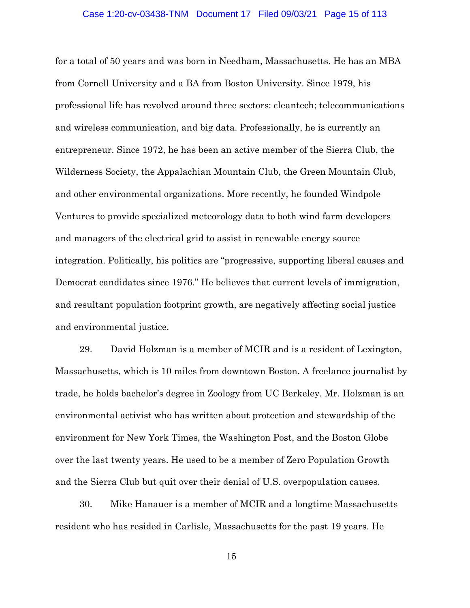#### Case 1:20-cv-03438-TNM Document 17 Filed 09/03/21 Page 15 of 113

for a total of 50 years and was born in Needham, Massachusetts. He has an MBA from Cornell University and a BA from Boston University. Since 1979, his professional life has revolved around three sectors: cleantech; telecommunications and wireless communication, and big data. Professionally, he is currently an entrepreneur. Since 1972, he has been an active member of the Sierra Club, the Wilderness Society, the Appalachian Mountain Club, the Green Mountain Club, and other environmental organizations. More recently, he founded Windpole Ventures to provide specialized meteorology data to both wind farm developers and managers of the electrical grid to assist in renewable energy source integration. Politically, his politics are "progressive, supporting liberal causes and Democrat candidates since 1976." He believes that current levels of immigration, and resultant population footprint growth, are negatively affecting social justice and environmental justice.

29. David Holzman is a member of MCIR and is a resident of Lexington, Massachusetts, which is 10 miles from downtown Boston. A freelance journalist by trade, he holds bachelor's degree in Zoology from UC Berkeley. Mr. Holzman is an environmental activist who has written about protection and stewardship of the environment for New York Times, the Washington Post, and the Boston Globe over the last twenty years. He used to be a member of Zero Population Growth and the Sierra Club but quit over their denial of U.S. overpopulation causes.

30. Mike Hanauer is a member of MCIR and a longtime Massachusetts resident who has resided in Carlisle, Massachusetts for the past 19 years. He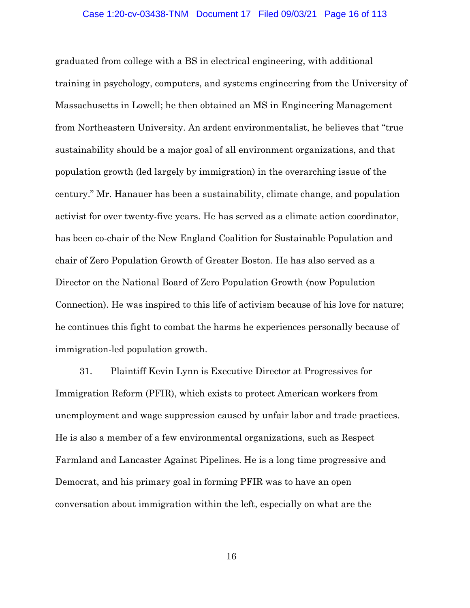#### Case 1:20-cv-03438-TNM Document 17 Filed 09/03/21 Page 16 of 113

graduated from college with a BS in electrical engineering, with additional training in psychology, computers, and systems engineering from the University of Massachusetts in Lowell; he then obtained an MS in Engineering Management from Northeastern University. An ardent environmentalist, he believes that "true sustainability should be a major goal of all environment organizations, and that population growth (led largely by immigration) in the overarching issue of the century." Mr. Hanauer has been a sustainability, climate change, and population activist for over twenty-five years. He has served as a climate action coordinator, has been co-chair of the New England Coalition for Sustainable Population and chair of Zero Population Growth of Greater Boston. He has also served as a Director on the National Board of Zero Population Growth (now Population Connection). He was inspired to this life of activism because of his love for nature; he continues this fight to combat the harms he experiences personally because of immigration-led population growth.

31. Plaintiff Kevin Lynn is Executive Director at Progressives for Immigration Reform (PFIR), which exists to protect American workers from unemployment and wage suppression caused by unfair labor and trade practices. He is also a member of a few environmental organizations, such as Respect Farmland and Lancaster Against Pipelines. He is a long time progressive and Democrat, and his primary goal in forming PFIR was to have an open conversation about immigration within the left, especially on what are the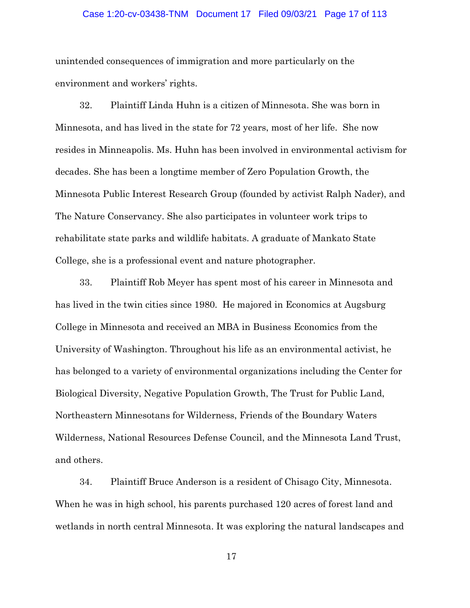#### Case 1:20-cv-03438-TNM Document 17 Filed 09/03/21 Page 17 of 113

unintended consequences of immigration and more particularly on the environment and workers' rights.

32. Plaintiff Linda Huhn is a citizen of Minnesota. She was born in Minnesota, and has lived in the state for 72 years, most of her life. She now resides in Minneapolis. Ms. Huhn has been involved in environmental activism for decades. She has been a longtime member of Zero Population Growth, the Minnesota Public Interest Research Group (founded by activist Ralph Nader), and The Nature Conservancy. She also participates in volunteer work trips to rehabilitate state parks and wildlife habitats. A graduate of Mankato State College, she is a professional event and nature photographer.

33. Plaintiff Rob Meyer has spent most of his career in Minnesota and has lived in the twin cities since 1980. He majored in Economics at Augsburg College in Minnesota and received an MBA in Business Economics from the University of Washington. Throughout his life as an environmental activist, he has belonged to a variety of environmental organizations including the Center for Biological Diversity, Negative Population Growth, The Trust for Public Land, Northeastern Minnesotans for Wilderness, Friends of the Boundary Waters Wilderness, National Resources Defense Council, and the Minnesota Land Trust, and others.

34. Plaintiff Bruce Anderson is a resident of Chisago City, Minnesota. When he was in high school, his parents purchased 120 acres of forest land and wetlands in north central Minnesota. It was exploring the natural landscapes and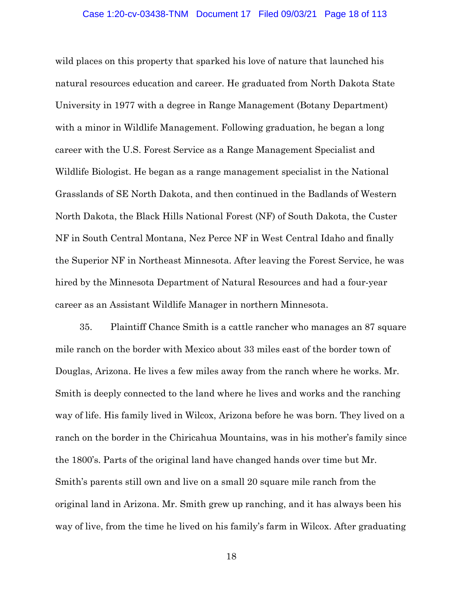wild places on this property that sparked his love of nature that launched his natural resources education and career. He graduated from North Dakota State University in 1977 with a degree in Range Management (Botany Department) with a minor in Wildlife Management. Following graduation, he began a long career with the U.S. Forest Service as a Range Management Specialist and Wildlife Biologist. He began as a range management specialist in the National Grasslands of SE North Dakota, and then continued in the Badlands of Western North Dakota, the Black Hills National Forest (NF) of South Dakota, the Custer NF in South Central Montana, Nez Perce NF in West Central Idaho and finally the Superior NF in Northeast Minnesota. After leaving the Forest Service, he was hired by the Minnesota Department of Natural Resources and had a four-year career as an Assistant Wildlife Manager in northern Minnesota.

35. Plaintiff Chance Smith is a cattle rancher who manages an 87 square mile ranch on the border with Mexico about 33 miles east of the border town of Douglas, Arizona. He lives a few miles away from the ranch where he works. Mr. Smith is deeply connected to the land where he lives and works and the ranching way of life. His family lived in Wilcox, Arizona before he was born. They lived on a ranch on the border in the Chiricahua Mountains, was in his mother's family since the 1800's. Parts of the original land have changed hands over time but Mr. Smith's parents still own and live on a small 20 square mile ranch from the original land in Arizona. Mr. Smith grew up ranching, and it has always been his way of live, from the time he lived on his family's farm in Wilcox. After graduating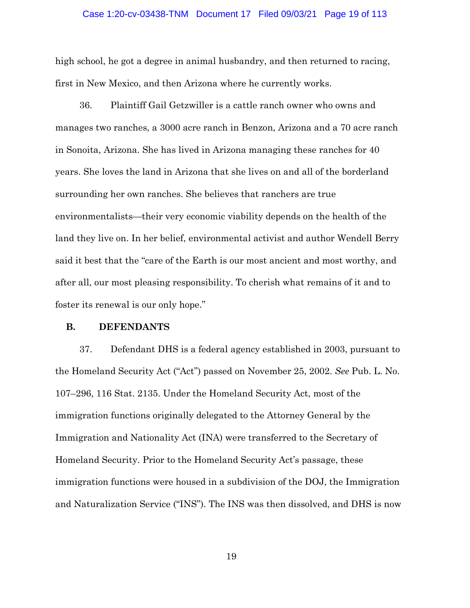#### Case 1:20-cv-03438-TNM Document 17 Filed 09/03/21 Page 19 of 113

high school, he got a degree in animal husbandry, and then returned to racing, first in New Mexico, and then Arizona where he currently works.

36. Plaintiff Gail Getzwiller is a cattle ranch owner who owns and manages two ranches, a 3000 acre ranch in Benzon, Arizona and a 70 acre ranch in Sonoita, Arizona. She has lived in Arizona managing these ranches for 40 years. She loves the land in Arizona that she lives on and all of the borderland surrounding her own ranches. She believes that ranchers are true environmentalists—their very economic viability depends on the health of the land they live on. In her belief, environmental activist and author Wendell Berry said it best that the "care of the Earth is our most ancient and most worthy, and after all, our most pleasing responsibility. To cherish what remains of it and to foster its renewal is our only hope."

#### **B. DEFENDANTS**

37. Defendant DHS is a federal agency established in 2003, pursuant to the Homeland Security Act ("Act") passed on November 25, 2002. *See* Pub. L. No. 107–296, 116 Stat. 2135. Under the Homeland Security Act, most of the immigration functions originally delegated to the Attorney General by the Immigration and Nationality Act (INA) were transferred to the Secretary of Homeland Security. Prior to the Homeland Security Act's passage, these immigration functions were housed in a subdivision of the DOJ, the Immigration and Naturalization Service ("INS"). The INS was then dissolved, and DHS is now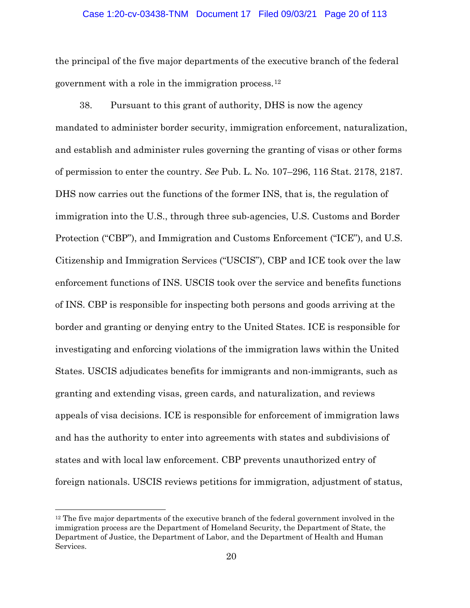## Case 1:20-cv-03438-TNM Document 17 Filed 09/03/21 Page 20 of 113

the principal of the five major departments of the executive branch of the federal government with a role in the immigration process.[12](#page-19-0)

38. Pursuant to this grant of authority, DHS is now the agency mandated to administer border security, immigration enforcement, naturalization, and establish and administer rules governing the granting of visas or other forms of permission to enter the country. *See* Pub. L. No. 107–296, 116 Stat. 2178, 2187. DHS now carries out the functions of the former INS, that is, the regulation of immigration into the U.S., through three sub-agencies, U.S. Customs and Border Protection ("CBP"), and Immigration and Customs Enforcement ("ICE"), and U.S. Citizenship and Immigration Services ("USCIS"), CBP and ICE took over the law enforcement functions of INS. USCIS took over the service and benefits functions of INS. CBP is responsible for inspecting both persons and goods arriving at the border and granting or denying entry to the United States. ICE is responsible for investigating and enforcing violations of the immigration laws within the United States. USCIS adjudicates benefits for immigrants and non-immigrants, such as granting and extending visas, green cards, and naturalization, and reviews appeals of visa decisions. ICE is responsible for enforcement of immigration laws and has the authority to enter into agreements with states and subdivisions of states and with local law enforcement. CBP prevents unauthorized entry of foreign nationals. USCIS reviews petitions for immigration, adjustment of status,

<span id="page-19-0"></span> $12$  The five major departments of the executive branch of the federal government involved in the immigration process are the Department of Homeland Security, the Department of State, the Department of Justice, the Department of Labor, and the Department of Health and Human Services.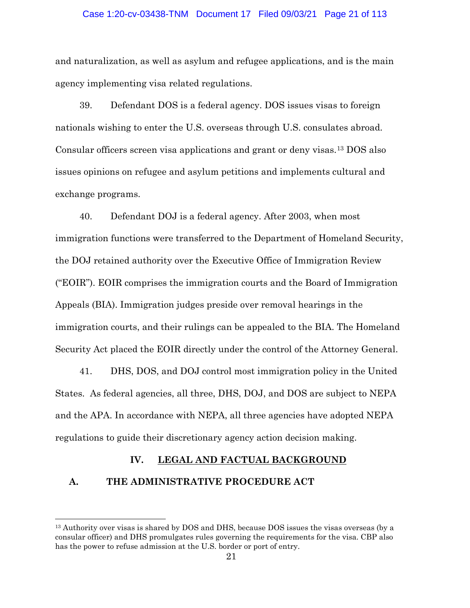## Case 1:20-cv-03438-TNM Document 17 Filed 09/03/21 Page 21 of 113

and naturalization, as well as asylum and refugee applications, and is the main agency implementing visa related regulations.

39. Defendant DOS is a federal agency. DOS issues visas to foreign nationals wishing to enter the U.S. overseas through U.S. consulates abroad. Consular officers screen visa applications and grant or deny visas.[13](#page-20-0) DOS also issues opinions on refugee and asylum petitions and implements cultural and exchange programs.

40. Defendant DOJ is a federal agency. After 2003, when most immigration functions were transferred to the Department of Homeland Security, the DOJ retained authority over the Executive Office of Immigration Review ("EOIR"). EOIR comprises the immigration courts and the Board of Immigration Appeals (BIA). Immigration judges preside over removal hearings in the immigration courts, and their rulings can be appealed to the BIA. The Homeland Security Act placed the EOIR directly under the control of the Attorney General.

41. DHS, DOS, and DOJ control most immigration policy in the United States. As federal agencies, all three, DHS, DOJ, and DOS are subject to NEPA and the APA. In accordance with NEPA, all three agencies have adopted NEPA regulations to guide their discretionary agency action decision making.

## **IV. LEGAL AND FACTUAL BACKGROUND**

## **A. THE ADMINISTRATIVE PROCEDURE ACT**

<span id="page-20-0"></span><sup>&</sup>lt;sup>13</sup> Authority over visas is shared by DOS and DHS, because DOS issues the visas overseas (by a consular officer) and DHS promulgates rules governing the requirements for the visa. CBP also has the power to refuse admission at the U.S. border or port of entry.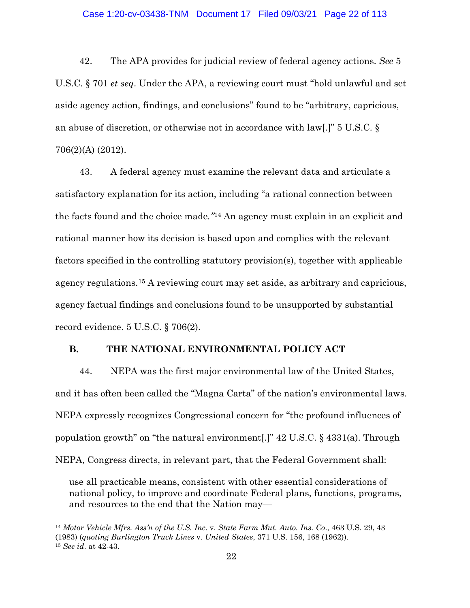42. The APA provides for judicial review of federal agency actions. *See* 5 U.S.C. § 701 *et seq*. Under the APA, a reviewing court must "hold unlawful and set aside agency action, findings, and conclusions" found to be "arbitrary, capricious, an abuse of discretion, or otherwise not in accordance with law[.]" 5 U.S.C. § 706(2)(A) (2012).

43. A federal agency must examine the relevant data and articulate a satisfactory explanation for its action, including "a rational connection between the facts found and the choice made*."*[14](#page-21-0) An agency must explain in an explicit and rational manner how its decision is based upon and complies with the relevant factors specified in the controlling statutory provision(s), together with applicable agency regulations.[15](#page-21-1) A reviewing court may set aside, as arbitrary and capricious, agency factual findings and conclusions found to be unsupported by substantial record evidence. 5 U.S.C. § 706(2).

## **B. THE NATIONAL ENVIRONMENTAL POLICY ACT**

44. NEPA was the first major environmental law of the United States, and it has often been called the "Magna Carta" of the nation's environmental laws. NEPA expressly recognizes Congressional concern for "the profound influences of population growth" on "the natural environment[.]" 42 U.S.C. § 4331(a). Through NEPA, Congress directs, in relevant part, that the Federal Government shall:

use all practicable means, consistent with other essential considerations of national policy, to improve and coordinate Federal plans, functions, programs, and resources to the end that the Nation may—

<span id="page-21-1"></span><span id="page-21-0"></span><sup>14</sup> *Motor Vehicle Mfrs. Ass'n of the U.S. Inc.* v. *State Farm Mut. Auto. Ins. Co*., 463 U.S. 29, 43 (1983) (*quoting Burlington Truck Lines* v. *United States*, 371 U.S. 156, 168 (1962)). <sup>15</sup> *See id*. at 42-43.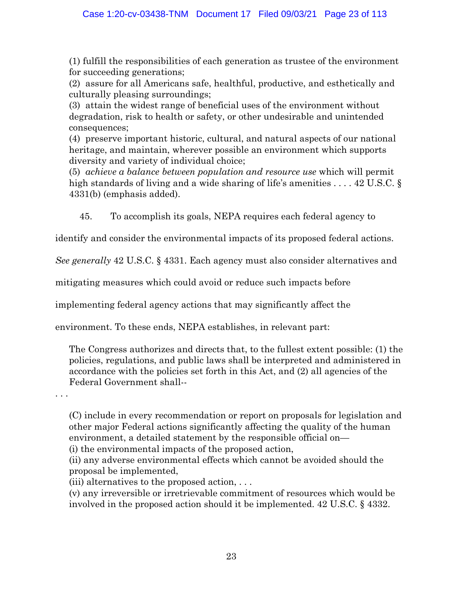(1) fulfill the responsibilities of each generation as trustee of the environment for succeeding generations;

(2) assure for all Americans safe, healthful, productive, and esthetically and culturally pleasing surroundings;

(3) attain the widest range of beneficial uses of the environment without degradation, risk to health or safety, or other undesirable and unintended consequences;

(4) preserve important historic, cultural, and natural aspects of our national heritage, and maintain, wherever possible an environment which supports diversity and variety of individual choice;

(5) *achieve a balance between population and resource use* which will permit high standards of living and a wide sharing of life's amenities ... . 42 U.S.C. § 4331(b) (emphasis added).

45. To accomplish its goals, NEPA requires each federal agency to

identify and consider the environmental impacts of its proposed federal actions.

*See generally* 42 U.S.C. § 4331. Each agency must also consider alternatives and

mitigating measures which could avoid or reduce such impacts before

implementing federal agency actions that may significantly affect the

environment. To these ends, NEPA establishes, in relevant part:

The Congress authorizes and directs that, to the fullest extent possible: (1) the policies, regulations, and public laws shall be interpreted and administered in accordance with the policies set forth in this Act, and (2) all agencies of the Federal Government shall--

. . .

(C) include in every recommendation or report on proposals for legislation and other major Federal actions significantly affecting the quality of the human environment, a detailed statement by the responsible official on—

(i) the environmental impacts of the proposed action,

(ii) any adverse environmental effects which cannot be avoided should the proposal be implemented,

(iii) alternatives to the proposed action,  $\dots$ 

(v) any irreversible or irretrievable commitment of resources which would be involved in the proposed action should it be implemented. 42 U.S.C. § 4332.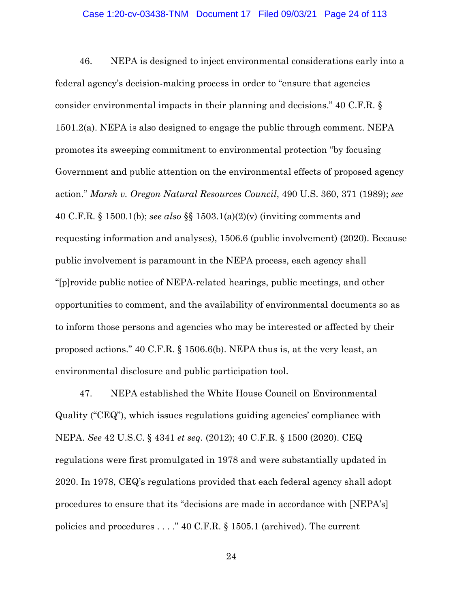46. NEPA is designed to inject environmental considerations early into a federal agency's decision-making process in order to "ensure that agencies consider environmental impacts in their planning and decisions." 40 C.F.R. § 1501.2(a). NEPA is also designed to engage the public through comment. NEPA promotes its sweeping commitment to environmental protection "by focusing Government and public attention on the environmental effects of proposed agency action." *Marsh v. Oregon Natural Resources Council*, 490 U.S. 360, 371 (1989); *see* 40 C.F.R. § 1500.1(b); *see also* §§ 1503.1(a)(2)(v) (inviting comments and requesting information and analyses), 1506.6 (public involvement) (2020). Because public involvement is paramount in the NEPA process, each agency shall "[p]rovide public notice of NEPA-related hearings, public meetings, and other opportunities to comment, and the availability of environmental documents so as to inform those persons and agencies who may be interested or affected by their proposed actions." 40 C.F.R. § 1506.6(b). NEPA thus is, at the very least, an environmental disclosure and public participation tool.

47. NEPA established the White House Council on Environmental Quality ("CEQ"), which issues regulations guiding agencies' compliance with NEPA. *See* 42 U.S.C. § 4341 *et seq.* (2012); 40 C.F.R. § 1500 (2020). CEQ regulations were first promulgated in 1978 and were substantially updated in 2020. In 1978, CEQ's regulations provided that each federal agency shall adopt procedures to ensure that its "decisions are made in accordance with [NEPA's] policies and procedures . . . ." 40 C.F.R. § 1505.1 (archived). The current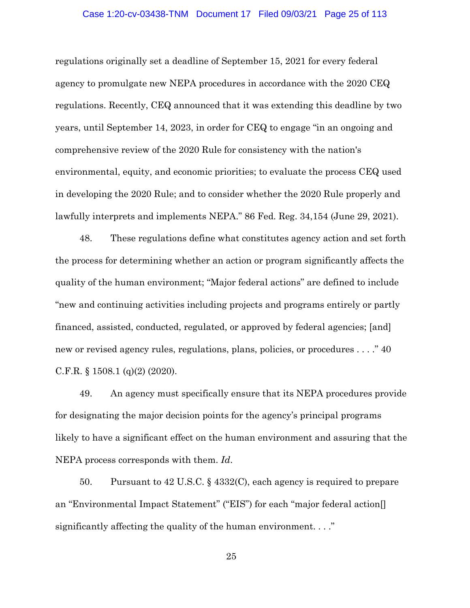## Case 1:20-cv-03438-TNM Document 17 Filed 09/03/21 Page 25 of 113

regulations originally set a deadline of September 15, 2021 for every federal agency to promulgate new NEPA procedures in accordance with the 2020 CEQ regulations. Recently, CEQ announced that it was extending this deadline by two years, until September 14, 2023, in order for CEQ to engage "in an ongoing and comprehensive review of the 2020 Rule for consistency with the nation's environmental, equity, and economic priorities; to evaluate the process CEQ used in developing the 2020 Rule; and to consider whether the 2020 Rule properly and lawfully interprets and implements NEPA." 86 Fed. Reg. 34,154 (June 29, 2021).

48. These regulations define what constitutes agency action and set forth the process for determining whether an action or program significantly affects the quality of the human environment; "Major federal actions" are defined to include "new and continuing activities including projects and programs entirely or partly financed, assisted, conducted, regulated, or approved by federal agencies; [and] new or revised agency rules, regulations, plans, policies, or procedures . . . ." 40 C.F.R.  $\S$  1508.1 (q)(2) (2020).

49. An agency must specifically ensure that its NEPA procedures provide for designating the major decision points for the agency's principal programs likely to have a significant effect on the human environment and assuring that the NEPA process corresponds with them. *Id*.

50. Pursuant to 42 U.S.C. § 4332(C), each agency is required to prepare an "Environmental Impact Statement" ("EIS") for each "major federal action[] significantly affecting the quality of the human environment. . . ."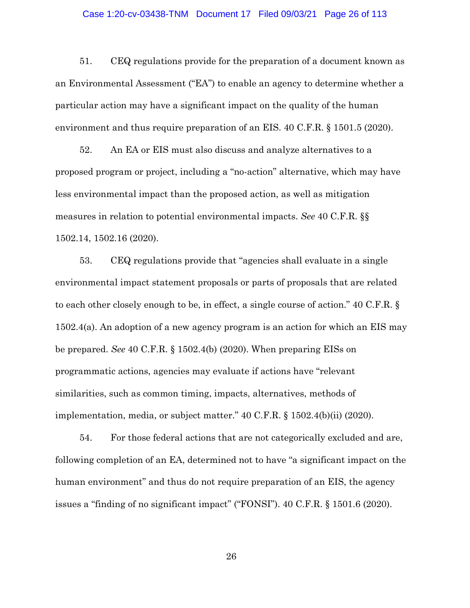### Case 1:20-cv-03438-TNM Document 17 Filed 09/03/21 Page 26 of 113

51. CEQ regulations provide for the preparation of a document known as an Environmental Assessment ("EA") to enable an agency to determine whether a particular action may have a significant impact on the quality of the human environment and thus require preparation of an EIS. 40 C.F.R. § 1501.5 (2020).

52. An EA or EIS must also discuss and analyze alternatives to a proposed program or project, including a "no-action" alternative, which may have less environmental impact than the proposed action, as well as mitigation measures in relation to potential environmental impacts. *See* 40 C.F.R. §§ 1502.14, 1502.16 (2020).

53. CEQ regulations provide that "agencies shall evaluate in a single environmental impact statement proposals or parts of proposals that are related to each other closely enough to be, in effect, a single course of action." 40 C.F.R. § 1502.4(a). An adoption of a new agency program is an action for which an EIS may be prepared. *See* 40 C.F.R. § 1502.4(b) (2020). When preparing EISs on programmatic actions, agencies may evaluate if actions have "relevant similarities, such as common timing, impacts, alternatives, methods of implementation, media, or subject matter." 40 C.F.R. § 1502.4(b)(ii) (2020).

54. For those federal actions that are not categorically excluded and are, following completion of an EA, determined not to have "a significant impact on the human environment" and thus do not require preparation of an EIS, the agency issues a "finding of no significant impact" ("FONSI"). 40 C.F.R. § 1501.6 (2020).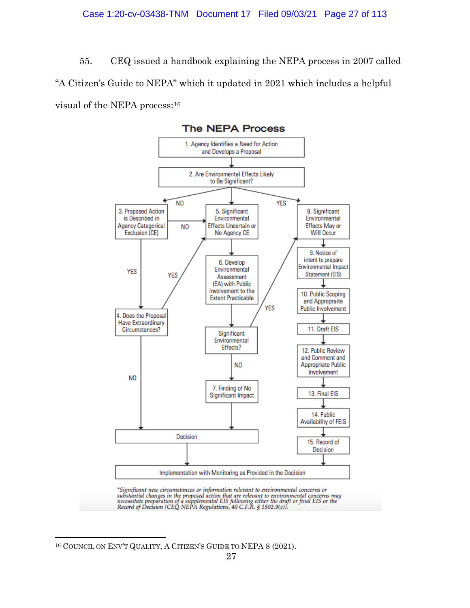55. CEQ issued a handbook explaining the NEPA process in 2007 called "A Citizen's Guide to NEPA" which it updated in 2021 which includes a helpful visual of the NEPA process:[16](#page-26-0)



\*Significant new circumstances or information relevant to environmental concerns or substantial changes in the proposed action that are relevant to environmental concerns may<br>necessitate preparation of a supplemental EIS following either the draft or final EIS or the<br>Record of Decision (CEQ NEPA Regulatio

<span id="page-26-0"></span><sup>16</sup> COUNCIL ON ENV'T QUALITY, A CITIZEN'S GUIDE TO NEPA 8 (2021).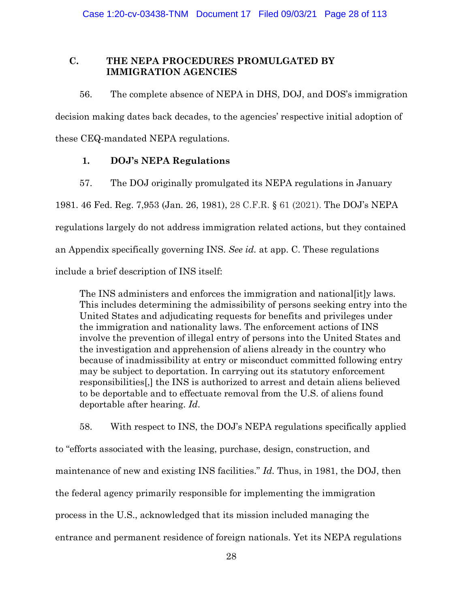# **C. THE NEPA PROCEDURES PROMULGATED BY IMMIGRATION AGENCIES**

56. The complete absence of NEPA in DHS, DOJ, and DOS's immigration

decision making dates back decades, to the agencies' respective initial adoption of

these CEQ-mandated NEPA regulations.

# **1. DOJ's NEPA Regulations**

57. The DOJ originally promulgated its NEPA regulations in January

1981. 46 Fed. Reg. 7,953 (Jan. 26, 1981), 28 C.F.R. § 61 (2021). The DOJ's NEPA regulations largely do not address immigration related actions, but they contained an Appendix specifically governing INS. *See id.* at app. C. These regulations include a brief description of INS itself:

The INS administers and enforces the immigration and national[it]y laws. This includes determining the admissibility of persons seeking entry into the United States and adjudicating requests for benefits and privileges under the immigration and nationality laws. The enforcement actions of INS involve the prevention of illegal entry of persons into the United States and the investigation and apprehension of aliens already in the country who because of inadmissibility at entry or misconduct committed following entry may be subject to deportation. In carrying out its statutory enforcement responsibilities[,] the INS is authorized to arrest and detain aliens believed to be deportable and to effectuate removal from the U.S. of aliens found deportable after hearing. *Id*.

58. With respect to INS, the DOJ's NEPA regulations specifically applied to "efforts associated with the leasing, purchase, design, construction, and maintenance of new and existing INS facilities." *Id.* Thus, in 1981, the DOJ, then the federal agency primarily responsible for implementing the immigration process in the U.S., acknowledged that its mission included managing the entrance and permanent residence of foreign nationals. Yet its NEPA regulations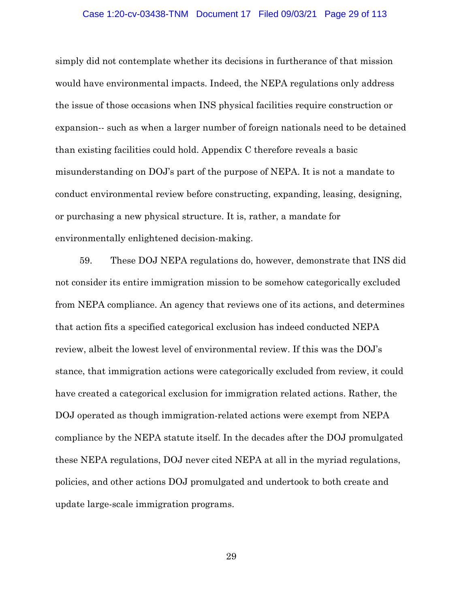#### Case 1:20-cv-03438-TNM Document 17 Filed 09/03/21 Page 29 of 113

simply did not contemplate whether its decisions in furtherance of that mission would have environmental impacts. Indeed, the NEPA regulations only address the issue of those occasions when INS physical facilities require construction or expansion-- such as when a larger number of foreign nationals need to be detained than existing facilities could hold. Appendix C therefore reveals a basic misunderstanding on DOJ's part of the purpose of NEPA. It is not a mandate to conduct environmental review before constructing, expanding, leasing, designing, or purchasing a new physical structure. It is, rather, a mandate for environmentally enlightened decision-making.

59. These DOJ NEPA regulations do, however, demonstrate that INS did not consider its entire immigration mission to be somehow categorically excluded from NEPA compliance. An agency that reviews one of its actions, and determines that action fits a specified categorical exclusion has indeed conducted NEPA review, albeit the lowest level of environmental review. If this was the DOJ's stance, that immigration actions were categorically excluded from review, it could have created a categorical exclusion for immigration related actions. Rather, the DOJ operated as though immigration-related actions were exempt from NEPA compliance by the NEPA statute itself. In the decades after the DOJ promulgated these NEPA regulations, DOJ never cited NEPA at all in the myriad regulations, policies, and other actions DOJ promulgated and undertook to both create and update large-scale immigration programs.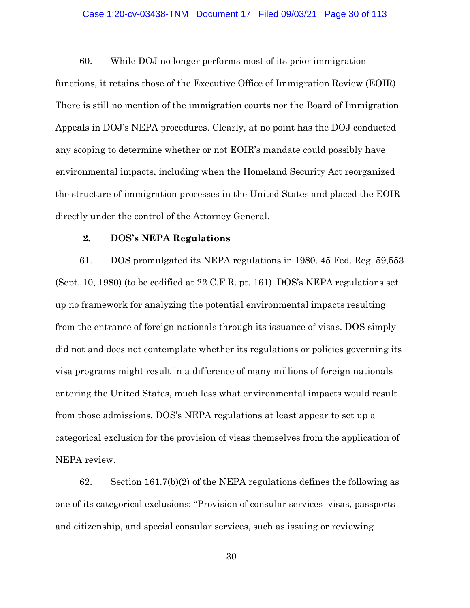## Case 1:20-cv-03438-TNM Document 17 Filed 09/03/21 Page 30 of 113

60. While DOJ no longer performs most of its prior immigration functions, it retains those of the Executive Office of Immigration Review (EOIR). There is still no mention of the immigration courts nor the Board of Immigration Appeals in DOJ's NEPA procedures. Clearly, at no point has the DOJ conducted any scoping to determine whether or not EOIR's mandate could possibly have environmental impacts, including when the Homeland Security Act reorganized the structure of immigration processes in the United States and placed the EOIR directly under the control of the Attorney General.

## **2. DOS's NEPA Regulations**

61. DOS promulgated its NEPA regulations in 1980. 45 Fed. Reg. 59,553 (Sept. 10, 1980) (to be codified at 22 C.F.R. pt. 161). DOS's NEPA regulations set up no framework for analyzing the potential environmental impacts resulting from the entrance of foreign nationals through its issuance of visas. DOS simply did not and does not contemplate whether its regulations or policies governing its visa programs might result in a difference of many millions of foreign nationals entering the United States, much less what environmental impacts would result from those admissions. DOS's NEPA regulations at least appear to set up a categorical exclusion for the provision of visas themselves from the application of NEPA review.

62. Section  $161.7(b)(2)$  of the NEPA regulations defines the following as one of its categorical exclusions: "Provision of consular services–visas, passports and citizenship, and special consular services, such as issuing or reviewing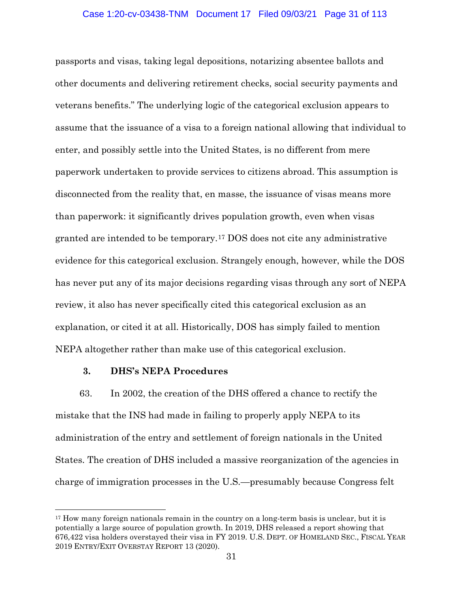passports and visas, taking legal depositions, notarizing absentee ballots and other documents and delivering retirement checks, social security payments and veterans benefits." The underlying logic of the categorical exclusion appears to assume that the issuance of a visa to a foreign national allowing that individual to enter, and possibly settle into the United States, is no different from mere paperwork undertaken to provide services to citizens abroad. This assumption is disconnected from the reality that, en masse, the issuance of visas means more than paperwork: it significantly drives population growth, even when visas granted are intended to be temporary.[17](#page-30-0) DOS does not cite any administrative evidence for this categorical exclusion. Strangely enough, however, while the DOS has never put any of its major decisions regarding visas through any sort of NEPA review, it also has never specifically cited this categorical exclusion as an explanation, or cited it at all. Historically, DOS has simply failed to mention NEPA altogether rather than make use of this categorical exclusion.

## **3. DHS's NEPA Procedures**

 $\overline{a}$ 

63. In 2002, the creation of the DHS offered a chance to rectify the mistake that the INS had made in failing to properly apply NEPA to its administration of the entry and settlement of foreign nationals in the United States. The creation of DHS included a massive reorganization of the agencies in charge of immigration processes in the U.S.—presumably because Congress felt

<span id="page-30-0"></span> $17$  How many foreign nationals remain in the country on a long-term basis is unclear, but it is potentially a large source of population growth. In 2019, DHS released a report showing that 676,422 visa holders overstayed their visa in FY 2019. U.S. DEPT. OF HOMELAND SEC., FISCAL YEAR 2019 ENTRY/EXIT OVERSTAY REPORT 13 (2020).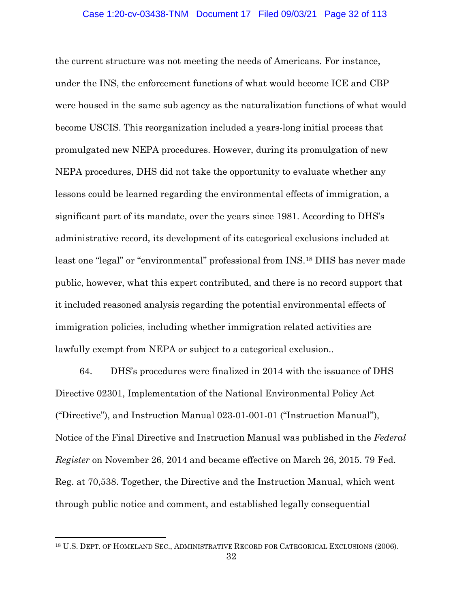the current structure was not meeting the needs of Americans. For instance, under the INS, the enforcement functions of what would become ICE and CBP were housed in the same sub agency as the naturalization functions of what would become USCIS. This reorganization included a years-long initial process that promulgated new NEPA procedures. However, during its promulgation of new NEPA procedures, DHS did not take the opportunity to evaluate whether any lessons could be learned regarding the environmental effects of immigration, a significant part of its mandate, over the years since 1981. According to DHS's administrative record, its development of its categorical exclusions included at least one "legal" or "environmental" professional from INS.[18](#page-31-0) DHS has never made public, however, what this expert contributed, and there is no record support that it included reasoned analysis regarding the potential environmental effects of immigration policies, including whether immigration related activities are lawfully exempt from NEPA or subject to a categorical exclusion..

64. DHS's procedures were finalized in 2014 with the issuance of DHS Directive 02301, Implementation of the National Environmental Policy Act ("Directive"), and Instruction Manual 023-01-001-01 ("Instruction Manual"), Notice of the Final Directive and Instruction Manual was published in the *Federal Register* on November 26, 2014 and became effective on March 26, 2015. 79 Fed. Reg. at 70,538. Together, the Directive and the Instruction Manual, which went through public notice and comment, and established legally consequential

<span id="page-31-0"></span><sup>&</sup>lt;sup>18</sup> U.S. DEPT. OF HOMELAND SEC., ADMINISTRATIVE RECORD FOR CATEGORICAL EXCLUSIONS (2006).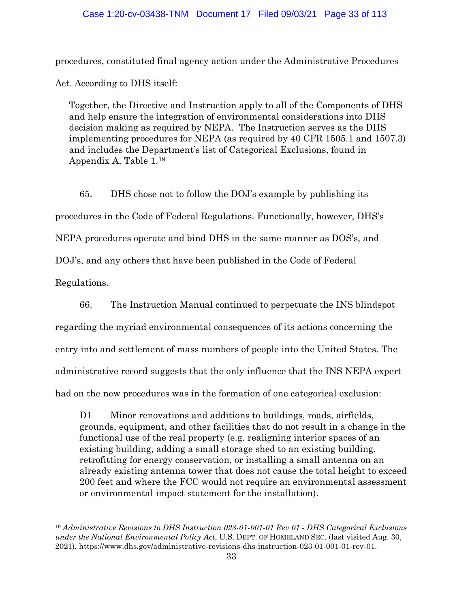## Case 1:20-cv-03438-TNM Document 17 Filed 09/03/21 Page 33 of 113

procedures, constituted final agency action under the Administrative Procedures

Act. According to DHS itself:

 $\overline{a}$ 

Together, the Directive and Instruction apply to all of the Components of DHS and help ensure the integration of environmental considerations into DHS decision making as required by NEPA. The Instruction serves as the DHS implementing procedures for NEPA (as required by 40 CFR 1505.1 and 1507.3) and includes the Department's list of Categorical Exclusions, found in Appendix A, Table 1.[19](#page-32-0)

65. DHS chose not to follow the DOJ's example by publishing its procedures in the Code of Federal Regulations. Functionally, however, DHS's NEPA procedures operate and bind DHS in the same manner as DOS's, and DOJ's, and any others that have been published in the Code of Federal Regulations.

66. The Instruction Manual continued to perpetuate the INS blindspot regarding the myriad environmental consequences of its actions concerning the entry into and settlement of mass numbers of people into the United States. The administrative record suggests that the only influence that the INS NEPA expert had on the new procedures was in the formation of one categorical exclusion:

D1 Minor renovations and additions to buildings, roads, airfields, grounds, equipment, and other facilities that do not result in a change in the functional use of the real property (e.g. realigning interior spaces of an existing building, adding a small storage shed to an existing building, retrofitting for energy conservation, or installing a small antenna on an already existing antenna tower that does not cause the total height to exceed 200 feet and where the FCC would not require an environmental assessment or environmental impact statement for the installation).

<span id="page-32-0"></span><sup>19</sup> *Administrative Revisions to DHS Instruction 023-01-001-01 Rev 01 - DHS Categorical Exclusions under the National Environmental Policy Act*, U.S. DEPT. OF HOMELAND SEC. (last visited Aug. 30, 2021), https://www.dhs.gov/administrative-revisions-dhs-instruction-023-01-001-01-rev-01.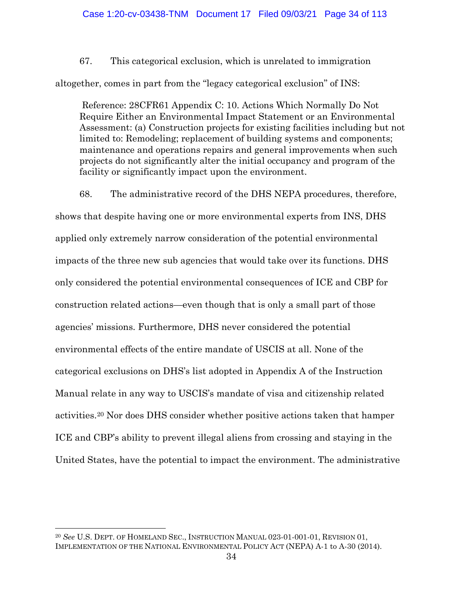67. This categorical exclusion, which is unrelated to immigration

altogether, comes in part from the "legacy categorical exclusion" of INS:

Reference: 28CFR61 Appendix C: 10. Actions Which Normally Do Not Require Either an Environmental Impact Statement or an Environmental Assessment: (a) Construction projects for existing facilities including but not limited to: Remodeling; replacement of building systems and components; maintenance and operations repairs and general improvements when such projects do not significantly alter the initial occupancy and program of the facility or significantly impact upon the environment.

68. The administrative record of the DHS NEPA procedures, therefore,

shows that despite having one or more environmental experts from INS, DHS applied only extremely narrow consideration of the potential environmental impacts of the three new sub agencies that would take over its functions. DHS only considered the potential environmental consequences of ICE and CBP for construction related actions—even though that is only a small part of those agencies' missions. Furthermore, DHS never considered the potential environmental effects of the entire mandate of USCIS at all. None of the categorical exclusions on DHS's list adopted in Appendix A of the Instruction Manual relate in any way to USCIS's mandate of visa and citizenship related activities[.20](#page-33-0) Nor does DHS consider whether positive actions taken that hamper ICE and CBP's ability to prevent illegal aliens from crossing and staying in the United States, have the potential to impact the environment. The administrative

<span id="page-33-0"></span><sup>20</sup> *See* U.S. DEPT. OF HOMELAND SEC., INSTRUCTION MANUAL 023-01-001-01, REVISION 01, IMPLEMENTATION OF THE NATIONAL ENVIRONMENTAL POLICY ACT (NEPA) A-1 to A-30 (2014).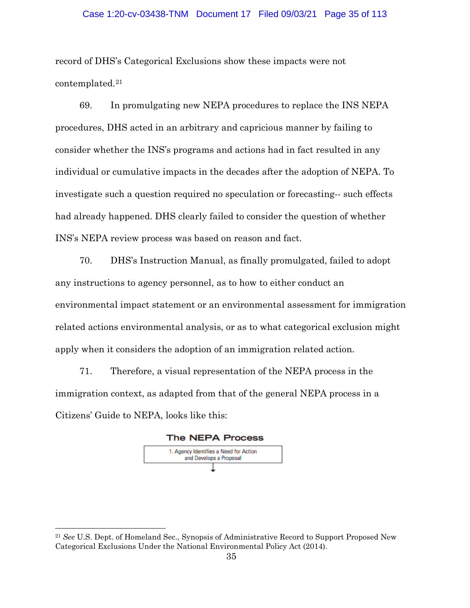## Case 1:20-cv-03438-TNM Document 17 Filed 09/03/21 Page 35 of 113

record of DHS's Categorical Exclusions show these impacts were not contemplated.[21](#page-34-0)

69. In promulgating new NEPA procedures to replace the INS NEPA procedures, DHS acted in an arbitrary and capricious manner by failing to consider whether the INS's programs and actions had in fact resulted in any individual or cumulative impacts in the decades after the adoption of NEPA. To investigate such a question required no speculation or forecasting-- such effects had already happened. DHS clearly failed to consider the question of whether INS's NEPA review process was based on reason and fact.

70. DHS's Instruction Manual, as finally promulgated, failed to adopt any instructions to agency personnel, as to how to either conduct an environmental impact statement or an environmental assessment for immigration related actions environmental analysis, or as to what categorical exclusion might apply when it considers the adoption of an immigration related action.

71. Therefore, a visual representation of the NEPA process in the immigration context, as adapted from that of the general NEPA process in a Citizens' Guide to NEPA, looks like this:





<span id="page-34-0"></span><sup>21</sup> *See* U.S. Dept. of Homeland Sec., Synopsis of Administrative Record to Support Proposed New Categorical Exclusions Under the National Environmental Policy Act (2014).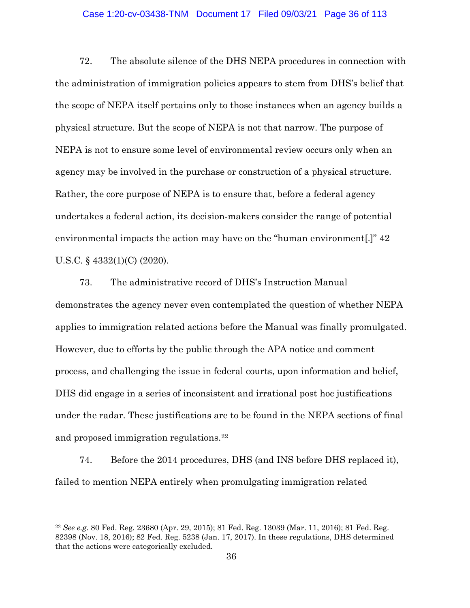## Case 1:20-cv-03438-TNM Document 17 Filed 09/03/21 Page 36 of 113

72. The absolute silence of the DHS NEPA procedures in connection with the administration of immigration policies appears to stem from DHS's belief that the scope of NEPA itself pertains only to those instances when an agency builds a physical structure. But the scope of NEPA is not that narrow. The purpose of NEPA is not to ensure some level of environmental review occurs only when an agency may be involved in the purchase or construction of a physical structure. Rather, the core purpose of NEPA is to ensure that, before a federal agency undertakes a federal action, its decision-makers consider the range of potential environmental impacts the action may have on the "human environment[.]" 42 U.S.C. § 4332(1)(C) (2020).

73. The administrative record of DHS's Instruction Manual demonstrates the agency never even contemplated the question of whether NEPA applies to immigration related actions before the Manual was finally promulgated. However, due to efforts by the public through the APA notice and comment process, and challenging the issue in federal courts, upon information and belief, DHS did engage in a series of inconsistent and irrational post hoc justifications under the radar. These justifications are to be found in the NEPA sections of final and proposed immigration regulations.[22](#page-35-0)

74. Before the 2014 procedures, DHS (and INS before DHS replaced it), failed to mention NEPA entirely when promulgating immigration related

<span id="page-35-0"></span><sup>22</sup> *See e.g.* 80 Fed. Reg. 23680 (Apr. 29, 2015); 81 Fed. Reg. 13039 (Mar. 11, 2016); 81 Fed. Reg. 82398 (Nov. 18, 2016); 82 Fed. Reg. 5238 (Jan. 17, 2017). In these regulations, DHS determined that the actions were categorically excluded.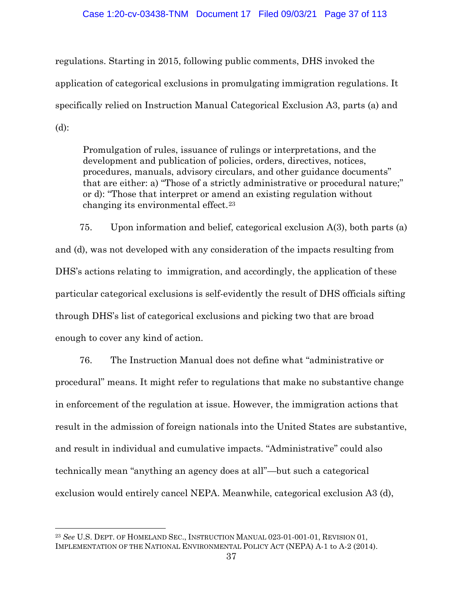### Case 1:20-cv-03438-TNM Document 17 Filed 09/03/21 Page 37 of 113

regulations. Starting in 2015, following public comments, DHS invoked the application of categorical exclusions in promulgating immigration regulations. It specifically relied on Instruction Manual Categorical Exclusion A3, parts (a) and (d):

Promulgation of rules, issuance of rulings or interpretations, and the development and publication of policies, orders, directives, notices, procedures, manuals, advisory circulars, and other guidance documents" that are either: a) "Those of a strictly administrative or procedural nature;" or d): "Those that interpret or amend an existing regulation without changing its environmental effect.[23](#page-36-0)

75. Upon information and belief, categorical exclusion A(3), both parts (a) and (d), was not developed with any consideration of the impacts resulting from DHS's actions relating to immigration, and accordingly, the application of these particular categorical exclusions is self-evidently the result of DHS officials sifting through DHS's list of categorical exclusions and picking two that are broad enough to cover any kind of action.

76. The Instruction Manual does not define what "administrative or procedural" means. It might refer to regulations that make no substantive change in enforcement of the regulation at issue. However, the immigration actions that result in the admission of foreign nationals into the United States are substantive, and result in individual and cumulative impacts. "Administrative" could also technically mean "anything an agency does at all"—but such a categorical exclusion would entirely cancel NEPA. Meanwhile, categorical exclusion A3 (d),

<span id="page-36-0"></span><sup>23</sup> *See* U.S. DEPT. OF HOMELAND SEC., INSTRUCTION MANUAL 023-01-001-01, REVISION 01, IMPLEMENTATION OF THE NATIONAL ENVIRONMENTAL POLICY ACT (NEPA) A-1 to A-2 (2014).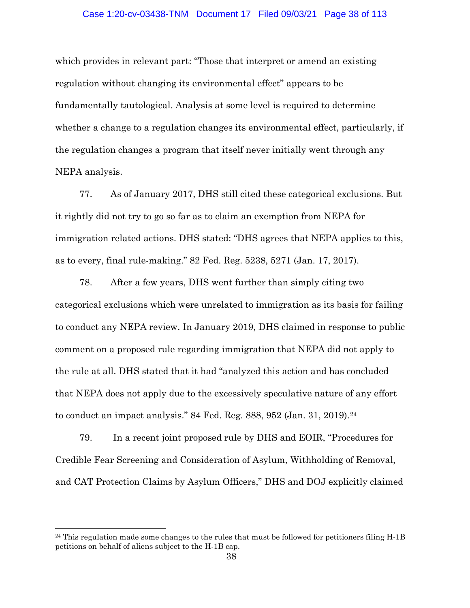#### Case 1:20-cv-03438-TNM Document 17 Filed 09/03/21 Page 38 of 113

which provides in relevant part: "Those that interpret or amend an existing regulation without changing its environmental effect" appears to be fundamentally tautological. Analysis at some level is required to determine whether a change to a regulation changes its environmental effect, particularly, if the regulation changes a program that itself never initially went through any NEPA analysis.

77. As of January 2017, DHS still cited these categorical exclusions. But it rightly did not try to go so far as to claim an exemption from NEPA for immigration related actions. DHS stated: "DHS agrees that NEPA applies to this, as to every, final rule-making." 82 Fed. Reg. 5238, 5271 (Jan. 17, 2017).

78. After a few years, DHS went further than simply citing two categorical exclusions which were unrelated to immigration as its basis for failing to conduct any NEPA review. In January 2019, DHS claimed in response to public comment on a proposed rule regarding immigration that NEPA did not apply to the rule at all. DHS stated that it had "analyzed this action and has concluded that NEPA does not apply due to the excessively speculative nature of any effort to conduct an impact analysis." 84 Fed. Reg. 888, 952 (Jan. 31, 2019).[24](#page-37-0)

79. In a recent joint proposed rule by DHS and EOIR, "Procedures for Credible Fear Screening and Consideration of Asylum, Withholding of Removal, and CAT Protection Claims by Asylum Officers," DHS and DOJ explicitly claimed

<span id="page-37-0"></span> $^{24}$  This regulation made some changes to the rules that must be followed for petitioners filing H-1B petitions on behalf of aliens subject to the H-1B cap.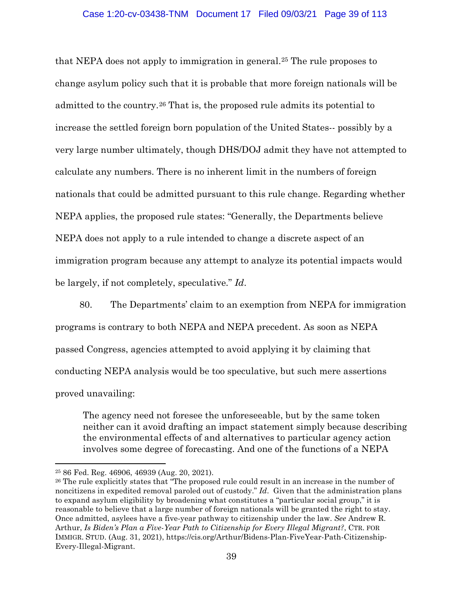### Case 1:20-cv-03438-TNM Document 17 Filed 09/03/21 Page 39 of 113

that NEPA does not apply to immigration in general.[25](#page-38-0) The rule proposes to change asylum policy such that it is probable that more foreign nationals will be admitted to the country.[26](#page-38-1) That is, the proposed rule admits its potential to increase the settled foreign born population of the United States-- possibly by a very large number ultimately, though DHS/DOJ admit they have not attempted to calculate any numbers. There is no inherent limit in the numbers of foreign nationals that could be admitted pursuant to this rule change. Regarding whether NEPA applies, the proposed rule states: "Generally, the Departments believe NEPA does not apply to a rule intended to change a discrete aspect of an immigration program because any attempt to analyze its potential impacts would be largely, if not completely, speculative." *Id*.

80. The Departments' claim to an exemption from NEPA for immigration programs is contrary to both NEPA and NEPA precedent. As soon as NEPA passed Congress, agencies attempted to avoid applying it by claiming that conducting NEPA analysis would be too speculative, but such mere assertions proved unavailing:

The agency need not foresee the unforeseeable, but by the same token neither can it avoid drafting an impact statement simply because describing the environmental effects of and alternatives to particular agency action involves some degree of forecasting. And one of the functions of a NEPA

<span id="page-38-0"></span><sup>25</sup> 86 Fed. Reg. 46906, 46939 (Aug. 20, 2021).

<span id="page-38-1"></span><sup>26</sup> The rule explicitly states that "The proposed rule could result in an increase in the number of noncitizens in expedited removal paroled out of custody." *Id*. Given that the administration plans to expand asylum eligibility by broadening what constitutes a "particular social group," it is reasonable to believe that a large number of foreign nationals will be granted the right to stay. Once admitted, asylees have a five-year pathway to citizenship under the law. *See* Andrew R. Arthur, *Is Biden's Plan a Five-Year Path to Citizenship for Every Illegal Migrant?*, CTR. FOR IMMIGR. STUD. (Aug. 31, 2021), https://cis.org/Arthur/Bidens-Plan-FiveYear-Path-Citizenship-Every-Illegal-Migrant.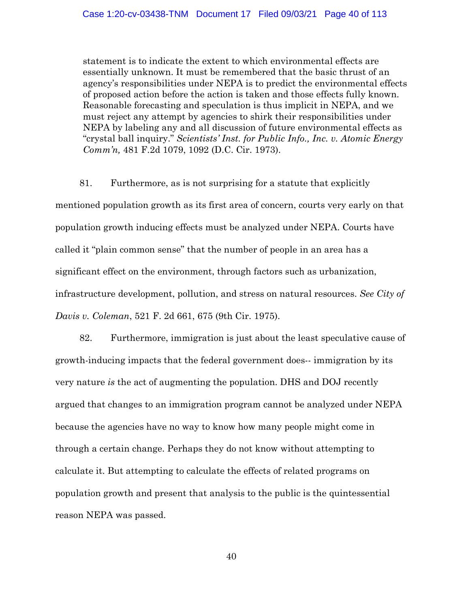statement is to indicate the extent to which environmental effects are essentially unknown. It must be remembered that the basic thrust of an agency's responsibilities under NEPA is to predict the environmental effects of proposed action before the action is taken and those effects fully known. Reasonable forecasting and speculation is thus implicit in NEPA, and we must reject any attempt by agencies to shirk their responsibilities under NEPA by labeling any and all discussion of future environmental effects as "crystal ball inquiry." *Scientists' Inst. for Public Info., Inc. v. Atomic Energy Comm'n,* 481 F.2d 1079, 1092 (D.C. Cir. 1973).

81. Furthermore, as is not surprising for a statute that explicitly mentioned population growth as its first area of concern, courts very early on that population growth inducing effects must be analyzed under NEPA. Courts have called it "plain common sense" that the number of people in an area has a significant effect on the environment, through factors such as urbanization, infrastructure development, pollution, and stress on natural resources. *See City of Davis v. Coleman*, 521 F. 2d 661, 675 (9th Cir. 1975).

82. Furthermore, immigration is just about the least speculative cause of growth-inducing impacts that the federal government does-- immigration by its very nature *is* the act of augmenting the population. DHS and DOJ recently argued that changes to an immigration program cannot be analyzed under NEPA because the agencies have no way to know how many people might come in through a certain change. Perhaps they do not know without attempting to calculate it. But attempting to calculate the effects of related programs on population growth and present that analysis to the public is the quintessential reason NEPA was passed.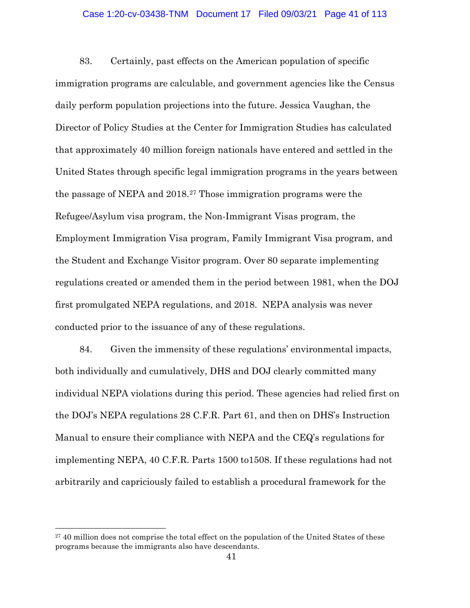### Case 1:20-cv-03438-TNM Document 17 Filed 09/03/21 Page 41 of 113

83. Certainly, past effects on the American population of specific immigration programs are calculable, and government agencies like the Census daily perform population projections into the future. Jessica Vaughan, the Director of Policy Studies at the Center for Immigration Studies has calculated that approximately 40 million foreign nationals have entered and settled in the United States through specific legal immigration programs in the years between the passage of NEPA and 2018.[27](#page-40-0) Those immigration programs were the Refugee/Asylum visa program, the Non-Immigrant Visas program, the Employment Immigration Visa program, Family Immigrant Visa program, and the Student and Exchange Visitor program. Over 80 separate implementing regulations created or amended them in the period between 1981, when the DOJ first promulgated NEPA regulations, and 2018. NEPA analysis was never conducted prior to the issuance of any of these regulations.

84. Given the immensity of these regulations' environmental impacts, both individually and cumulatively, DHS and DOJ clearly committed many individual NEPA violations during this period. These agencies had relied first on the DOJ's NEPA regulations 28 C.F.R. Part 61, and then on DHS's Instruction Manual to ensure their compliance with NEPA and the CEQ's regulations for implementing NEPA, 40 C.F.R. Parts 1500 to1508. If these regulations had not arbitrarily and capriciously failed to establish a procedural framework for the

<span id="page-40-0"></span><sup>&</sup>lt;sup>27</sup> 40 million does not comprise the total effect on the population of the United States of these programs because the immigrants also have descendants.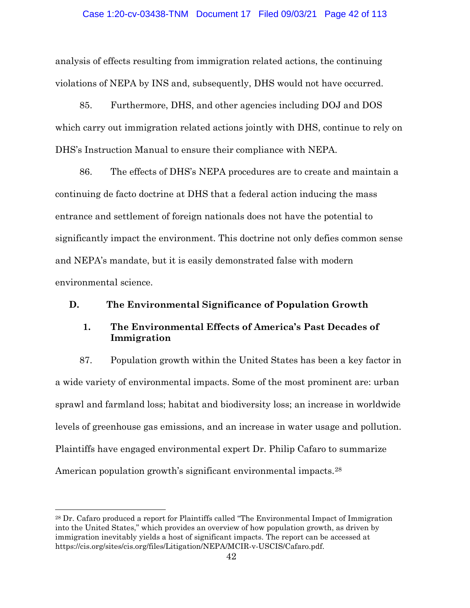### Case 1:20-cv-03438-TNM Document 17 Filed 09/03/21 Page 42 of 113

analysis of effects resulting from immigration related actions, the continuing violations of NEPA by INS and, subsequently, DHS would not have occurred.

85. Furthermore, DHS, and other agencies including DOJ and DOS which carry out immigration related actions jointly with DHS, continue to rely on DHS's Instruction Manual to ensure their compliance with NEPA.

86. The effects of DHS's NEPA procedures are to create and maintain a continuing de facto doctrine at DHS that a federal action inducing the mass entrance and settlement of foreign nationals does not have the potential to significantly impact the environment. This doctrine not only defies common sense and NEPA's mandate, but it is easily demonstrated false with modern environmental science.

## **D. The Environmental Significance of Population Growth**

# **1. The Environmental Effects of America's Past Decades of Immigration**

87. Population growth within the United States has been a key factor in a wide variety of environmental impacts. Some of the most prominent are: urban sprawl and farmland loss; habitat and biodiversity loss; an increase in worldwide levels of greenhouse gas emissions, and an increase in water usage and pollution. Plaintiffs have engaged environmental expert Dr. Philip Cafaro to summarize American population growth's significant environmental impacts.<sup>[28](#page-41-0)</sup>

<span id="page-41-0"></span><sup>&</sup>lt;sup>28</sup> Dr. Cafaro produced a report for Plaintiffs called "The Environmental Impact of Immigration" into the United States," which provides an overview of how population growth, as driven by immigration inevitably yields a host of significant impacts. The report can be accessed at https://cis.org/sites/cis.org/files/Litigation/NEPA/MCIR-v-USCIS/Cafaro.pdf.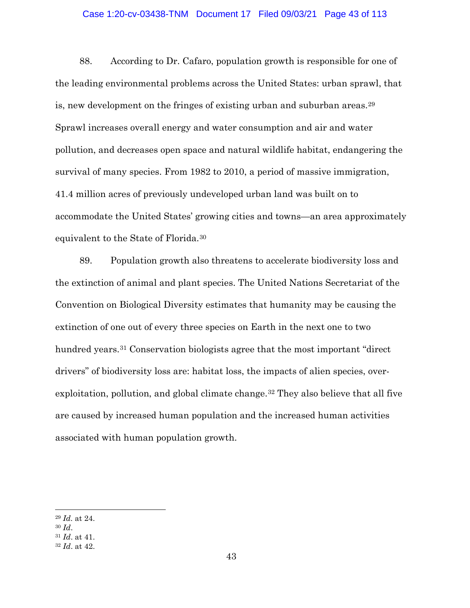### Case 1:20-cv-03438-TNM Document 17 Filed 09/03/21 Page 43 of 113

88. According to Dr. Cafaro, population growth is responsible for one of the leading environmental problems across the United States: urban sprawl, that is, new development on the fringes of existing urban and suburban areas.[29](#page-42-0) Sprawl increases overall energy and water consumption and air and water pollution, and decreases open space and natural wildlife habitat, endangering the survival of many species. From 1982 to 2010, a period of massive immigration, 41.4 million acres of previously undeveloped urban land was built on to accommodate the United States' growing cities and towns—an area approximately equivalent to the State of Florida.[30](#page-42-1)

89. Population growth also threatens to accelerate biodiversity loss and the extinction of animal and plant species. The United Nations Secretariat of the Convention on Biological Diversity estimates that humanity may be causing the extinction of one out of every three species on Earth in the next one to two hundred years.<sup>[31](#page-42-2)</sup> Conservation biologists agree that the most important "direct" drivers" of biodiversity loss are: habitat loss, the impacts of alien species, over-exploitation, pollution, and global climate change.<sup>[32](#page-42-3)</sup> They also believe that all five are caused by increased human population and the increased human activities associated with human population growth.

<span id="page-42-0"></span><sup>29</sup> *Id.* at 24.

<span id="page-42-1"></span><sup>30</sup> *Id*.

<span id="page-42-2"></span><sup>31</sup> *Id*. at 41.

<span id="page-42-3"></span><sup>32</sup> *Id*. at 42.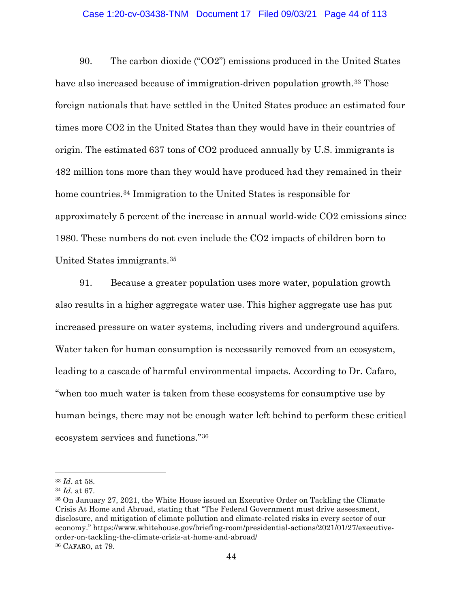### Case 1:20-cv-03438-TNM Document 17 Filed 09/03/21 Page 44 of 113

90. The carbon dioxide ("CO2") emissions produced in the United States have also increased because of immigration-driven population growth.<sup>[33](#page-43-0)</sup> Those foreign nationals that have settled in the United States produce an estimated four times more CO2 in the United States than they would have in their countries of origin. The estimated 637 tons of CO2 produced annually by U.S. immigrants is 482 million tons more than they would have produced had they remained in their home countries.[34](#page-43-1) Immigration to the United States is responsible for approximately 5 percent of the increase in annual world-wide CO2 emissions since 1980. These numbers do not even include the CO2 impacts of children born to United States immigrants.[35](#page-43-2)

91. Because a greater population uses more water, population growth also results in a higher aggregate water use. This higher aggregate use has put increased pressure on water systems, including rivers and underground aquifers. Water taken for human consumption is necessarily removed from an ecosystem, leading to a cascade of harmful environmental impacts. According to Dr. Cafaro, "when too much water is taken from these ecosystems for consumptive use by human beings, there may not be enough water left behind to perform these critical ecosystem services and functions."[36](#page-43-3)

<span id="page-43-0"></span><sup>33</sup> *Id*. at 58.

<span id="page-43-1"></span><sup>34</sup> *Id*. at 67.

<span id="page-43-3"></span><span id="page-43-2"></span><sup>35</sup> On January 27, 2021, the White House issued an Executive Order on Tackling the Climate Crisis At Home and Abroad, stating that "The Federal Government must drive assessment, disclosure, and mitigation of climate pollution and climate-related risks in every sector of our economy." https://www.whitehouse.gov/briefing-room/presidential-actions/2021/01/27/executiveorder-on-tackling-the-climate-crisis-at-home-and-abroad/ <sup>36</sup> CAFARO, at 79.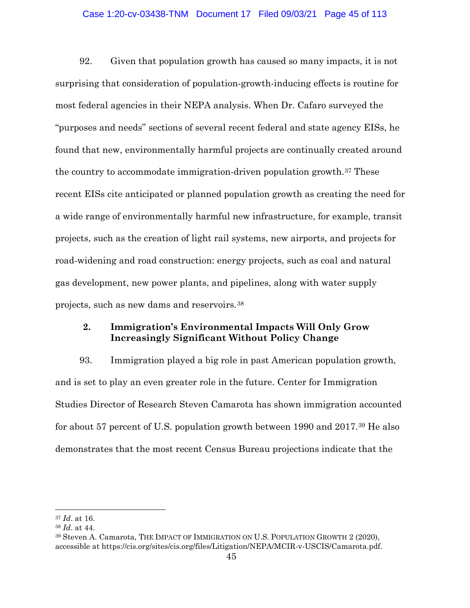## Case 1:20-cv-03438-TNM Document 17 Filed 09/03/21 Page 45 of 113

92. Given that population growth has caused so many impacts, it is not surprising that consideration of population-growth-inducing effects is routine for most federal agencies in their NEPA analysis. When Dr. Cafaro surveyed the "purposes and needs" sections of several recent federal and state agency EISs, he found that new, environmentally harmful projects are continually created around the country to accommodate immigration-driven population growth.[37](#page-44-0) These recent EISs cite anticipated or planned population growth as creating the need for a wide range of environmentally harmful new infrastructure, for example, transit projects, such as the creation of light rail systems, new airports, and projects for road-widening and road construction: energy projects, such as coal and natural gas development, new power plants, and pipelines, along with water supply projects, such as new dams and reservoirs.[38](#page-44-1)

# **2. Immigration's Environmental Impacts Will Only Grow Increasingly Significant Without Policy Change**

93. Immigration played a big role in past American population growth, and is set to play an even greater role in the future. Center for Immigration Studies Director of Research Steven Camarota has shown immigration accounted for about 57 percent of U.S. population growth between 1990 and 2017.[39](#page-44-2) He also demonstrates that the most recent Census Bureau projections indicate that the

<span id="page-44-0"></span><sup>37</sup> *Id*. at 16.

<span id="page-44-1"></span><sup>38</sup> *Id*. at 44.

<span id="page-44-2"></span><sup>39</sup> Steven A. Camarota, THE IMPACT OF IMMIGRATION ON U.S. POPULATION GROWTH 2 (2020), accessible at https://cis.org/sites/cis.org/files/Litigation/NEPA/MCIR-v-USCIS/Camarota.pdf.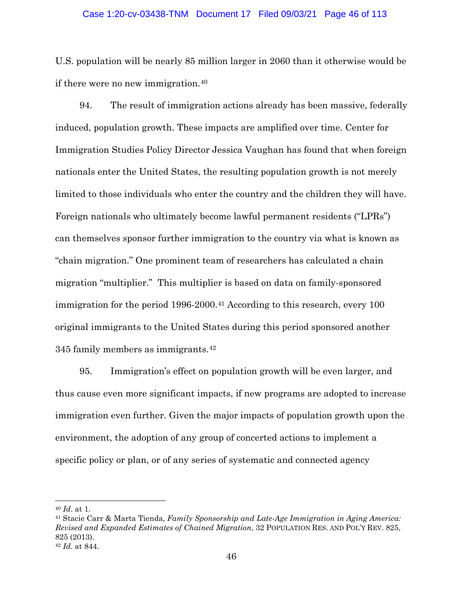### Case 1:20-cv-03438-TNM Document 17 Filed 09/03/21 Page 46 of 113

U.S. population will be nearly 85 million larger in 2060 than it otherwise would be if there were no new immigration.[40](#page-45-0)

94. The result of immigration actions already has been massive, federally induced, population growth. These impacts are amplified over time. Center for Immigration Studies Policy Director Jessica Vaughan has found that when foreign nationals enter the United States, the resulting population growth is not merely limited to those individuals who enter the country and the children they will have. Foreign nationals who ultimately become lawful permanent residents ("LPRs") can themselves sponsor further immigration to the country via what is known as "chain migration." One prominent team of researchers has calculated a chain migration "multiplier." This multiplier is based on data on family-sponsored immigration for the period 1996-2000.<sup>[41](#page-45-1)</sup> According to this research, every 100 original immigrants to the United States during this period sponsored another 345 family members as immigrants.[42](#page-45-2)

95. Immigration's effect on population growth will be even larger, and thus cause even more significant impacts, if new programs are adopted to increase immigration even further. Given the major impacts of population growth upon the environment, the adoption of any group of concerted actions to implement a specific policy or plan, or of any series of systematic and connected agency

<span id="page-45-0"></span><sup>40</sup> *Id*. at 1.

<span id="page-45-1"></span><sup>41</sup> Stacie Carr & Marta Tienda, *Family Sponsorship and Late-Age Immigration in Aging America: Revised and Expanded Estimates of Chained Migration*, 32 POPULATION RES. AND POL'Y REV. 825, 825 (2013).

<span id="page-45-2"></span><sup>42</sup> *Id.* at 844.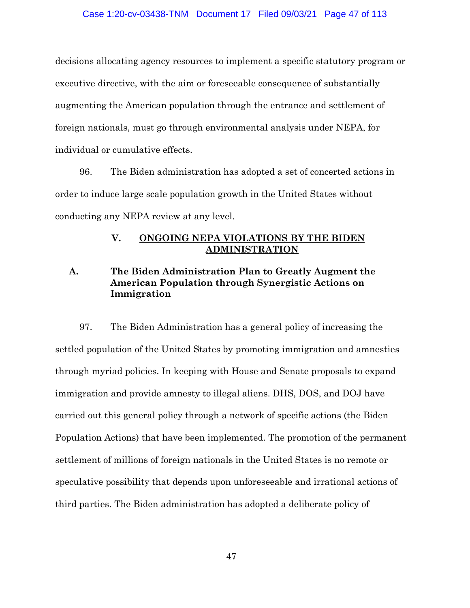decisions allocating agency resources to implement a specific statutory program or executive directive, with the aim or foreseeable consequence of substantially augmenting the American population through the entrance and settlement of foreign nationals, must go through environmental analysis under NEPA, for individual or cumulative effects.

96. The Biden administration has adopted a set of concerted actions in order to induce large scale population growth in the United States without conducting any NEPA review at any level.

## **V. ONGOING NEPA VIOLATIONS BY THE BIDEN ADMINISTRATION**

# **A. The Biden Administration Plan to Greatly Augment the American Population through Synergistic Actions on Immigration**

97. The Biden Administration has a general policy of increasing the settled population of the United States by promoting immigration and amnesties through myriad policies. In keeping with House and Senate proposals to expand immigration and provide amnesty to illegal aliens. DHS, DOS, and DOJ have carried out this general policy through a network of specific actions (the Biden Population Actions) that have been implemented. The promotion of the permanent settlement of millions of foreign nationals in the United States is no remote or speculative possibility that depends upon unforeseeable and irrational actions of third parties. The Biden administration has adopted a deliberate policy of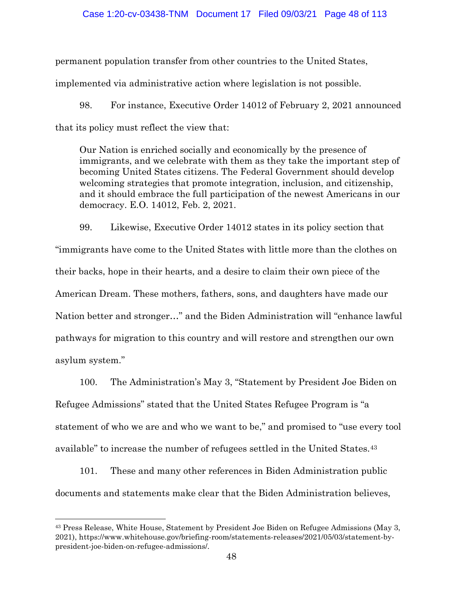### Case 1:20-cv-03438-TNM Document 17 Filed 09/03/21 Page 48 of 113

permanent population transfer from other countries to the United States,

implemented via administrative action where legislation is not possible.

98. For instance, Executive Order 14012 of February 2, 2021 announced that its policy must reflect the view that:

Our Nation is enriched socially and economically by the presence of immigrants, and we celebrate with them as they take the important step of becoming United States citizens. The Federal Government should develop welcoming strategies that promote integration, inclusion, and citizenship, and it should embrace the full participation of the newest Americans in our democracy. E.O. 14012, Feb. 2, 2021.

99. Likewise, Executive Order 14012 states in its policy section that "immigrants have come to the United States with little more than the clothes on their backs, hope in their hearts, and a desire to claim their own piece of the American Dream. These mothers, fathers, sons, and daughters have made our Nation better and stronger…" and the Biden Administration will "enhance lawful pathways for migration to this country and will restore and strengthen our own asylum system."

100. The Administration's May 3, "Statement by President Joe Biden on Refugee Admissions" stated that the United States Refugee Program is "a statement of who we are and who we want to be," and promised to "use every tool available" to increase the number of refugees settled in the United States.[43](#page-47-0)

101. These and many other references in Biden Administration public documents and statements make clear that the Biden Administration believes,

<span id="page-47-0"></span><sup>43</sup> Press Release, White House, Statement by President Joe Biden on Refugee Admissions (May 3, 2021), https://www.whitehouse.gov/briefing-room/statements-releases/2021/05/03/statement-bypresident-joe-biden-on-refugee-admissions/.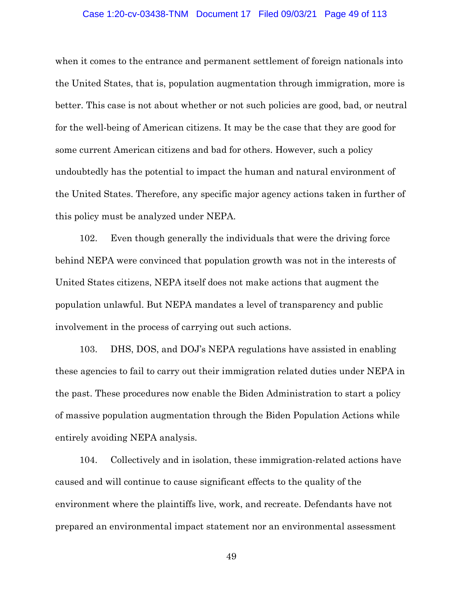#### Case 1:20-cv-03438-TNM Document 17 Filed 09/03/21 Page 49 of 113

when it comes to the entrance and permanent settlement of foreign nationals into the United States, that is, population augmentation through immigration, more is better. This case is not about whether or not such policies are good, bad, or neutral for the well-being of American citizens. It may be the case that they are good for some current American citizens and bad for others. However, such a policy undoubtedly has the potential to impact the human and natural environment of the United States. Therefore, any specific major agency actions taken in further of this policy must be analyzed under NEPA.

102. Even though generally the individuals that were the driving force behind NEPA were convinced that population growth was not in the interests of United States citizens, NEPA itself does not make actions that augment the population unlawful. But NEPA mandates a level of transparency and public involvement in the process of carrying out such actions.

103. DHS, DOS, and DOJ's NEPA regulations have assisted in enabling these agencies to fail to carry out their immigration related duties under NEPA in the past. These procedures now enable the Biden Administration to start a policy of massive population augmentation through the Biden Population Actions while entirely avoiding NEPA analysis.

104. Collectively and in isolation, these immigration-related actions have caused and will continue to cause significant effects to the quality of the environment where the plaintiffs live, work, and recreate. Defendants have not prepared an environmental impact statement nor an environmental assessment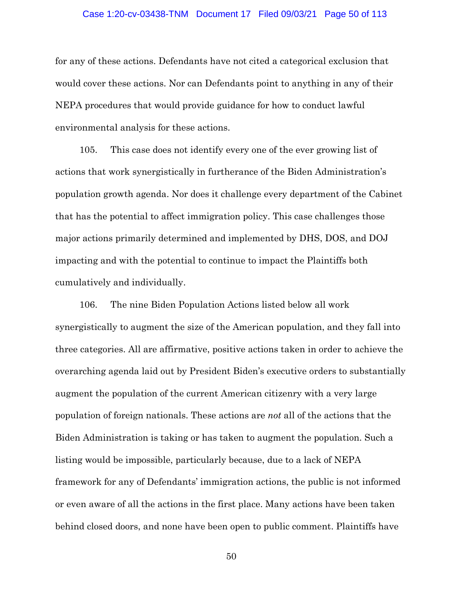#### Case 1:20-cv-03438-TNM Document 17 Filed 09/03/21 Page 50 of 113

for any of these actions. Defendants have not cited a categorical exclusion that would cover these actions. Nor can Defendants point to anything in any of their NEPA procedures that would provide guidance for how to conduct lawful environmental analysis for these actions.

105. This case does not identify every one of the ever growing list of actions that work synergistically in furtherance of the Biden Administration's population growth agenda. Nor does it challenge every department of the Cabinet that has the potential to affect immigration policy. This case challenges those major actions primarily determined and implemented by DHS, DOS, and DOJ impacting and with the potential to continue to impact the Plaintiffs both cumulatively and individually.

106. The nine Biden Population Actions listed below all work synergistically to augment the size of the American population, and they fall into three categories. All are affirmative, positive actions taken in order to achieve the overarching agenda laid out by President Biden's executive orders to substantially augment the population of the current American citizenry with a very large population of foreign nationals. These actions are *not* all of the actions that the Biden Administration is taking or has taken to augment the population. Such a listing would be impossible, particularly because, due to a lack of NEPA framework for any of Defendants' immigration actions, the public is not informed or even aware of all the actions in the first place. Many actions have been taken behind closed doors, and none have been open to public comment. Plaintiffs have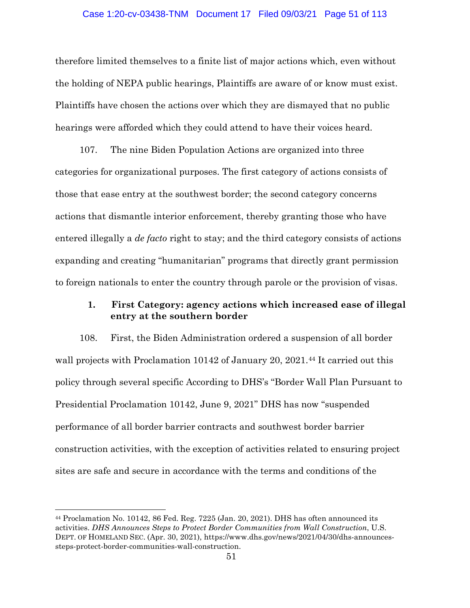#### Case 1:20-cv-03438-TNM Document 17 Filed 09/03/21 Page 51 of 113

therefore limited themselves to a finite list of major actions which, even without the holding of NEPA public hearings, Plaintiffs are aware of or know must exist. Plaintiffs have chosen the actions over which they are dismayed that no public hearings were afforded which they could attend to have their voices heard.

107. The nine Biden Population Actions are organized into three categories for organizational purposes. The first category of actions consists of those that ease entry at the southwest border; the second category concerns actions that dismantle interior enforcement, thereby granting those who have entered illegally a *de facto* right to stay; and the third category consists of actions expanding and creating "humanitarian" programs that directly grant permission to foreign nationals to enter the country through parole or the provision of visas.

# **1. First Category: agency actions which increased ease of illegal entry at the southern border**

108. First, the Biden Administration ordered a suspension of all border wall projects with Proclamation 10142 of January 20, 2021.<sup>[44](#page-50-0)</sup> It carried out this policy through several specific According to DHS's "Border Wall Plan Pursuant to Presidential Proclamation 10142, June 9, 2021" DHS has now "suspended performance of all border barrier contracts and southwest border barrier construction activities, with the exception of activities related to ensuring project sites are safe and secure in accordance with the terms and conditions of the

<span id="page-50-0"></span><sup>44</sup> Proclamation No. 10142, 86 Fed. Reg. 7225 (Jan. 20, 2021). DHS has often announced its activities. *DHS Announces Steps to Protect Border Communities from Wall Construction*, U.S. DEPT. OF HOMELAND SEC. (Apr. 30, 2021), https://www.dhs.gov/news/2021/04/30/dhs-announcessteps-protect-border-communities-wall-construction.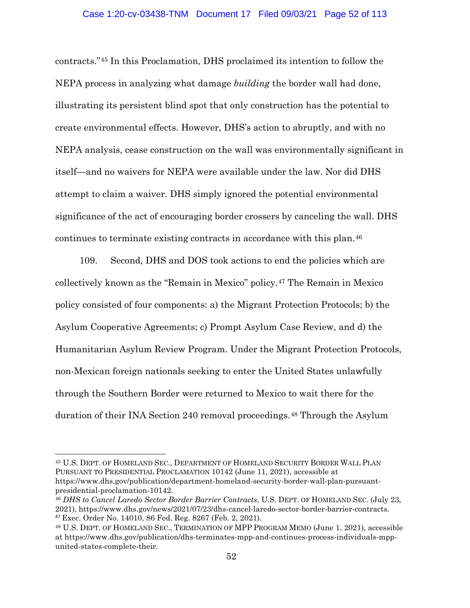### Case 1:20-cv-03438-TNM Document 17 Filed 09/03/21 Page 52 of 113

contracts."[45](#page-51-0) In this Proclamation, DHS proclaimed its intention to follow the NEPA process in analyzing what damage *building* the border wall had done, illustrating its persistent blind spot that only construction has the potential to create environmental effects. However, DHS's action to abruptly, and with no NEPA analysis, cease construction on the wall was environmentally significant in itself—and no waivers for NEPA were available under the law. Nor did DHS attempt to claim a waiver. DHS simply ignored the potential environmental significance of the act of encouraging border crossers by canceling the wall. DHS continues to terminate existing contracts in accordance with this plan.[46](#page-51-1)

109. Second, DHS and DOS took actions to end the policies which are collectively known as the "Remain in Mexico" policy.[47](#page-51-2) The Remain in Mexico policy consisted of four components: a) the Migrant Protection Protocols; b) the Asylum Cooperative Agreements; c) Prompt Asylum Case Review, and d) the Humanitarian Asylum Review Program. Under the Migrant Protection Protocols, non-Mexican foreign nationals seeking to enter the United States unlawfully through the Southern Border were returned to Mexico to wait there for the duration of their INA Section 240 removal proceedings.[48](#page-51-3) Through the Asylum

<span id="page-51-0"></span><sup>45</sup> U.S. DEPT. OF HOMELAND SEC., DEPARTMENT OF HOMELAND SECURITY BORDER WALL PLAN PURSUANT TO PRESIDENTIAL PROCLAMATION 10142 (June 11, 2021), accessible at https://www.dhs.gov/publication/department-homeland-security-border-wall-plan-pursuantpresidential-proclamation-10142.

<span id="page-51-1"></span><sup>46</sup> *DHS to Cancel Laredo Sector Border Barrier Contracts*, U.S. DEPT. OF HOMELAND SEC. (July 23, 2021), https://www.dhs.gov/news/2021/07/23/dhs-cancel-laredo-sector-border-barrier-contracts. <sup>47</sup> Exec. Order No. 14010, 86 Fed. Reg. 8267 (Feb. 2, 2021).

<span id="page-51-3"></span><span id="page-51-2"></span><sup>48</sup> U.S. DEPT. OF HOMELAND SEC., TERMINATION OF MPP PROGRAM MEMO (June 1, 2021), accessible at https://www.dhs.gov/publication/dhs-terminates-mpp-and-continues-process-individuals-mppunited-states-complete-their.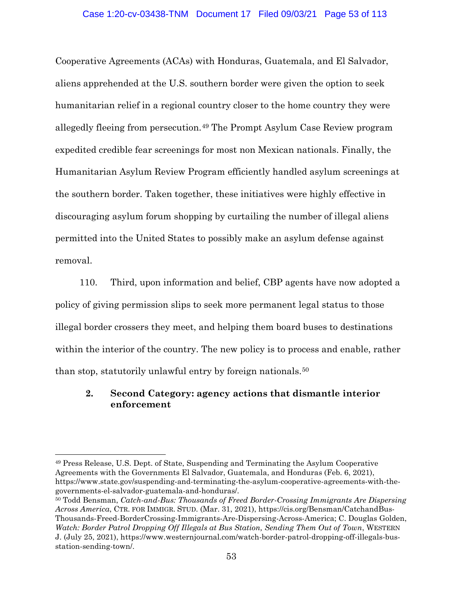Cooperative Agreements (ACAs) with Honduras, Guatemala, and El Salvador, aliens apprehended at the U.S. southern border were given the option to seek humanitarian relief in a regional country closer to the home country they were allegedly fleeing from persecution.[49](#page-52-0) The Prompt Asylum Case Review program expedited credible fear screenings for most non Mexican nationals. Finally, the Humanitarian Asylum Review Program efficiently handled asylum screenings at the southern border. Taken together, these initiatives were highly effective in discouraging asylum forum shopping by curtailing the number of illegal aliens permitted into the United States to possibly make an asylum defense against removal.

110. Third, upon information and belief, CBP agents have now adopted a policy of giving permission slips to seek more permanent legal status to those illegal border crossers they meet, and helping them board buses to destinations within the interior of the country. The new policy is to process and enable, rather than stop, statutorily unlawful entry by foreign nationals.[50](#page-52-1)

# **2. Second Category: agency actions that dismantle interior enforcement**

<span id="page-52-0"></span><sup>49</sup> Press Release, U.S. Dept. of State, Suspending and Terminating the Asylum Cooperative Agreements with the Governments El Salvador, Guatemala, and Honduras (Feb. 6, 2021), https://www.state.gov/suspending-and-terminating-the-asylum-cooperative-agreements-with-thegovernments-el-salvador-guatemala-and-honduras/.

<span id="page-52-1"></span><sup>50</sup> Todd Bensman, *Catch-and-Bus: Thousands of Freed Border-Crossing Immigrants Are Dispersing Across America*, CTR. FOR IMMIGR. STUD. (Mar. 31, 2021), https://cis.org/Bensman/CatchandBus-Thousands-Freed-BorderCrossing-Immigrants-Are-Dispersing-Across-America; C. Douglas Golden, *Watch: Border Patrol Dropping Off Illegals at Bus Station, Sending Them Out of Town*, WESTERN J. (July 25, 2021), https://www.westernjournal.com/watch-border-patrol-dropping-off-illegals-busstation-sending-town/.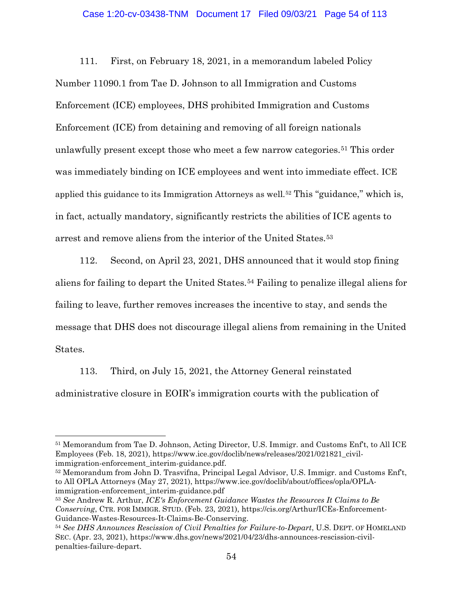### Case 1:20-cv-03438-TNM Document 17 Filed 09/03/21 Page 54 of 113

111. First, on February 18, 2021, in a memorandum labeled Policy Number 11090.1 from Tae D. Johnson to all Immigration and Customs Enforcement (ICE) employees, DHS prohibited Immigration and Customs Enforcement (ICE) from detaining and removing of all foreign nationals unlawfully present except those who meet a few narrow categories.<sup>[51](#page-53-0)</sup> This order was immediately binding on ICE employees and went into immediate effect. ICE applied this guidance to its Immigration Attorneys as well.<sup>[52](#page-53-1)</sup> This "guidance," which is, in fact, actually mandatory, significantly restricts the abilities of ICE agents to arrest and remove aliens from the interior of the United States.[53](#page-53-2)

112. Second, on April 23, 2021, DHS announced that it would stop fining aliens for failing to depart the United States.[54](#page-53-3) Failing to penalize illegal aliens for failing to leave, further removes increases the incentive to stay, and sends the message that DHS does not discourage illegal aliens from remaining in the United States.

113. Third, on July 15, 2021, the Attorney General reinstated administrative closure in EOIR's immigration courts with the publication of

 $\overline{a}$ 

<span id="page-53-1"></span><sup>52</sup> Memorandum from John D. Trasvifna, Principal Legal Advisor, U.S. Immigr. and Customs Enf't, to All OPLA Attorneys (May 27, 2021), https://www.ice.gov/doclib/about/offices/opla/OPLAimmigration-enforcement interim-guidance.pdf

<span id="page-53-0"></span><sup>51</sup> Memorandum from Tae D. Johnson, Acting Director, U.S. Immigr. and Customs Enf't, to All ICE Employees (Feb. 18, 2021), https://www.ice.gov/doclib/news/releases/2021/021821\_civilimmigration-enforcement interim-guidance.pdf.

<span id="page-53-2"></span><sup>53</sup> *See* Andrew R. Arthur, *ICE's Enforcement Guidance Wastes the Resources It Claims to Be Conserving*, CTR. FOR IMMIGR. STUD. (Feb. 23, 2021), https://cis.org/Arthur/ICEs-Enforcement-Guidance-Wastes-Resources-It-Claims-Be-Conserving.

<span id="page-53-3"></span><sup>54</sup> *See DHS Announces Rescission of Civil Penalties for Failure-to-Depart*, U.S. DEPT. OF HOMELAND SEC. (Apr. 23, 2021), https://www.dhs.gov/news/2021/04/23/dhs-announces-rescission-civilpenalties-failure-depart.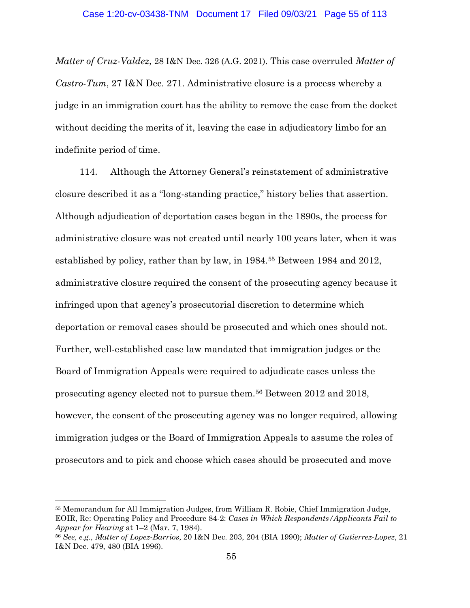*Matter of Cruz-Valdez*, 28 I&N Dec. 326 (A.G. 2021). This case overruled *Matter of Castro-Tum*, 27 I&N Dec. 271. Administrative closure is a process whereby a judge in an immigration court has the ability to remove the case from the docket without deciding the merits of it, leaving the case in adjudicatory limbo for an indefinite period of time.

114. Although the Attorney General's reinstatement of administrative closure described it as a "long-standing practice," history belies that assertion. Although adjudication of deportation cases began in the 1890s, the process for administrative closure was not created until nearly 100 years later, when it was established by policy, rather than by law, in 1984[.55](#page-54-0) Between 1984 and 2012, administrative closure required the consent of the prosecuting agency because it infringed upon that agency's prosecutorial discretion to determine which deportation or removal cases should be prosecuted and which ones should not. Further, well-established case law mandated that immigration judges or the Board of Immigration Appeals were required to adjudicate cases unless the prosecuting agency elected not to pursue them.[56](#page-54-1) Between 2012 and 2018, however, the consent of the prosecuting agency was no longer required, allowing immigration judges or the Board of Immigration Appeals to assume the roles of prosecutors and to pick and choose which cases should be prosecuted and move

<span id="page-54-0"></span><sup>55</sup> Memorandum for All Immigration Judges, from William R. Robie, Chief Immigration Judge, EOIR, Re: Operating Policy and Procedure 84-2: *Cases in Which Respondents/Applicants Fail to Appear for Hearing* at 1–2 (Mar. 7, 1984).

<span id="page-54-1"></span><sup>56</sup> *See, e.g., Matter of Lopez-Barrios*, 20 I&N Dec. 203, 204 (BIA 1990); *Matter of Gutierrez-Lopez*, 21 I&N Dec. 479, 480 (BIA 1996).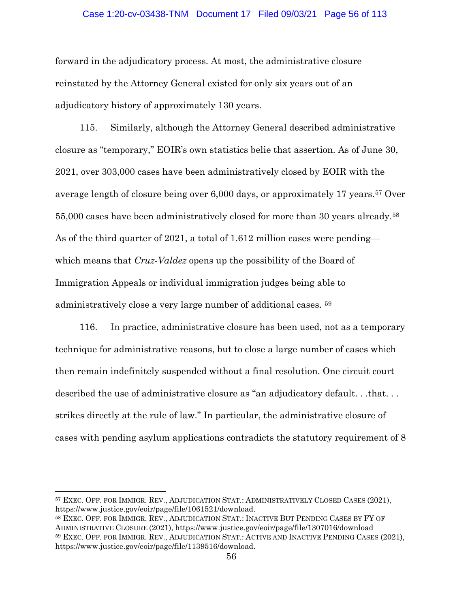### Case 1:20-cv-03438-TNM Document 17 Filed 09/03/21 Page 56 of 113

forward in the adjudicatory process. At most, the administrative closure reinstated by the Attorney General existed for only six years out of an adjudicatory history of approximately 130 years.

115. Similarly, although the Attorney General described administrative closure as "temporary," EOIR's own statistics belie that assertion. As of June 30, 2021, over 303,000 cases have been administratively closed by EOIR with the average length of closure being over 6,000 days, or approximately 17 years.[57](#page-55-0) Over 55,000 cases have been administratively closed for more than 30 years already.[58](#page-55-1) As of the third quarter of 2021, a total of 1.612 million cases were pending which means that *Cruz-Valdez* opens up the possibility of the Board of Immigration Appeals or individual immigration judges being able to administratively close a very large number of additional cases. [59](#page-55-2)

116. In practice, administrative closure has been used, not as a temporary technique for administrative reasons, but to close a large number of cases which then remain indefinitely suspended without a final resolution. One circuit court described the use of administrative closure as "an adjudicatory default. . .that. . . strikes directly at the rule of law." In particular, the administrative closure of cases with pending asylum applications contradicts the statutory requirement of 8

<span id="page-55-0"></span><sup>57</sup> EXEC. OFF. FOR IMMIGR. REV., ADJUDICATION STAT.: ADMINISTRATIVELY CLOSED CASES (2021), https://www.justice.gov/eoir/page/file/1061521/download.

<span id="page-55-2"></span><span id="page-55-1"></span><sup>58</sup> EXEC. OFF. FOR IMMIGR. REV., ADJUDICATION STAT.: INACTIVE BUT PENDING CASES BY FY OF ADMINISTRATIVE CLOSURE (2021), https://www.justice.gov/eoir/page/file/1307016/download <sup>59</sup> EXEC. OFF. FOR IMMIGR. REV., ADJUDICATION STAT.: ACTIVE AND INACTIVE PENDING CASES (2021), https://www.justice.gov/eoir/page/file/1139516/download.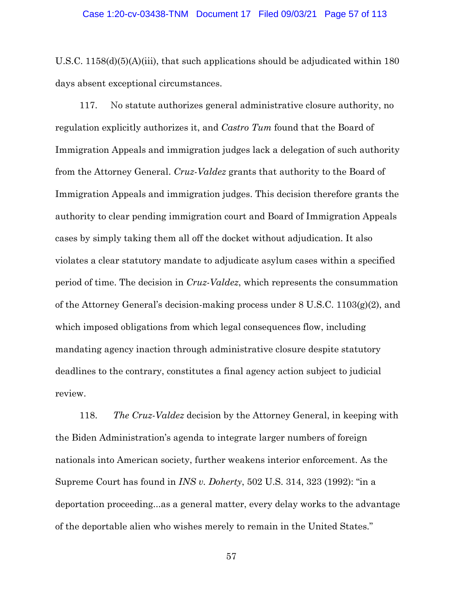U.S.C. 1158(d)(5)(A)(iii), that such applications should be adjudicated within 180 days absent exceptional circumstances.

117. No statute authorizes general administrative closure authority, no regulation explicitly authorizes it, and *Castro Tum* found that the Board of Immigration Appeals and immigration judges lack a delegation of such authority from the Attorney General. *Cruz-Valdez* grants that authority to the Board of Immigration Appeals and immigration judges. This decision therefore grants the authority to clear pending immigration court and Board of Immigration Appeals cases by simply taking them all off the docket without adjudication. It also violates a clear statutory mandate to adjudicate asylum cases within a specified period of time. The decision in *Cruz-Valdez*, which represents the consummation of the Attorney General's decision-making process under  $8 \text{ U.S.C. } 1103(g)(2)$ , and which imposed obligations from which legal consequences flow, including mandating agency inaction through administrative closure despite statutory deadlines to the contrary, constitutes a final agency action subject to judicial review.

118. *The Cruz-Valdez* decision by the Attorney General, in keeping with the Biden Administration's agenda to integrate larger numbers of foreign nationals into American society, further weakens interior enforcement. As the Supreme Court has found in *INS v. Doherty*, 502 U.S. 314, 323 (1992): "in a deportation proceeding...as a general matter, every delay works to the advantage of the deportable alien who wishes merely to remain in the United States."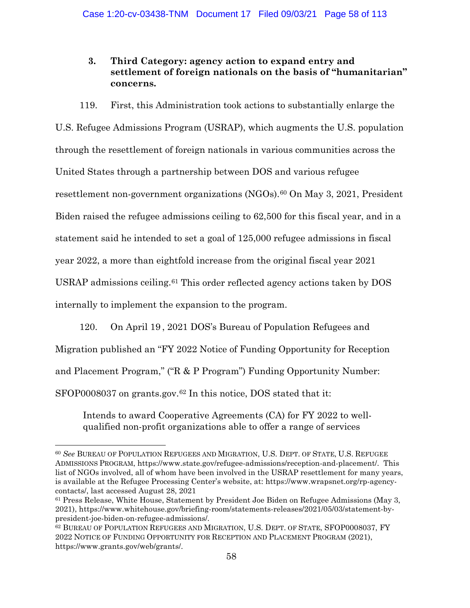# **3. Third Category: agency action to expand entry and settlement of foreign nationals on the basis of "humanitarian" concerns.**

119. First, this Administration took actions to substantially enlarge the

U.S. Refugee Admissions Program (USRAP), which augments the U.S. population through the resettlement of foreign nationals in various communities across the United States through a partnership between DOS and various refugee resettlement non-government organizations (NGOs).<sup>[60](#page-57-0)</sup> On May 3, 2021, President Biden raised the refugee admissions ceiling to 62,500 for this fiscal year, and in a statement said he intended to set a goal of 125,000 refugee admissions in fiscal year 2022, a more than eightfold increase from the original fiscal year 2021 USRAP admissions ceiling[.61](#page-57-1) This order reflected agency actions taken by DOS internally to implement the expansion to the program.

120. On April 19 , 2021 DOS's Bureau of Population Refugees and Migration published an "FY 2022 Notice of Funding Opportunity for Reception and Placement Program," ("R & P Program") Funding Opportunity Number: SFOP0008037 on grants.gov.<sup>[62](#page-57-2)</sup> In this notice, DOS stated that it:

Intends to award Cooperative Agreements (CA) for FY 2022 to wellqualified non-profit organizations able to offer a range of services

<span id="page-57-0"></span><sup>60</sup> *See* BUREAU OF POPULATION REFUGEES AND MIGRATION, U.S. DEPT. OF STATE, U.S. REFUGEE ADMISSIONS PROGRAM, https://www.state.gov/refugee-admissions/reception-and-placement/. This list of NGOs involved, all of whom have been involved in the USRAP resettlement for many years, is available at the Refugee Processing Center's website, at: https://www.wrapsnet.org/rp-agencycontacts/, last accessed August 28, 2021

<span id="page-57-1"></span><sup>61</sup> Press Release, White House, Statement by President Joe Biden on Refugee Admissions (May 3, 2021), https://www.whitehouse.gov/briefing-room/statements-releases/2021/05/03/statement-bypresident-joe-biden-on-refugee-admissions/.

<span id="page-57-2"></span><sup>62</sup> BUREAU OF POPULATION REFUGEES AND MIGRATION, U.S. DEPT. OF STATE, SFOP0008037, FY 2022 NOTICE OF FUNDING OPPORTUNITY FOR RECEPTION AND PLACEMENT PROGRAM (2021), https://www.grants.gov/web/grants/.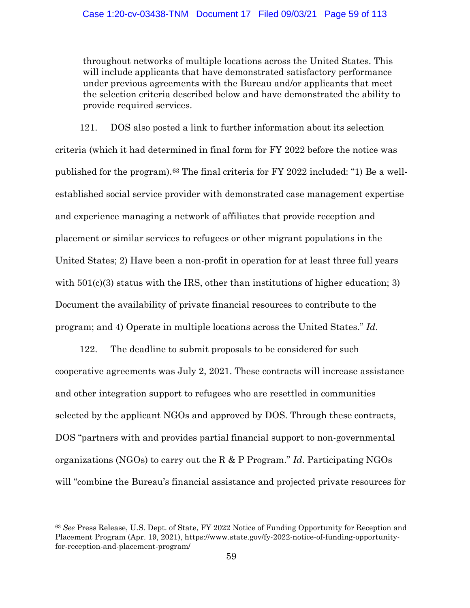throughout networks of multiple locations across the United States. This will include applicants that have demonstrated satisfactory performance under previous agreements with the Bureau and/or applicants that meet the selection criteria described below and have demonstrated the ability to provide required services.

121. DOS also posted a link to further information about its selection criteria (which it had determined in final form for FY 2022 before the notice was published for the program).[63](#page-58-0) The final criteria for FY 2022 included: "1) Be a wellestablished social service provider with demonstrated case management expertise and experience managing a network of affiliates that provide reception and placement or similar services to refugees or other migrant populations in the United States; 2) Have been a non-profit in operation for at least three full years with  $501(c)(3)$  status with the IRS, other than institutions of higher education; 3) Document the availability of private financial resources to contribute to the program; and 4) Operate in multiple locations across the United States." *Id*.

122. The deadline to submit proposals to be considered for such cooperative agreements was July 2, 2021. These contracts will increase assistance and other integration support to refugees who are resettled in communities selected by the applicant NGOs and approved by DOS. Through these contracts, DOS "partners with and provides partial financial support to non-governmental organizations (NGOs) to carry out the R & P Program." *Id*. Participating NGOs will "combine the Bureau's financial assistance and projected private resources for

<span id="page-58-0"></span><sup>63</sup> *See* Press Release, U.S. Dept. of State, FY 2022 Notice of Funding Opportunity for Reception and Placement Program (Apr. 19, 2021), https://www.state.gov/fy-2022-notice-of-funding-opportunityfor-reception-and-placement-program/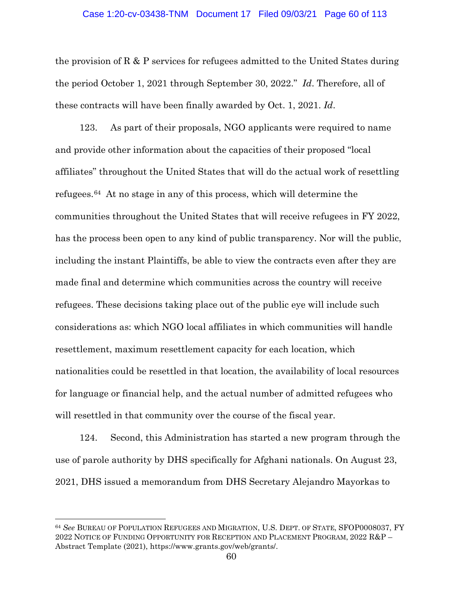#### Case 1:20-cv-03438-TNM Document 17 Filed 09/03/21 Page 60 of 113

the provision of R & P services for refugees admitted to the United States during the period October 1, 2021 through September 30, 2022." *Id*. Therefore, all of these contracts will have been finally awarded by Oct. 1, 2021. *Id*.

123. As part of their proposals, NGO applicants were required to name and provide other information about the capacities of their proposed "local affiliates" throughout the United States that will do the actual work of resettling refugees.[64](#page-59-0) At no stage in any of this process, which will determine the communities throughout the United States that will receive refugees in FY 2022, has the process been open to any kind of public transparency. Nor will the public, including the instant Plaintiffs, be able to view the contracts even after they are made final and determine which communities across the country will receive refugees. These decisions taking place out of the public eye will include such considerations as: which NGO local affiliates in which communities will handle resettlement, maximum resettlement capacity for each location, which nationalities could be resettled in that location, the availability of local resources for language or financial help, and the actual number of admitted refugees who will resettled in that community over the course of the fiscal year.

124. Second, this Administration has started a new program through the use of parole authority by DHS specifically for Afghani nationals. On August 23, 2021, DHS issued a memorandum from DHS Secretary Alejandro Mayorkas to

<span id="page-59-0"></span><sup>64</sup> *See* BUREAU OF POPULATION REFUGEES AND MIGRATION, U.S. DEPT. OF STATE, SFOP0008037, FY 2022 NOTICE OF FUNDING OPPORTUNITY FOR RECEPTION AND PLACEMENT PROGRAM, 2022 R&P – Abstract Template (2021), https://www.grants.gov/web/grants/.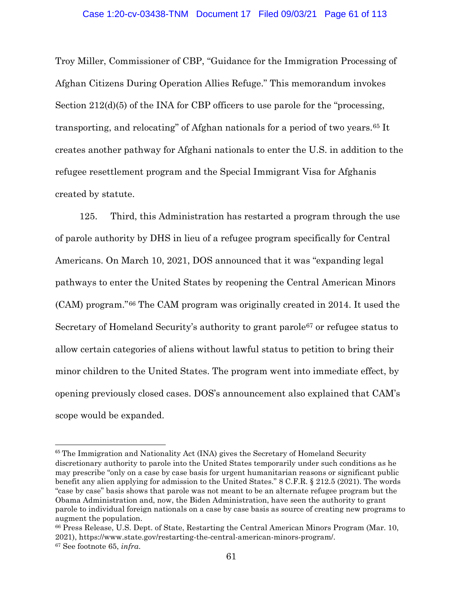Troy Miller, Commissioner of CBP, "Guidance for the Immigration Processing of Afghan Citizens During Operation Allies Refuge." This memorandum invokes Section 212(d)(5) of the INA for CBP officers to use parole for the "processing, transporting, and relocating" of Afghan nationals for a period of two years.[65](#page-60-0) It creates another pathway for Afghani nationals to enter the U.S. in addition to the refugee resettlement program and the Special Immigrant Visa for Afghanis created by statute.

125. Third, this Administration has restarted a program through the use of parole authority by DHS in lieu of a refugee program specifically for Central Americans. On March 10, 2021, DOS announced that it was "expanding legal pathways to enter the United States by reopening the Central American Minors (CAM) program."[66](#page-60-1) The CAM program was originally created in 2014. It used the Secretary of Homeland Security's authority to grant parole[67](#page-60-2) or refugee status to allow certain categories of aliens without lawful status to petition to bring their minor children to the United States. The program went into immediate effect, by opening previously closed cases. DOS's announcement also explained that CAM's scope would be expanded.

<span id="page-60-0"></span><sup>&</sup>lt;sup>65</sup> The Immigration and Nationality Act (INA) gives the Secretary of Homeland Security discretionary authority to parole into the United States temporarily under such conditions as he may prescribe "only on a case by case basis for urgent humanitarian reasons or significant public benefit any alien applying for admission to the United States." 8 C.F.R. § 212.5 (2021). The words "case by case" basis shows that parole was not meant to be an alternate refugee program but the Obama Administration and, now, the Biden Administration, have seen the authority to grant parole to individual foreign nationals on a case by case basis as source of creating new programs to augment the population.

<span id="page-60-2"></span><span id="page-60-1"></span><sup>66</sup> Press Release, U.S. Dept. of State, Restarting the Central American Minors Program (Mar. 10, 2021), https://www.state.gov/restarting-the-central-american-minors-program/. <sup>67</sup> See footnote 65, *infra*.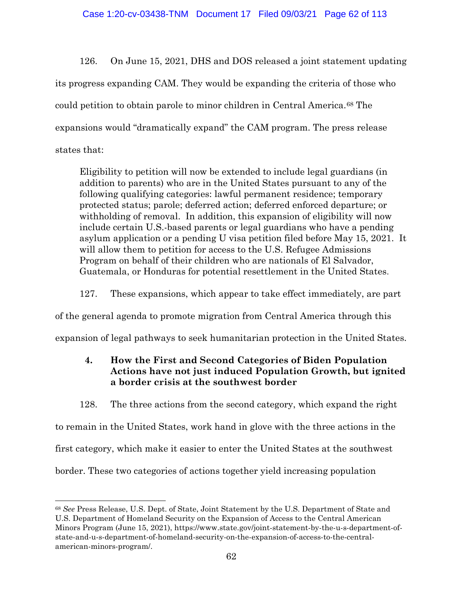126. On June 15, 2021, DHS and DOS released a joint statement updating its progress expanding CAM. They would be expanding the criteria of those who could petition to obtain parole to minor children in Central America.[68](#page-61-0) The expansions would "dramatically expand" the CAM program. The press release states that:

Eligibility to petition will now be extended to include legal guardians (in addition to parents) who are in the United States pursuant to any of the following qualifying categories: lawful permanent residence; temporary protected status; parole; deferred action; deferred enforced departure; or withholding of removal. In addition, this expansion of eligibility will now include certain U.S.-based parents or legal guardians who have a pending asylum application or a pending U visa petition filed before May 15, 2021. It will allow them to petition for access to the U.S. Refugee Admissions Program on behalf of their children who are nationals of El Salvador, Guatemala, or Honduras for potential resettlement in the United States.

127. These expansions, which appear to take effect immediately, are part

of the general agenda to promote migration from Central America through this

expansion of legal pathways to seek humanitarian protection in the United States.

# **4. How the First and Second Categories of Biden Population Actions have not just induced Population Growth, but ignited a border crisis at the southwest border**

128. The three actions from the second category, which expand the right

to remain in the United States, work hand in glove with the three actions in the

first category, which make it easier to enter the United States at the southwest

border. These two categories of actions together yield increasing population

<span id="page-61-0"></span> $\overline{a}$ <sup>68</sup> *See* Press Release, U.S. Dept. of State, Joint Statement by the U.S. Department of State and U.S. Department of Homeland Security on the Expansion of Access to the Central American Minors Program (June 15, 2021), https://www.state.gov/joint-statement-by-the-u-s-department-ofstate-and-u-s-department-of-homeland-security-on-the-expansion-of-access-to-the-centralamerican-minors-program/.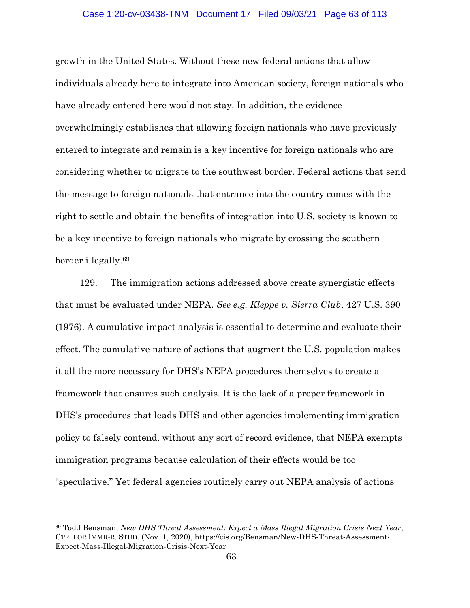### Case 1:20-cv-03438-TNM Document 17 Filed 09/03/21 Page 63 of 113

growth in the United States. Without these new federal actions that allow individuals already here to integrate into American society, foreign nationals who have already entered here would not stay. In addition, the evidence overwhelmingly establishes that allowing foreign nationals who have previously entered to integrate and remain is a key incentive for foreign nationals who are considering whether to migrate to the southwest border. Federal actions that send the message to foreign nationals that entrance into the country comes with the right to settle and obtain the benefits of integration into U.S. society is known to be a key incentive to foreign nationals who migrate by crossing the southern border illegally.[69](#page-62-0)

129. The immigration actions addressed above create synergistic effects that must be evaluated under NEPA. *See e.g. Kleppe v. Sierra Club*, 427 U.S. 390 (1976). A cumulative impact analysis is essential to determine and evaluate their effect. The cumulative nature of actions that augment the U.S. population makes it all the more necessary for DHS's NEPA procedures themselves to create a framework that ensures such analysis. It is the lack of a proper framework in DHS's procedures that leads DHS and other agencies implementing immigration policy to falsely contend, without any sort of record evidence, that NEPA exempts immigration programs because calculation of their effects would be too "speculative." Yet federal agencies routinely carry out NEPA analysis of actions

<span id="page-62-0"></span><sup>69</sup> Todd Bensman, *New DHS Threat Assessment: Expect a Mass Illegal Migration Crisis Next Year*, CTR. FOR IMMIGR. STUD. (Nov. 1, 2020), https://cis.org/Bensman/New-DHS-Threat-Assessment-Expect-Mass-Illegal-Migration-Crisis-Next-Year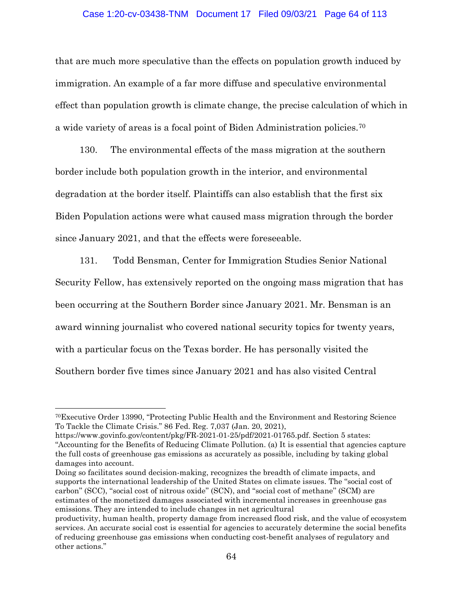### Case 1:20-cv-03438-TNM Document 17 Filed 09/03/21 Page 64 of 113

that are much more speculative than the effects on population growth induced by immigration. An example of a far more diffuse and speculative environmental effect than population growth is climate change, the precise calculation of which in a wide variety of areas is a focal point of Biden Administration policies[.70](#page-63-0)

130. The environmental effects of the mass migration at the southern border include both population growth in the interior, and environmental degradation at the border itself. Plaintiffs can also establish that the first six Biden Population actions were what caused mass migration through the border since January 2021, and that the effects were foreseeable.

131. Todd Bensman, Center for Immigration Studies Senior National Security Fellow, has extensively reported on the ongoing mass migration that has been occurring at the Southern Border since January 2021. Mr. Bensman is an award winning journalist who covered national security topics for twenty years, with a particular focus on the Texas border. He has personally visited the Southern border five times since January 2021 and has also visited Central

<span id="page-63-0"></span><sup>70</sup>Executive Order 13990, "Protecting Public Health and the Environment and Restoring Science To Tackle the Climate Crisis." 86 Fed. Reg. 7,037 (Jan. 20, 2021),

[https://www.govinfo.gov/content/pkg/FR-2021-01-25/pdf/2021-01765.pdf.](https://www.govinfo.gov/content/pkg/FR-2021-01-25/pdf/2021-01765.pdf) Section 5 states: "Accounting for the Benefits of Reducing Climate Pollution. (a) It is essential that agencies capture the full costs of greenhouse gas emissions as accurately as possible, including by taking global damages into account.

Doing so facilitates sound decision-making, recognizes the breadth of climate impacts, and supports the international leadership of the United States on climate issues. The "social cost of carbon'' (SCC), ''social cost of nitrous oxide'' (SCN), and ''social cost of methane'' (SCM) are estimates of the monetized damages associated with incremental increases in greenhouse gas emissions. They are intended to include changes in net agricultural

productivity, human health, property damage from increased flood risk, and the value of ecosystem services. An accurate social cost is essential for agencies to accurately determine the social benefits of reducing greenhouse gas emissions when conducting cost-benefit analyses of regulatory and other actions."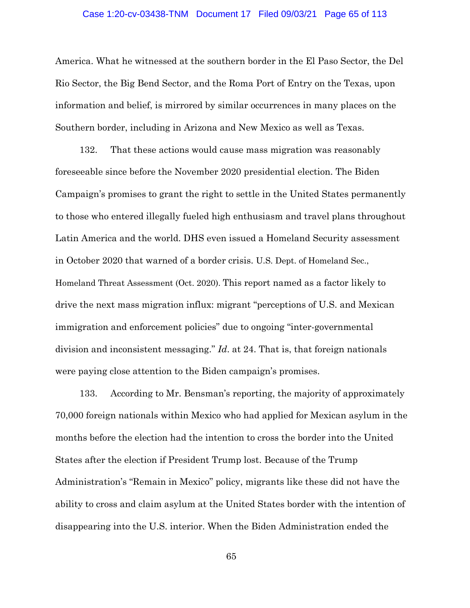#### Case 1:20-cv-03438-TNM Document 17 Filed 09/03/21 Page 65 of 113

America. What he witnessed at the southern border in the El Paso Sector, the Del Rio Sector, the Big Bend Sector, and the Roma Port of Entry on the Texas, upon information and belief, is mirrored by similar occurrences in many places on the Southern border, including in Arizona and New Mexico as well as Texas.

132. That these actions would cause mass migration was reasonably foreseeable since before the November 2020 presidential election. The Biden Campaign's promises to grant the right to settle in the United States permanently to those who entered illegally fueled high enthusiasm and travel plans throughout Latin America and the world. DHS even issued a Homeland Security assessment in October 2020 that warned of a border crisis. U.S. Dept. of Homeland Sec., Homeland Threat Assessment (Oct. 2020). This report named as a factor likely to drive the next mass migration influx: migrant "perceptions of U.S. and Mexican immigration and enforcement policies" due to ongoing "inter-governmental division and inconsistent messaging." *Id*. at 24. That is, that foreign nationals were paying close attention to the Biden campaign's promises.

133. According to Mr. Bensman's reporting, the majority of approximately 70,000 foreign nationals within Mexico who had applied for Mexican asylum in the months before the election had the intention to cross the border into the United States after the election if President Trump lost. Because of the Trump Administration's "Remain in Mexico" policy, migrants like these did not have the ability to cross and claim asylum at the United States border with the intention of disappearing into the U.S. interior. When the Biden Administration ended the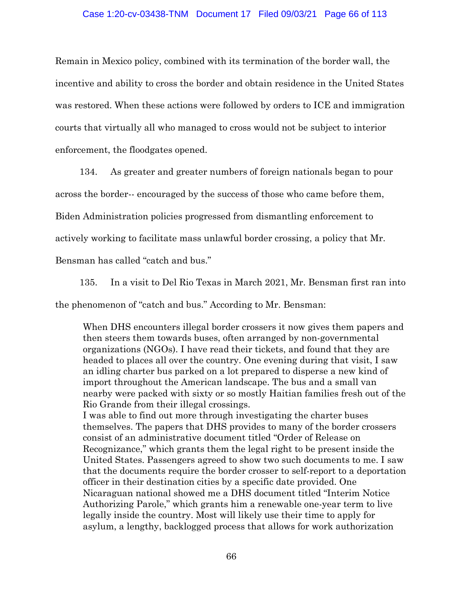#### Case 1:20-cv-03438-TNM Document 17 Filed 09/03/21 Page 66 of 113

Remain in Mexico policy, combined with its termination of the border wall, the incentive and ability to cross the border and obtain residence in the United States was restored. When these actions were followed by orders to ICE and immigration courts that virtually all who managed to cross would not be subject to interior enforcement, the floodgates opened.

134. As greater and greater numbers of foreign nationals began to pour

across the border-- encouraged by the success of those who came before them,

Biden Administration policies progressed from dismantling enforcement to

actively working to facilitate mass unlawful border crossing, a policy that Mr.

Bensman has called "catch and bus."

135. In a visit to Del Rio Texas in March 2021, Mr. Bensman first ran into

the phenomenon of "catch and bus." According to Mr. Bensman:

When DHS encounters illegal border crossers it now gives them papers and then steers them towards buses, often arranged by non-governmental organizations (NGOs). I have read their tickets, and found that they are headed to places all over the country. One evening during that visit, I saw an idling charter bus parked on a lot prepared to disperse a new kind of import throughout the American landscape. The bus and a small van nearby were packed with sixty or so mostly Haitian families fresh out of the Rio Grande from their illegal crossings.

I was able to find out more through investigating the charter buses themselves. The papers that DHS provides to many of the border crossers consist of an administrative document titled "Order of Release on Recognizance," which grants them the legal right to be present inside the United States. Passengers agreed to show two such documents to me. I saw that the documents require the border crosser to self-report to a deportation officer in their destination cities by a specific date provided. One Nicaraguan national showed me a DHS document titled "Interim Notice Authorizing Parole," which grants him a renewable one-year term to live legally inside the country. Most will likely use their time to apply for asylum, a lengthy, backlogged process that allows for work authorization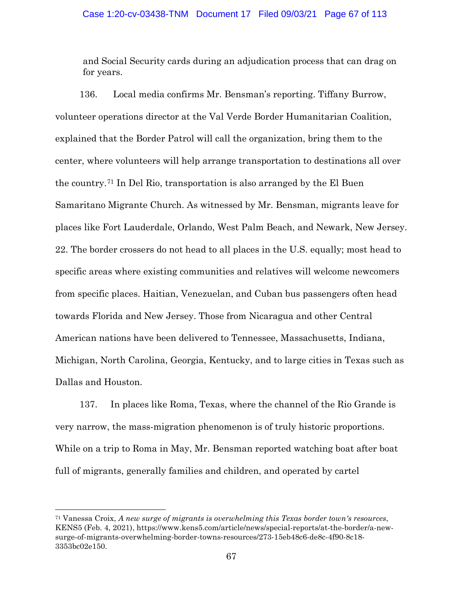and Social Security cards during an adjudication process that can drag on for years.

136. Local media confirms Mr. Bensman's reporting. Tiffany Burrow, volunteer operations director at the Val Verde Border Humanitarian Coalition, explained that the Border Patrol will call the organization, bring them to the center, where volunteers will help arrange transportation to destinations all over the country.[71](#page-66-0) In Del Rio, transportation is also arranged by the El Buen Samaritano Migrante Church. As witnessed by Mr. Bensman, migrants leave for places like Fort Lauderdale, Orlando, West Palm Beach, and Newark, New Jersey. 22. The border crossers do not head to all places in the U.S. equally; most head to specific areas where existing communities and relatives will welcome newcomers from specific places. Haitian, Venezuelan, and Cuban bus passengers often head towards Florida and New Jersey. Those from Nicaragua and other Central American nations have been delivered to Tennessee, Massachusetts, Indiana, Michigan, North Carolina, Georgia, Kentucky, and to large cities in Texas such as Dallas and Houston.

137. In places like Roma, Texas, where the channel of the Rio Grande is very narrow, the mass-migration phenomenon is of truly historic proportions. While on a trip to Roma in May, Mr. Bensman reported watching boat after boat full of migrants, generally families and children, and operated by cartel

<span id="page-66-0"></span><sup>71</sup> Vanessa Croix, *A new surge of migrants is overwhelming this Texas border town's resources*, KENS5 (Feb. 4, 2021), https://www.kens5.com/article/news/special-reports/at-the-border/a-newsurge-of-migrants-overwhelming-border-towns-resources/273-15eb48c6-de8c-4f90-8c18- 3353bc02e150.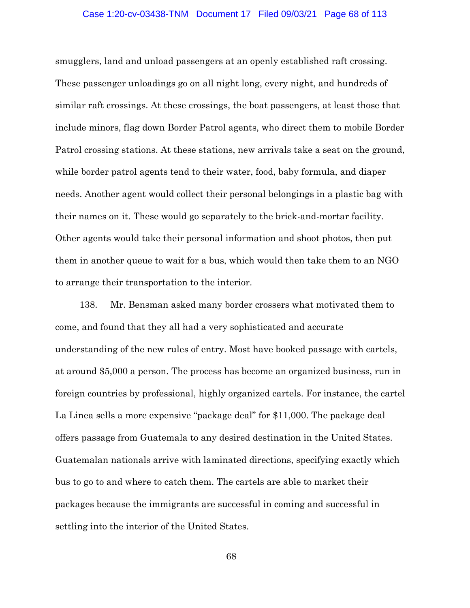#### Case 1:20-cv-03438-TNM Document 17 Filed 09/03/21 Page 68 of 113

smugglers, land and unload passengers at an openly established raft crossing. These passenger unloadings go on all night long, every night, and hundreds of similar raft crossings. At these crossings, the boat passengers, at least those that include minors, flag down Border Patrol agents, who direct them to mobile Border Patrol crossing stations. At these stations, new arrivals take a seat on the ground, while border patrol agents tend to their water, food, baby formula, and diaper needs. Another agent would collect their personal belongings in a plastic bag with their names on it. These would go separately to the brick-and-mortar facility. Other agents would take their personal information and shoot photos, then put them in another queue to wait for a bus, which would then take them to an NGO to arrange their transportation to the interior.

138. Mr. Bensman asked many border crossers what motivated them to come, and found that they all had a very sophisticated and accurate understanding of the new rules of entry. Most have booked passage with cartels, at around \$5,000 a person. The process has become an organized business, run in foreign countries by professional, highly organized cartels. For instance, the cartel La Linea sells a more expensive "package deal" for \$11,000. The package deal offers passage from Guatemala to any desired destination in the United States. Guatemalan nationals arrive with laminated directions, specifying exactly which bus to go to and where to catch them. The cartels are able to market their packages because the immigrants are successful in coming and successful in settling into the interior of the United States.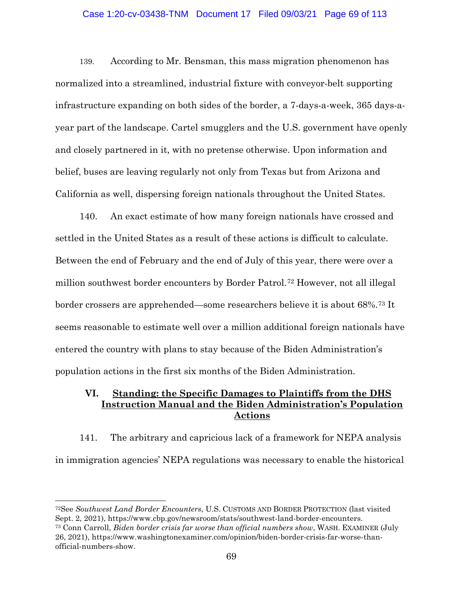### Case 1:20-cv-03438-TNM Document 17 Filed 09/03/21 Page 69 of 113

139. According to Mr. Bensman, this mass migration phenomenon has normalized into a streamlined, industrial fixture with conveyor-belt supporting infrastructure expanding on both sides of the border, a 7-days-a-week, 365 days-ayear part of the landscape. Cartel smugglers and the U.S. government have openly and closely partnered in it, with no pretense otherwise. Upon information and belief, buses are leaving regularly not only from Texas but from Arizona and California as well, dispersing foreign nationals throughout the United States.

140. An exact estimate of how many foreign nationals have crossed and settled in the United States as a result of these actions is difficult to calculate. Between the end of February and the end of July of this year, there were over a million southwest border encounters by Border Patrol.[72](#page-68-0) However, not all illegal border crossers are apprehended—some researchers believe it is about 68%.[73](#page-68-1) It seems reasonable to estimate well over a million additional foreign nationals have entered the country with plans to stay because of the Biden Administration's population actions in the first six months of the Biden Administration.

# **VI. Standing: the Specific Damages to Plaintiffs from the DHS Instruction Manual and the Biden Administration's Population Actions**

141. The arbitrary and capricious lack of a framework for NEPA analysis in immigration agencies' NEPA regulations was necessary to enable the historical

<span id="page-68-1"></span><span id="page-68-0"></span>72See *Southwest Land Border Encounters*, U.S. CUSTOMS AND BORDER PROTECTION (last visited Sept. 2, 2021), https://www.cbp.gov/newsroom/stats/southwest-land-border-encounters. <sup>73</sup> Conn Carroll, *Biden border crisis far worse than official numbers show*, WASH. EXAMINER (July 26, 2021), https://www.washingtonexaminer.com/opinion/biden-border-crisis-far-worse-thanofficial-numbers-show.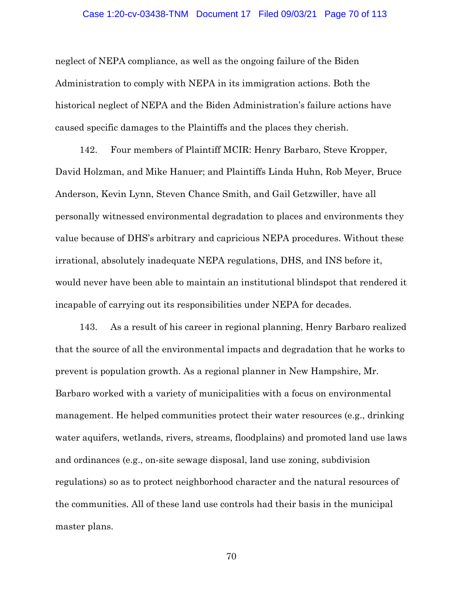#### Case 1:20-cv-03438-TNM Document 17 Filed 09/03/21 Page 70 of 113

neglect of NEPA compliance, as well as the ongoing failure of the Biden Administration to comply with NEPA in its immigration actions. Both the historical neglect of NEPA and the Biden Administration's failure actions have caused specific damages to the Plaintiffs and the places they cherish.

142. Four members of Plaintiff MCIR: Henry Barbaro, Steve Kropper, David Holzman, and Mike Hanuer; and Plaintiffs Linda Huhn, Rob Meyer, Bruce Anderson, Kevin Lynn, Steven Chance Smith, and Gail Getzwiller, have all personally witnessed environmental degradation to places and environments they value because of DHS's arbitrary and capricious NEPA procedures. Without these irrational, absolutely inadequate NEPA regulations, DHS, and INS before it, would never have been able to maintain an institutional blindspot that rendered it incapable of carrying out its responsibilities under NEPA for decades.

143. As a result of his career in regional planning, Henry Barbaro realized that the source of all the environmental impacts and degradation that he works to prevent is population growth. As a regional planner in New Hampshire, Mr. Barbaro worked with a variety of municipalities with a focus on environmental management. He helped communities protect their water resources (e.g., drinking water aquifers, wetlands, rivers, streams, floodplains) and promoted land use laws and ordinances (e.g., on-site sewage disposal, land use zoning, subdivision regulations) so as to protect neighborhood character and the natural resources of the communities. All of these land use controls had their basis in the municipal master plans.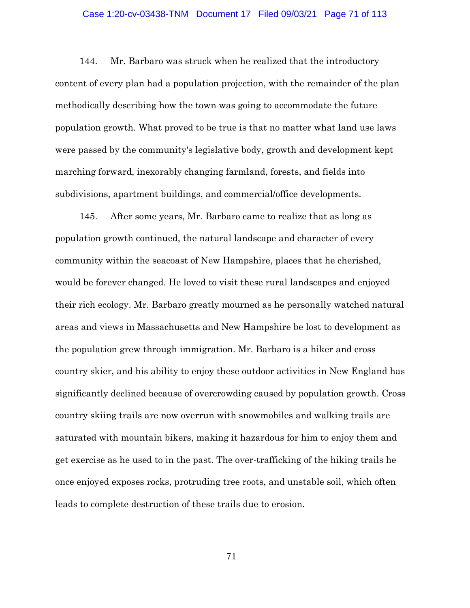### Case 1:20-cv-03438-TNM Document 17 Filed 09/03/21 Page 71 of 113

144. Mr. Barbaro was struck when he realized that the introductory content of every plan had a population projection, with the remainder of the plan methodically describing how the town was going to accommodate the future population growth. What proved to be true is that no matter what land use laws were passed by the community's legislative body, growth and development kept marching forward, inexorably changing farmland, forests, and fields into subdivisions, apartment buildings, and commercial/office developments.

145. After some years, Mr. Barbaro came to realize that as long as population growth continued, the natural landscape and character of every community within the seacoast of New Hampshire, places that he cherished, would be forever changed. He loved to visit these rural landscapes and enjoyed their rich ecology. Mr. Barbaro greatly mourned as he personally watched natural areas and views in Massachusetts and New Hampshire be lost to development as the population grew through immigration. Mr. Barbaro is a hiker and cross country skier, and his ability to enjoy these outdoor activities in New England has significantly declined because of overcrowding caused by population growth. Cross country skiing trails are now overrun with snowmobiles and walking trails are saturated with mountain bikers, making it hazardous for him to enjoy them and get exercise as he used to in the past. The over-trafficking of the hiking trails he once enjoyed exposes rocks, protruding tree roots, and unstable soil, which often leads to complete destruction of these trails due to erosion.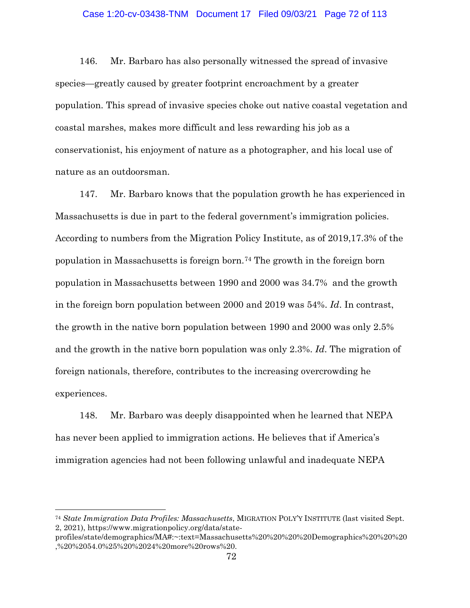### Case 1:20-cv-03438-TNM Document 17 Filed 09/03/21 Page 72 of 113

146. Mr. Barbaro has also personally witnessed the spread of invasive species—greatly caused by greater footprint encroachment by a greater population. This spread of invasive species choke out native coastal vegetation and coastal marshes, makes more difficult and less rewarding his job as a conservationist, his enjoyment of nature as a photographer, and his local use of nature as an outdoorsman.

147. Mr. Barbaro knows that the population growth he has experienced in Massachusetts is due in part to the federal government's immigration policies. According to numbers from the Migration Policy Institute, as of 2019,17.3% of the population in Massachusetts is foreign born.[74](#page-71-0) The growth in the foreign born population in Massachusetts between 1990 and 2000 was 34.7% and the growth in the foreign born population between 2000 and 2019 was 54%. *Id*. In contrast, the growth in the native born population between 1990 and 2000 was only 2.5% and the growth in the native born population was only 2.3%. *Id*. The migration of foreign nationals, therefore, contributes to the increasing overcrowding he experiences.

148. Mr. Barbaro was deeply disappointed when he learned that NEPA has never been applied to immigration actions. He believes that if America's immigration agencies had not been following unlawful and inadequate NEPA

<span id="page-71-0"></span><sup>74</sup> *State Immigration Data Profiles: Massachusetts*, MIGRATION POLY'Y INSTITUTE (last visited Sept. 2, 2021), https://www.migrationpolicy.org/data/state-

profiles/state/demographics/MA#:~:text=Massachusetts%20%20%20%20Demographics%20%20%20 ,%20%2054.0%25%20%2024%20more%20rows%20.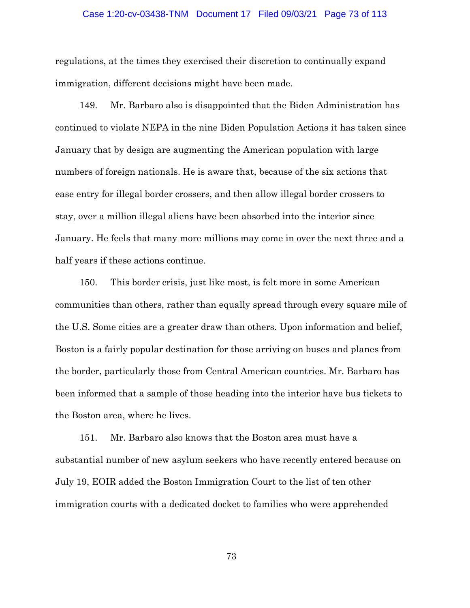### Case 1:20-cv-03438-TNM Document 17 Filed 09/03/21 Page 73 of 113

regulations, at the times they exercised their discretion to continually expand immigration, different decisions might have been made.

149. Mr. Barbaro also is disappointed that the Biden Administration has continued to violate NEPA in the nine Biden Population Actions it has taken since January that by design are augmenting the American population with large numbers of foreign nationals. He is aware that, because of the six actions that ease entry for illegal border crossers, and then allow illegal border crossers to stay, over a million illegal aliens have been absorbed into the interior since January. He feels that many more millions may come in over the next three and a half years if these actions continue.

150. This border crisis, just like most, is felt more in some American communities than others, rather than equally spread through every square mile of the U.S. Some cities are a greater draw than others. Upon information and belief, Boston is a fairly popular destination for those arriving on buses and planes from the border, particularly those from Central American countries. Mr. Barbaro has been informed that a sample of those heading into the interior have bus tickets to the Boston area, where he lives.

151. Mr. Barbaro also knows that the Boston area must have a substantial number of new asylum seekers who have recently entered because on July 19, EOIR added the Boston Immigration Court to the list of ten other immigration courts with a dedicated docket to families who were apprehended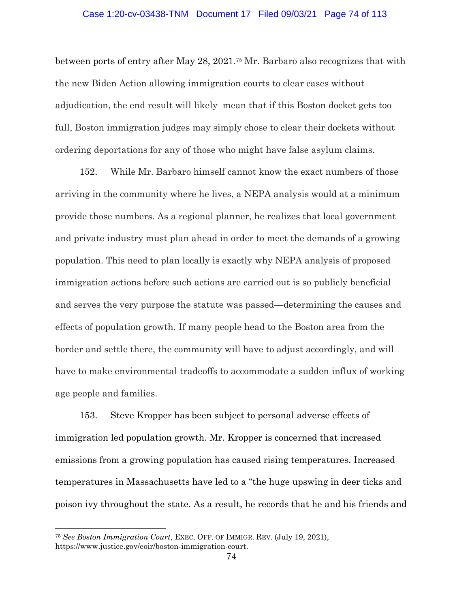## Case 1:20-cv-03438-TNM Document 17 Filed 09/03/21 Page 74 of 113

between ports of entry after May 28, 2021.[75](#page-73-0) Mr. Barbaro also recognizes that with the new Biden Action allowing immigration courts to clear cases without adjudication, the end result will likely mean that if this Boston docket gets too full, Boston immigration judges may simply chose to clear their dockets without ordering deportations for any of those who might have false asylum claims.

152. While Mr. Barbaro himself cannot know the exact numbers of those arriving in the community where he lives, a NEPA analysis would at a minimum provide those numbers. As a regional planner, he realizes that local government and private industry must plan ahead in order to meet the demands of a growing population. This need to plan locally is exactly why NEPA analysis of proposed immigration actions before such actions are carried out is so publicly beneficial and serves the very purpose the statute was passed—determining the causes and effects of population growth. If many people head to the Boston area from the border and settle there, the community will have to adjust accordingly, and will have to make environmental tradeoffs to accommodate a sudden influx of working age people and families.

153. Steve Kropper has been subject to personal adverse effects of immigration led population growth. Mr. Kropper is concerned that increased emissions from a growing population has caused rising temperatures. Increased temperatures in Massachusetts have led to a "the huge upswing in deer ticks and poison ivy throughout the state. As a result, he records that he and his friends and

 $\overline{a}$ 

<span id="page-73-0"></span><sup>75</sup> *See Boston Immigration Court*, EXEC. OFF. OF IMMIGR. REV. (July 19, 2021), https://www.justice.gov/eoir/boston-immigration-court.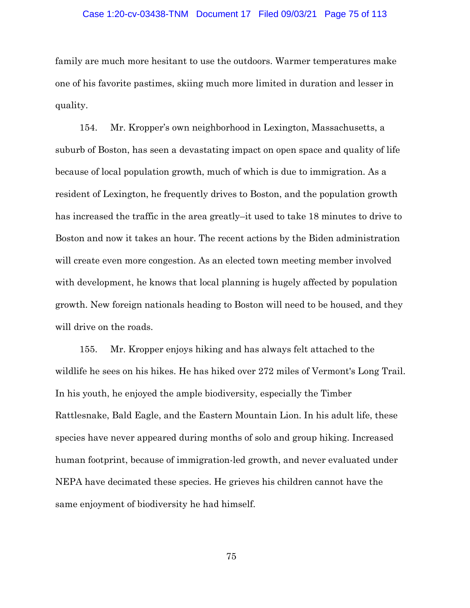### Case 1:20-cv-03438-TNM Document 17 Filed 09/03/21 Page 75 of 113

family are much more hesitant to use the outdoors. Warmer temperatures make one of his favorite pastimes, skiing much more limited in duration and lesser in quality.

154. Mr. Kropper's own neighborhood in Lexington, Massachusetts, a suburb of Boston, has seen a devastating impact on open space and quality of life because of local population growth, much of which is due to immigration. As a resident of Lexington, he frequently drives to Boston, and the population growth has increased the traffic in the area greatly–it used to take 18 minutes to drive to Boston and now it takes an hour. The recent actions by the Biden administration will create even more congestion. As an elected town meeting member involved with development, he knows that local planning is hugely affected by population growth. New foreign nationals heading to Boston will need to be housed, and they will drive on the roads.

155. Mr. Kropper enjoys hiking and has always felt attached to the wildlife he sees on his hikes. He has hiked over 272 miles of Vermont's Long Trail. In his youth, he enjoyed the ample biodiversity, especially the Timber Rattlesnake, Bald Eagle, and the Eastern Mountain Lion. In his adult life, these species have never appeared during months of solo and group hiking. Increased human footprint, because of immigration-led growth, and never evaluated under NEPA have decimated these species. He grieves his children cannot have the same enjoyment of biodiversity he had himself.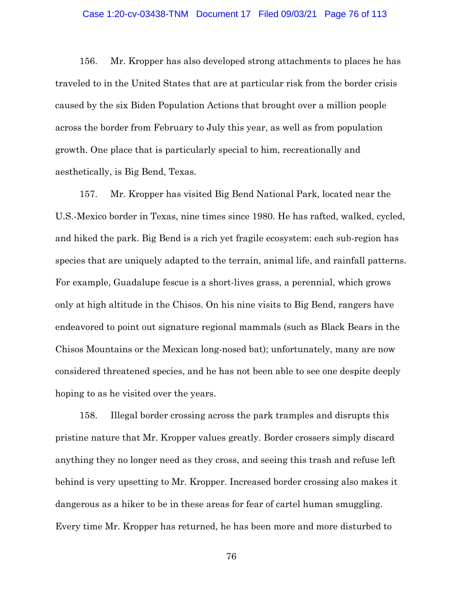## Case 1:20-cv-03438-TNM Document 17 Filed 09/03/21 Page 76 of 113

156. Mr. Kropper has also developed strong attachments to places he has traveled to in the United States that are at particular risk from the border crisis caused by the six Biden Population Actions that brought over a million people across the border from February to July this year, as well as from population growth. One place that is particularly special to him, recreationally and aesthetically, is Big Bend, Texas.

157. Mr. Kropper has visited Big Bend National Park, located near the U.S.-Mexico border in Texas, nine times since 1980. He has rafted, walked, cycled, and hiked the park. Big Bend is a rich yet fragile ecosystem: each sub-region has species that are uniquely adapted to the terrain, animal life, and rainfall patterns. For example, Guadalupe fescue is a short-lives grass, a perennial, which grows only at high altitude in the Chisos. On his nine visits to Big Bend, rangers have endeavored to point out signature regional mammals (such as Black Bears in the Chisos Mountains or the Mexican long-nosed bat); unfortunately, many are now considered threatened species, and he has not been able to see one despite deeply hoping to as he visited over the years.

158. Illegal border crossing across the park tramples and disrupts this pristine nature that Mr. Kropper values greatly. Border crossers simply discard anything they no longer need as they cross, and seeing this trash and refuse left behind is very upsetting to Mr. Kropper. Increased border crossing also makes it dangerous as a hiker to be in these areas for fear of cartel human smuggling. Every time Mr. Kropper has returned, he has been more and more disturbed to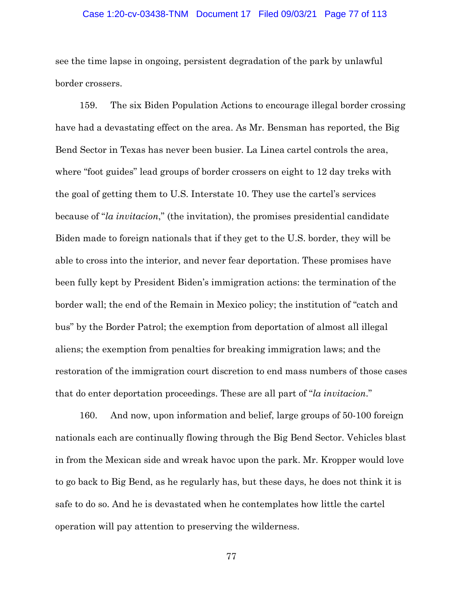### Case 1:20-cv-03438-TNM Document 17 Filed 09/03/21 Page 77 of 113

see the time lapse in ongoing, persistent degradation of the park by unlawful border crossers.

159. The six Biden Population Actions to encourage illegal border crossing have had a devastating effect on the area. As Mr. Bensman has reported, the Big Bend Sector in Texas has never been busier. La Linea cartel controls the area, where "foot guides" lead groups of border crossers on eight to 12 day treks with the goal of getting them to U.S. Interstate 10. They use the cartel's services because of "*la invitacion*," (the invitation), the promises presidential candidate Biden made to foreign nationals that if they get to the U.S. border, they will be able to cross into the interior, and never fear deportation. These promises have been fully kept by President Biden's immigration actions: the termination of the border wall; the end of the Remain in Mexico policy; the institution of "catch and bus" by the Border Patrol; the exemption from deportation of almost all illegal aliens; the exemption from penalties for breaking immigration laws; and the restoration of the immigration court discretion to end mass numbers of those cases that do enter deportation proceedings. These are all part of "*la invitacion*."

160. And now, upon information and belief, large groups of 50-100 foreign nationals each are continually flowing through the Big Bend Sector. Vehicles blast in from the Mexican side and wreak havoc upon the park. Mr. Kropper would love to go back to Big Bend, as he regularly has, but these days, he does not think it is safe to do so. And he is devastated when he contemplates how little the cartel operation will pay attention to preserving the wilderness.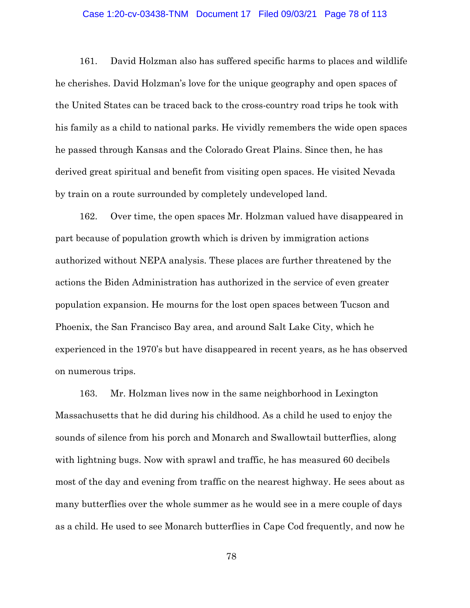### Case 1:20-cv-03438-TNM Document 17 Filed 09/03/21 Page 78 of 113

161. David Holzman also has suffered specific harms to places and wildlife he cherishes. David Holzman's love for the unique geography and open spaces of the United States can be traced back to the cross-country road trips he took with his family as a child to national parks. He vividly remembers the wide open spaces he passed through Kansas and the Colorado Great Plains. Since then, he has derived great spiritual and benefit from visiting open spaces. He visited Nevada by train on a route surrounded by completely undeveloped land.

162. Over time, the open spaces Mr. Holzman valued have disappeared in part because of population growth which is driven by immigration actions authorized without NEPA analysis. These places are further threatened by the actions the Biden Administration has authorized in the service of even greater population expansion. He mourns for the lost open spaces between Tucson and Phoenix, the San Francisco Bay area, and around Salt Lake City, which he experienced in the 1970's but have disappeared in recent years, as he has observed on numerous trips.

163. Mr. Holzman lives now in the same neighborhood in Lexington Massachusetts that he did during his childhood. As a child he used to enjoy the sounds of silence from his porch and Monarch and Swallowtail butterflies, along with lightning bugs. Now with sprawl and traffic, he has measured 60 decibels most of the day and evening from traffic on the nearest highway. He sees about as many butterflies over the whole summer as he would see in a mere couple of days as a child. He used to see Monarch butterflies in Cape Cod frequently, and now he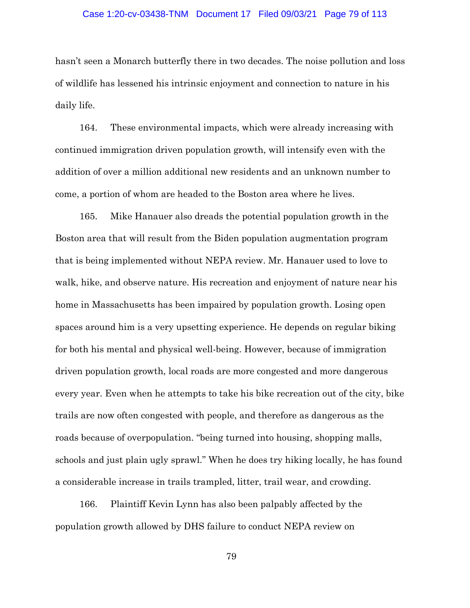### Case 1:20-cv-03438-TNM Document 17 Filed 09/03/21 Page 79 of 113

hasn't seen a Monarch butterfly there in two decades. The noise pollution and loss of wildlife has lessened his intrinsic enjoyment and connection to nature in his daily life.

164. These environmental impacts, which were already increasing with continued immigration driven population growth, will intensify even with the addition of over a million additional new residents and an unknown number to come, a portion of whom are headed to the Boston area where he lives.

165. Mike Hanauer also dreads the potential population growth in the Boston area that will result from the Biden population augmentation program that is being implemented without NEPA review. Mr. Hanauer used to love to walk, hike, and observe nature. His recreation and enjoyment of nature near his home in Massachusetts has been impaired by population growth. Losing open spaces around him is a very upsetting experience. He depends on regular biking for both his mental and physical well-being. However, because of immigration driven population growth, local roads are more congested and more dangerous every year. Even when he attempts to take his bike recreation out of the city, bike trails are now often congested with people, and therefore as dangerous as the roads because of overpopulation. "being turned into housing, shopping malls, schools and just plain ugly sprawl." When he does try hiking locally, he has found a considerable increase in trails trampled, litter, trail wear, and crowding.

166. Plaintiff Kevin Lynn has also been palpably affected by the population growth allowed by DHS failure to conduct NEPA review on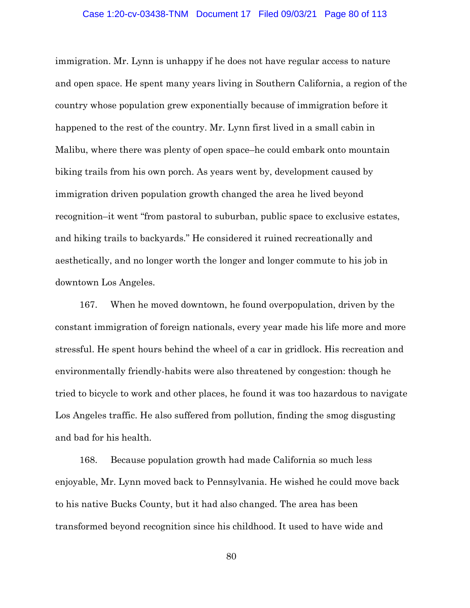#### Case 1:20-cv-03438-TNM Document 17 Filed 09/03/21 Page 80 of 113

immigration. Mr. Lynn is unhappy if he does not have regular access to nature and open space. He spent many years living in Southern California, a region of the country whose population grew exponentially because of immigration before it happened to the rest of the country. Mr. Lynn first lived in a small cabin in Malibu, where there was plenty of open space–he could embark onto mountain biking trails from his own porch. As years went by, development caused by immigration driven population growth changed the area he lived beyond recognition–it went "from pastoral to suburban, public space to exclusive estates, and hiking trails to backyards." He considered it ruined recreationally and aesthetically, and no longer worth the longer and longer commute to his job in downtown Los Angeles.

167. When he moved downtown, he found overpopulation, driven by the constant immigration of foreign nationals, every year made his life more and more stressful. He spent hours behind the wheel of a car in gridlock. His recreation and environmentally friendly-habits were also threatened by congestion: though he tried to bicycle to work and other places, he found it was too hazardous to navigate Los Angeles traffic. He also suffered from pollution, finding the smog disgusting and bad for his health.

168. Because population growth had made California so much less enjoyable, Mr. Lynn moved back to Pennsylvania. He wished he could move back to his native Bucks County, but it had also changed. The area has been transformed beyond recognition since his childhood. It used to have wide and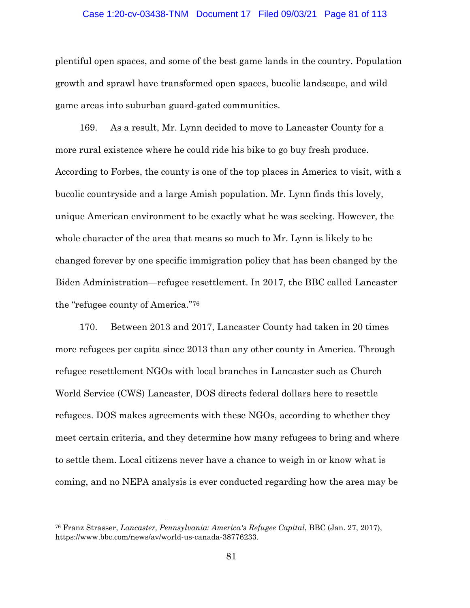## Case 1:20-cv-03438-TNM Document 17 Filed 09/03/21 Page 81 of 113

plentiful open spaces, and some of the best game lands in the country. Population growth and sprawl have transformed open spaces, bucolic landscape, and wild game areas into suburban guard-gated communities.

169. As a result, Mr. Lynn decided to move to Lancaster County for a more rural existence where he could ride his bike to go buy fresh produce. According to Forbes, the county is one of the top places in America to visit, with a bucolic countryside and a large Amish population. Mr. Lynn finds this lovely, unique American environment to be exactly what he was seeking. However, the whole character of the area that means so much to Mr. Lynn is likely to be changed forever by one specific immigration policy that has been changed by the Biden Administration—refugee resettlement. In 2017, the BBC called Lancaster the "refugee county of America."[76](#page-80-0)

170. Between 2013 and 2017, Lancaster County had taken in 20 times more refugees per capita since 2013 than any other county in America. Through refugee resettlement NGOs with local branches in Lancaster such as Church World Service (CWS) Lancaster, DOS directs federal dollars here to resettle refugees. DOS makes agreements with these NGOs, according to whether they meet certain criteria, and they determine how many refugees to bring and where to settle them. Local citizens never have a chance to weigh in or know what is coming, and no NEPA analysis is ever conducted regarding how the area may be

 $\overline{a}$ 

<span id="page-80-0"></span><sup>76</sup> Franz Strasser, *Lancaster, Pennsylvania: America's Refugee Capital*, BBC (Jan. 27, 2017), https://www.bbc.com/news/av/world-us-canada-38776233.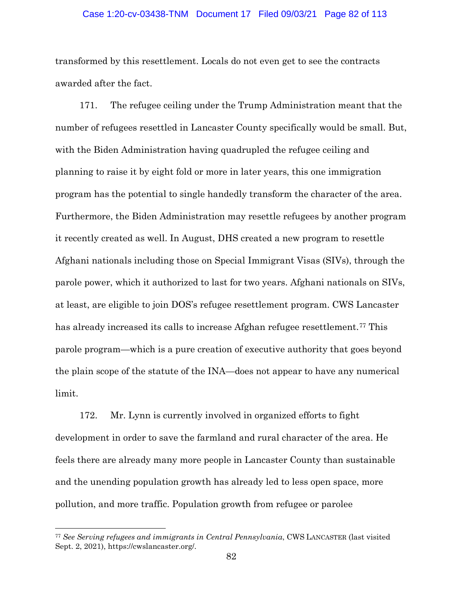## Case 1:20-cv-03438-TNM Document 17 Filed 09/03/21 Page 82 of 113

transformed by this resettlement. Locals do not even get to see the contracts awarded after the fact.

171. The refugee ceiling under the Trump Administration meant that the number of refugees resettled in Lancaster County specifically would be small. But, with the Biden Administration having quadrupled the refugee ceiling and planning to raise it by eight fold or more in later years, this one immigration program has the potential to single handedly transform the character of the area. Furthermore, the Biden Administration may resettle refugees by another program it recently created as well. In August, DHS created a new program to resettle Afghani nationals including those on Special Immigrant Visas (SIVs), through the parole power, which it authorized to last for two years. Afghani nationals on SIVs, at least, are eligible to join DOS's refugee resettlement program. CWS Lancaster has already increased its calls to increase Afghan refugee resettlement.<sup>[77](#page-81-0)</sup> This parole program—which is a pure creation of executive authority that goes beyond the plain scope of the statute of the INA—does not appear to have any numerical limit.

172. Mr. Lynn is currently involved in organized efforts to fight development in order to save the farmland and rural character of the area. He feels there are already many more people in Lancaster County than sustainable and the unending population growth has already led to less open space, more pollution, and more traffic. Population growth from refugee or parolee

 $\overline{a}$ 

<span id="page-81-0"></span><sup>77</sup> *See Serving refugees and immigrants in Central Pennsylvania*, CWS LANCASTER (last visited Sept. 2, 2021), https://cwslancaster.org/.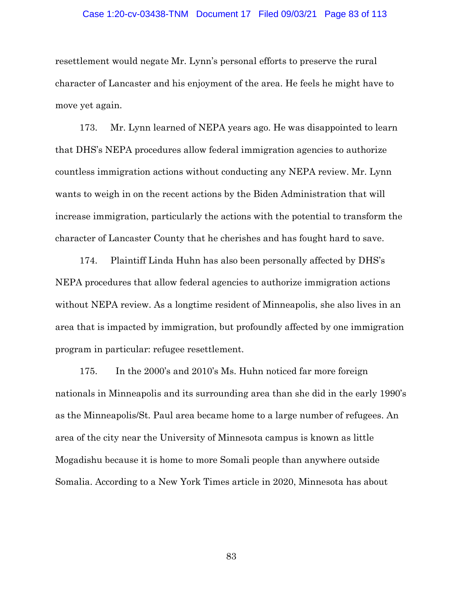#### Case 1:20-cv-03438-TNM Document 17 Filed 09/03/21 Page 83 of 113

resettlement would negate Mr. Lynn's personal efforts to preserve the rural character of Lancaster and his enjoyment of the area. He feels he might have to move yet again.

173. Mr. Lynn learned of NEPA years ago. He was disappointed to learn that DHS's NEPA procedures allow federal immigration agencies to authorize countless immigration actions without conducting any NEPA review. Mr. Lynn wants to weigh in on the recent actions by the Biden Administration that will increase immigration, particularly the actions with the potential to transform the character of Lancaster County that he cherishes and has fought hard to save.

174. Plaintiff Linda Huhn has also been personally affected by DHS's NEPA procedures that allow federal agencies to authorize immigration actions without NEPA review. As a longtime resident of Minneapolis, she also lives in an area that is impacted by immigration, but profoundly affected by one immigration program in particular: refugee resettlement.

175. In the 2000's and 2010's Ms. Huhn noticed far more foreign nationals in Minneapolis and its surrounding area than she did in the early 1990's as the Minneapolis/St. Paul area became home to a large number of refugees. An area of the city near the University of Minnesota campus is known as little Mogadishu because it is home to more Somali people than anywhere outside Somalia. According to a New York Times article in 2020, Minnesota has about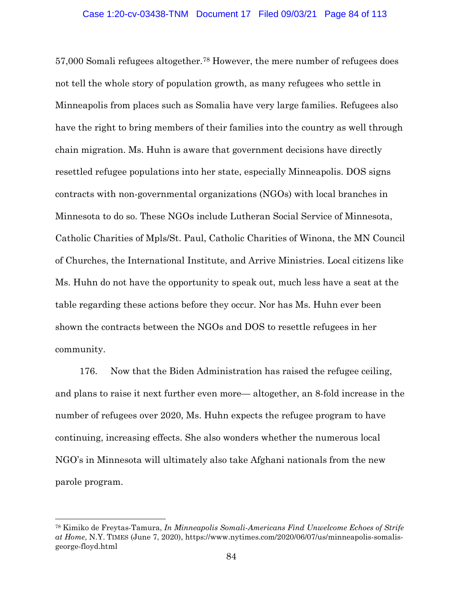57,000 Somali refugees altogether[.78](#page-83-0) However, the mere number of refugees does not tell the whole story of population growth, as many refugees who settle in Minneapolis from places such as Somalia have very large families. Refugees also have the right to bring members of their families into the country as well through chain migration. Ms. Huhn is aware that government decisions have directly resettled refugee populations into her state, especially Minneapolis. DOS signs contracts with non-governmental organizations (NGOs) with local branches in Minnesota to do so. These NGOs include Lutheran Social Service of Minnesota, Catholic Charities of Mpls/St. Paul, Catholic Charities of Winona, the MN Council of Churches, the International Institute, and Arrive Ministries. Local citizens like Ms. Huhn do not have the opportunity to speak out, much less have a seat at the table regarding these actions before they occur. Nor has Ms. Huhn ever been shown the contracts between the NGOs and DOS to resettle refugees in her community.

176. Now that the Biden Administration has raised the refugee ceiling, and plans to raise it next further even more— altogether, an 8-fold increase in the number of refugees over 2020, Ms. Huhn expects the refugee program to have continuing, increasing effects. She also wonders whether the numerous local NGO's in Minnesota will ultimately also take Afghani nationals from the new parole program.

 $\overline{a}$ 

<span id="page-83-0"></span><sup>78</sup> Kimiko de Freytas-Tamura, *In Minneapolis Somali-Americans Find Unwelcome Echoes of Strife at Home*, N.Y. TIMES (June 7, 2020), https://www.nytimes.com/2020/06/07/us/minneapolis-somalisgeorge-floyd.html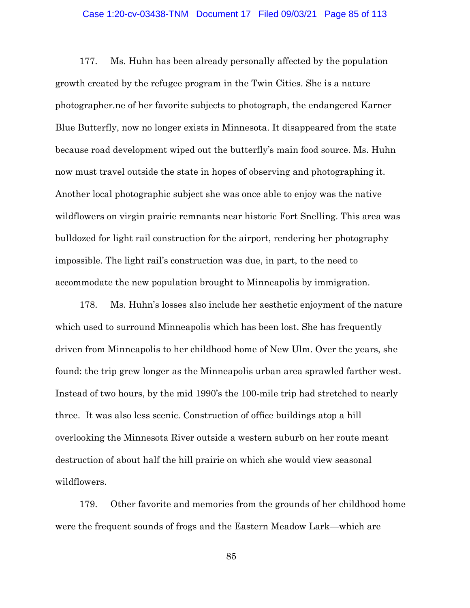## Case 1:20-cv-03438-TNM Document 17 Filed 09/03/21 Page 85 of 113

177. Ms. Huhn has been already personally affected by the population growth created by the refugee program in the Twin Cities. She is a nature photographer.ne of her favorite subjects to photograph, the endangered Karner Blue Butterfly, now no longer exists in Minnesota. It disappeared from the state because road development wiped out the butterfly's main food source. Ms. Huhn now must travel outside the state in hopes of observing and photographing it. Another local photographic subject she was once able to enjoy was the native wildflowers on virgin prairie remnants near historic Fort Snelling. This area was bulldozed for light rail construction for the airport, rendering her photography impossible. The light rail's construction was due, in part, to the need to accommodate the new population brought to Minneapolis by immigration.

178. Ms. Huhn's losses also include her aesthetic enjoyment of the nature which used to surround Minneapolis which has been lost. She has frequently driven from Minneapolis to her childhood home of New Ulm. Over the years, she found: the trip grew longer as the Minneapolis urban area sprawled farther west. Instead of two hours, by the mid 1990's the 100-mile trip had stretched to nearly three. It was also less scenic. Construction of office buildings atop a hill overlooking the Minnesota River outside a western suburb on her route meant destruction of about half the hill prairie on which she would view seasonal wildflowers.

179. Other favorite and memories from the grounds of her childhood home were the frequent sounds of frogs and the Eastern Meadow Lark—which are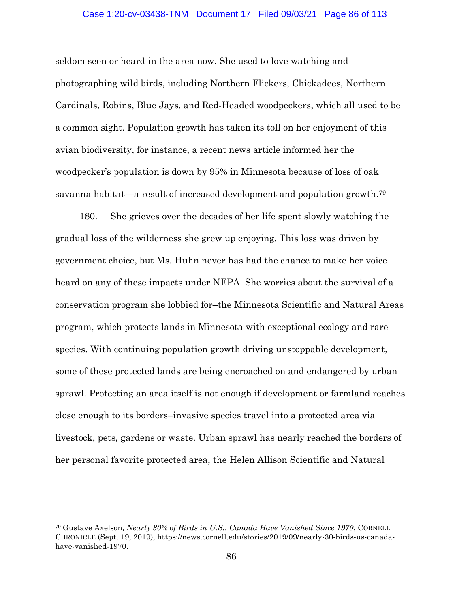## Case 1:20-cv-03438-TNM Document 17 Filed 09/03/21 Page 86 of 113

seldom seen or heard in the area now. She used to love watching and photographing wild birds, including Northern Flickers, Chickadees, Northern Cardinals, Robins, Blue Jays, and Red-Headed woodpeckers, which all used to be a common sight. Population growth has taken its toll on her enjoyment of this avian biodiversity, for instance, a recent news article informed her the woodpecker's population is down by 95% in Minnesota because of loss of oak savanna habitat—a result of increased development and population growth.[79](#page-85-0)

180. She grieves over the decades of her life spent slowly watching the gradual loss of the wilderness she grew up enjoying. This loss was driven by government choice, but Ms. Huhn never has had the chance to make her voice heard on any of these impacts under NEPA. She worries about the survival of a conservation program she lobbied for–the Minnesota Scientific and Natural Areas program, which protects lands in Minnesota with exceptional ecology and rare species. With continuing population growth driving unstoppable development, some of these protected lands are being encroached on and endangered by urban sprawl. Protecting an area itself is not enough if development or farmland reaches close enough to its borders–invasive species travel into a protected area via livestock, pets, gardens or waste. Urban sprawl has nearly reached the borders of her personal favorite protected area, the Helen Allison Scientific and Natural

 $\overline{a}$ 

<span id="page-85-0"></span><sup>79</sup> Gustave Axelson*, Nearly 30% of Birds in U.S., Canada Have Vanished Since 1970*, CORNELL CHRONICLE (Sept. 19, 2019), https://news.cornell.edu/stories/2019/09/nearly-30-birds-us-canadahave-vanished-1970.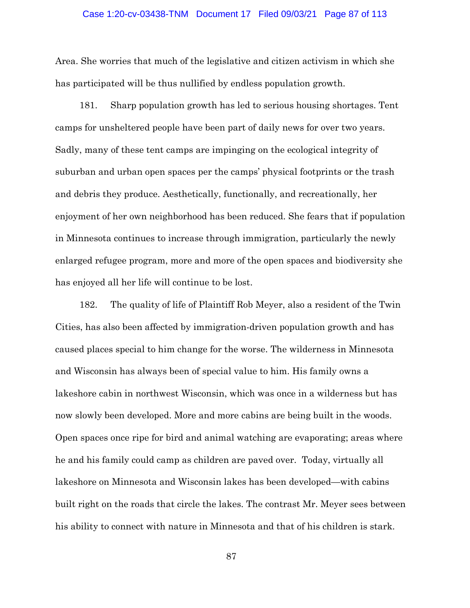#### Case 1:20-cv-03438-TNM Document 17 Filed 09/03/21 Page 87 of 113

Area. She worries that much of the legislative and citizen activism in which she has participated will be thus nullified by endless population growth.

181. Sharp population growth has led to serious housing shortages. Tent camps for unsheltered people have been part of daily news for over two years. Sadly, many of these tent camps are impinging on the ecological integrity of suburban and urban open spaces per the camps' physical footprints or the trash and debris they produce. Aesthetically, functionally, and recreationally, her enjoyment of her own neighborhood has been reduced. She fears that if population in Minnesota continues to increase through immigration, particularly the newly enlarged refugee program, more and more of the open spaces and biodiversity she has enjoyed all her life will continue to be lost.

182. The quality of life of Plaintiff Rob Meyer, also a resident of the Twin Cities, has also been affected by immigration-driven population growth and has caused places special to him change for the worse. The wilderness in Minnesota and Wisconsin has always been of special value to him. His family owns a lakeshore cabin in northwest Wisconsin, which was once in a wilderness but has now slowly been developed. More and more cabins are being built in the woods. Open spaces once ripe for bird and animal watching are evaporating; areas where he and his family could camp as children are paved over. Today, virtually all lakeshore on Minnesota and Wisconsin lakes has been developed—with cabins built right on the roads that circle the lakes. The contrast Mr. Meyer sees between his ability to connect with nature in Minnesota and that of his children is stark.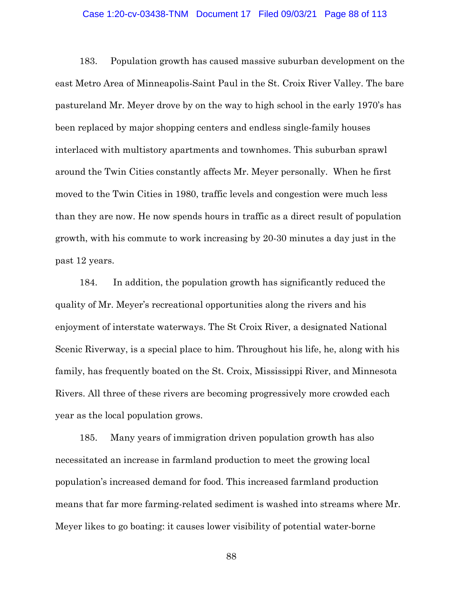## Case 1:20-cv-03438-TNM Document 17 Filed 09/03/21 Page 88 of 113

183. Population growth has caused massive suburban development on the east Metro Area of Minneapolis-Saint Paul in the St. Croix River Valley. The bare pastureland Mr. Meyer drove by on the way to high school in the early 1970's has been replaced by major shopping centers and endless single-family houses interlaced with multistory apartments and townhomes. This suburban sprawl around the Twin Cities constantly affects Mr. Meyer personally. When he first moved to the Twin Cities in 1980, traffic levels and congestion were much less than they are now. He now spends hours in traffic as a direct result of population growth, with his commute to work increasing by 20-30 minutes a day just in the past 12 years.

184. In addition, the population growth has significantly reduced the quality of Mr. Meyer's recreational opportunities along the rivers and his enjoyment of interstate waterways. The St Croix River, a designated National Scenic Riverway, is a special place to him. Throughout his life, he, along with his family, has frequently boated on the St. Croix, Mississippi River, and Minnesota Rivers. All three of these rivers are becoming progressively more crowded each year as the local population grows.

185. Many years of immigration driven population growth has also necessitated an increase in farmland production to meet the growing local population's increased demand for food. This increased farmland production means that far more farming-related sediment is washed into streams where Mr. Meyer likes to go boating: it causes lower visibility of potential water-borne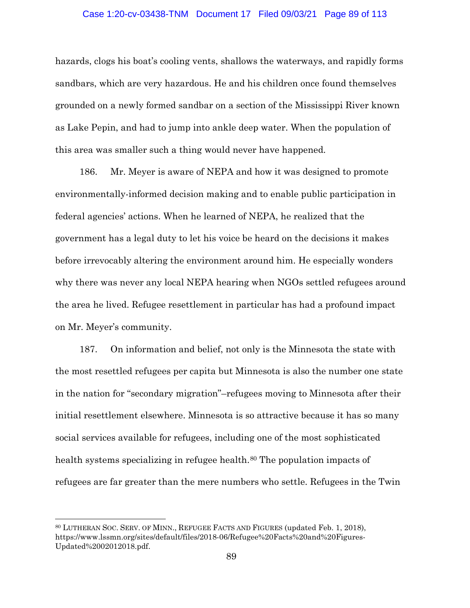## Case 1:20-cv-03438-TNM Document 17 Filed 09/03/21 Page 89 of 113

hazards, clogs his boat's cooling vents, shallows the waterways, and rapidly forms sandbars, which are very hazardous. He and his children once found themselves grounded on a newly formed sandbar on a section of the Mississippi River known as Lake Pepin, and had to jump into ankle deep water. When the population of this area was smaller such a thing would never have happened.

186. Mr. Meyer is aware of NEPA and how it was designed to promote environmentally-informed decision making and to enable public participation in federal agencies' actions. When he learned of NEPA, he realized that the government has a legal duty to let his voice be heard on the decisions it makes before irrevocably altering the environment around him. He especially wonders why there was never any local NEPA hearing when NGOs settled refugees around the area he lived. Refugee resettlement in particular has had a profound impact on Mr. Meyer's community.

187. On information and belief, not only is the Minnesota the state with the most resettled refugees per capita but Minnesota is also the number one state in the nation for "secondary migration"–refugees moving to Minnesota after their initial resettlement elsewhere. Minnesota is so attractive because it has so many social services available for refugees, including one of the most sophisticated health systems specializing in refugee health.<sup>[80](#page-88-0)</sup> The population impacts of refugees are far greater than the mere numbers who settle. Refugees in the Twin

 $\overline{a}$ 

<span id="page-88-0"></span><sup>80</sup> LUTHERAN SOC. SERV. OF MINN., REFUGEE FACTS AND FIGURES (updated Feb. 1, 2018), https://www.lssmn.org/sites/default/files/2018-06/Refugee%20Facts%20and%20Figures-Updated%2002012018.pdf.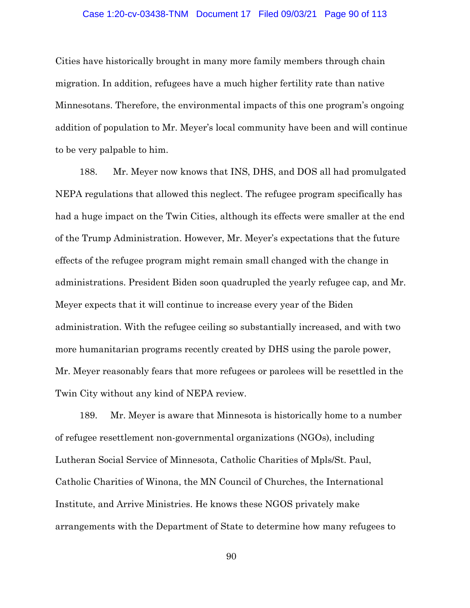## Case 1:20-cv-03438-TNM Document 17 Filed 09/03/21 Page 90 of 113

Cities have historically brought in many more family members through chain migration. In addition, refugees have a much higher fertility rate than native Minnesotans. Therefore, the environmental impacts of this one program's ongoing addition of population to Mr. Meyer's local community have been and will continue to be very palpable to him.

188. Mr. Meyer now knows that INS, DHS, and DOS all had promulgated NEPA regulations that allowed this neglect. The refugee program specifically has had a huge impact on the Twin Cities, although its effects were smaller at the end of the Trump Administration. However, Mr. Meyer's expectations that the future effects of the refugee program might remain small changed with the change in administrations. President Biden soon quadrupled the yearly refugee cap, and Mr. Meyer expects that it will continue to increase every year of the Biden administration. With the refugee ceiling so substantially increased, and with two more humanitarian programs recently created by DHS using the parole power, Mr. Meyer reasonably fears that more refugees or parolees will be resettled in the Twin City without any kind of NEPA review.

189. Mr. Meyer is aware that Minnesota is historically home to a number of refugee resettlement non-governmental organizations (NGOs), including Lutheran Social Service of Minnesota, Catholic Charities of Mpls/St. Paul, Catholic Charities of Winona, the MN Council of Churches, the International Institute, and Arrive Ministries. He knows these NGOS privately make arrangements with the Department of State to determine how many refugees to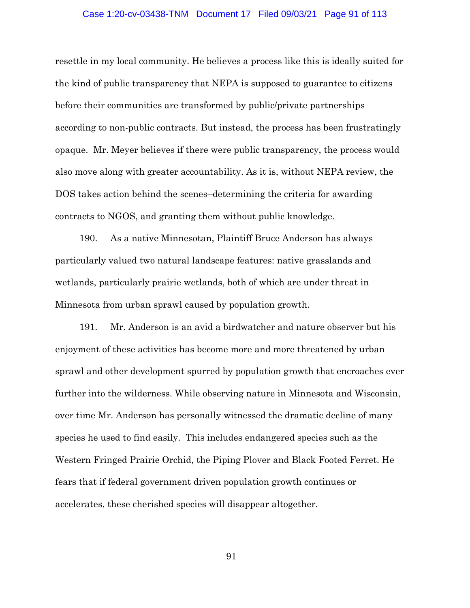#### Case 1:20-cv-03438-TNM Document 17 Filed 09/03/21 Page 91 of 113

resettle in my local community. He believes a process like this is ideally suited for the kind of public transparency that NEPA is supposed to guarantee to citizens before their communities are transformed by public/private partnerships according to non-public contracts. But instead, the process has been frustratingly opaque. Mr. Meyer believes if there were public transparency, the process would also move along with greater accountability. As it is, without NEPA review, the DOS takes action behind the scenes–determining the criteria for awarding contracts to NGOS, and granting them without public knowledge.

190. As a native Minnesotan, Plaintiff Bruce Anderson has always particularly valued two natural landscape features: native grasslands and wetlands, particularly prairie wetlands, both of which are under threat in Minnesota from urban sprawl caused by population growth.

191. Mr. Anderson is an avid a birdwatcher and nature observer but his enjoyment of these activities has become more and more threatened by urban sprawl and other development spurred by population growth that encroaches ever further into the wilderness. While observing nature in Minnesota and Wisconsin, over time Mr. Anderson has personally witnessed the dramatic decline of many species he used to find easily. This includes endangered species such as the Western Fringed Prairie Orchid, the Piping Plover and Black Footed Ferret. He fears that if federal government driven population growth continues or accelerates, these cherished species will disappear altogether.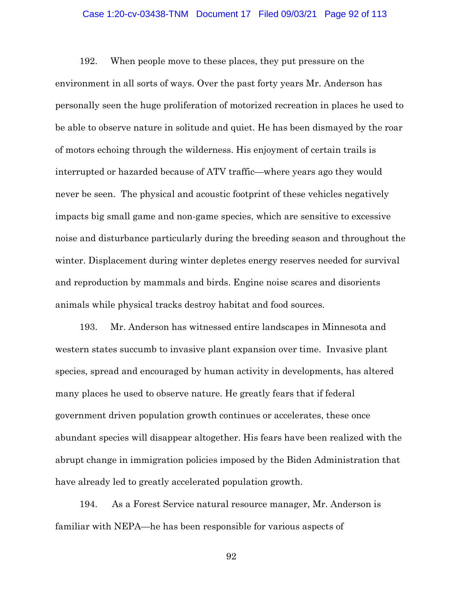## Case 1:20-cv-03438-TNM Document 17 Filed 09/03/21 Page 92 of 113

192. When people move to these places, they put pressure on the environment in all sorts of ways. Over the past forty years Mr. Anderson has personally seen the huge proliferation of motorized recreation in places he used to be able to observe nature in solitude and quiet. He has been dismayed by the roar of motors echoing through the wilderness. His enjoyment of certain trails is interrupted or hazarded because of ATV traffic—where years ago they would never be seen. The physical and acoustic footprint of these vehicles negatively impacts big small game and non-game species, which are sensitive to excessive noise and disturbance particularly during the breeding season and throughout the winter. Displacement during winter depletes energy reserves needed for survival and reproduction by mammals and birds. Engine noise scares and disorients animals while physical tracks destroy habitat and food sources.

193. Mr. Anderson has witnessed entire landscapes in Minnesota and western states succumb to invasive plant expansion over time. Invasive plant species, spread and encouraged by human activity in developments, has altered many places he used to observe nature. He greatly fears that if federal government driven population growth continues or accelerates, these once abundant species will disappear altogether. His fears have been realized with the abrupt change in immigration policies imposed by the Biden Administration that have already led to greatly accelerated population growth.

194. As a Forest Service natural resource manager, Mr. Anderson is familiar with NEPA—he has been responsible for various aspects of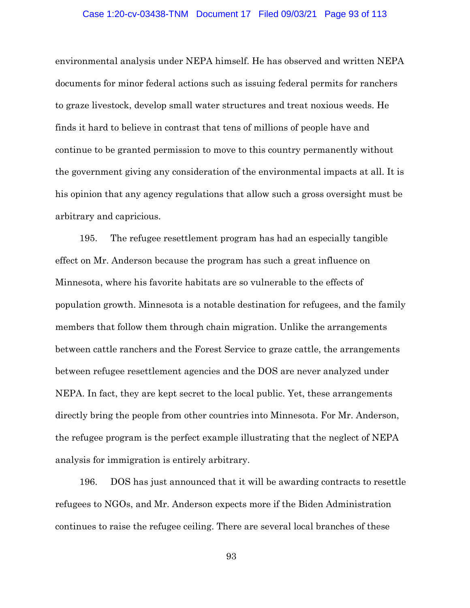## Case 1:20-cv-03438-TNM Document 17 Filed 09/03/21 Page 93 of 113

environmental analysis under NEPA himself. He has observed and written NEPA documents for minor federal actions such as issuing federal permits for ranchers to graze livestock, develop small water structures and treat noxious weeds. He finds it hard to believe in contrast that tens of millions of people have and continue to be granted permission to move to this country permanently without the government giving any consideration of the environmental impacts at all. It is his opinion that any agency regulations that allow such a gross oversight must be arbitrary and capricious.

195. The refugee resettlement program has had an especially tangible effect on Mr. Anderson because the program has such a great influence on Minnesota, where his favorite habitats are so vulnerable to the effects of population growth. Minnesota is a notable destination for refugees, and the family members that follow them through chain migration. Unlike the arrangements between cattle ranchers and the Forest Service to graze cattle, the arrangements between refugee resettlement agencies and the DOS are never analyzed under NEPA. In fact, they are kept secret to the local public. Yet, these arrangements directly bring the people from other countries into Minnesota. For Mr. Anderson, the refugee program is the perfect example illustrating that the neglect of NEPA analysis for immigration is entirely arbitrary.

196. DOS has just announced that it will be awarding contracts to resettle refugees to NGOs, and Mr. Anderson expects more if the Biden Administration continues to raise the refugee ceiling. There are several local branches of these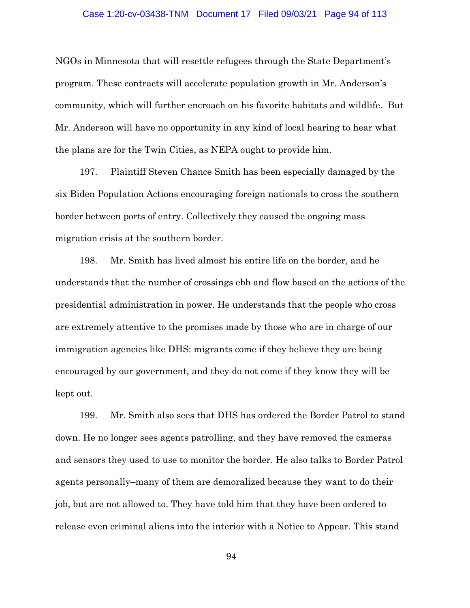#### Case 1:20-cv-03438-TNM Document 17 Filed 09/03/21 Page 94 of 113

NGOs in Minnesota that will resettle refugees through the State Department's program. These contracts will accelerate population growth in Mr. Anderson's community, which will further encroach on his favorite habitats and wildlife. But Mr. Anderson will have no opportunity in any kind of local hearing to hear what the plans are for the Twin Cities, as NEPA ought to provide him.

197. Plaintiff Steven Chance Smith has been especially damaged by the six Biden Population Actions encouraging foreign nationals to cross the southern border between ports of entry. Collectively they caused the ongoing mass migration crisis at the southern border.

198. Mr. Smith has lived almost his entire life on the border, and he understands that the number of crossings ebb and flow based on the actions of the presidential administration in power. He understands that the people who cross are extremely attentive to the promises made by those who are in charge of our immigration agencies like DHS: migrants come if they believe they are being encouraged by our government, and they do not come if they know they will be kept out.

199. Mr. Smith also sees that DHS has ordered the Border Patrol to stand down. He no longer sees agents patrolling, and they have removed the cameras and sensors they used to use to monitor the border. He also talks to Border Patrol agents personally–many of them are demoralized because they want to do their job, but are not allowed to. They have told him that they have been ordered to release even criminal aliens into the interior with a Notice to Appear. This stand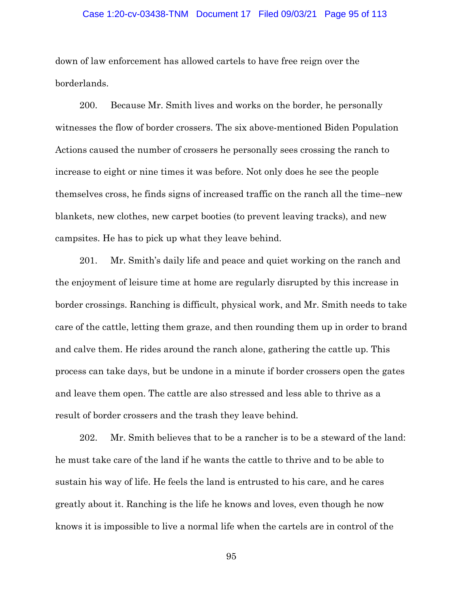### Case 1:20-cv-03438-TNM Document 17 Filed 09/03/21 Page 95 of 113

down of law enforcement has allowed cartels to have free reign over the borderlands.

200. Because Mr. Smith lives and works on the border, he personally witnesses the flow of border crossers. The six above-mentioned Biden Population Actions caused the number of crossers he personally sees crossing the ranch to increase to eight or nine times it was before. Not only does he see the people themselves cross, he finds signs of increased traffic on the ranch all the time–new blankets, new clothes, new carpet booties (to prevent leaving tracks), and new campsites. He has to pick up what they leave behind.

201. Mr. Smith's daily life and peace and quiet working on the ranch and the enjoyment of leisure time at home are regularly disrupted by this increase in border crossings. Ranching is difficult, physical work, and Mr. Smith needs to take care of the cattle, letting them graze, and then rounding them up in order to brand and calve them. He rides around the ranch alone, gathering the cattle up. This process can take days, but be undone in a minute if border crossers open the gates and leave them open. The cattle are also stressed and less able to thrive as a result of border crossers and the trash they leave behind.

202. Mr. Smith believes that to be a rancher is to be a steward of the land: he must take care of the land if he wants the cattle to thrive and to be able to sustain his way of life. He feels the land is entrusted to his care, and he cares greatly about it. Ranching is the life he knows and loves, even though he now knows it is impossible to live a normal life when the cartels are in control of the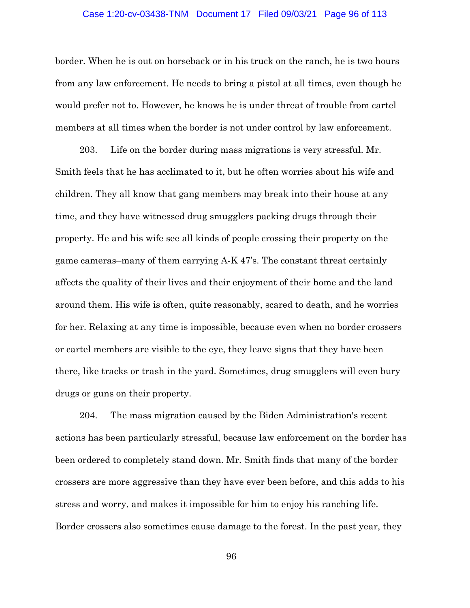### Case 1:20-cv-03438-TNM Document 17 Filed 09/03/21 Page 96 of 113

border. When he is out on horseback or in his truck on the ranch, he is two hours from any law enforcement. He needs to bring a pistol at all times, even though he would prefer not to. However, he knows he is under threat of trouble from cartel members at all times when the border is not under control by law enforcement.

203. Life on the border during mass migrations is very stressful. Mr. Smith feels that he has acclimated to it, but he often worries about his wife and children. They all know that gang members may break into their house at any time, and they have witnessed drug smugglers packing drugs through their property. He and his wife see all kinds of people crossing their property on the game cameras–many of them carrying A-K 47's. The constant threat certainly affects the quality of their lives and their enjoyment of their home and the land around them. His wife is often, quite reasonably, scared to death, and he worries for her. Relaxing at any time is impossible, because even when no border crossers or cartel members are visible to the eye, they leave signs that they have been there, like tracks or trash in the yard. Sometimes, drug smugglers will even bury drugs or guns on their property.

204. The mass migration caused by the Biden Administration's recent actions has been particularly stressful, because law enforcement on the border has been ordered to completely stand down. Mr. Smith finds that many of the border crossers are more aggressive than they have ever been before, and this adds to his stress and worry, and makes it impossible for him to enjoy his ranching life. Border crossers also sometimes cause damage to the forest. In the past year, they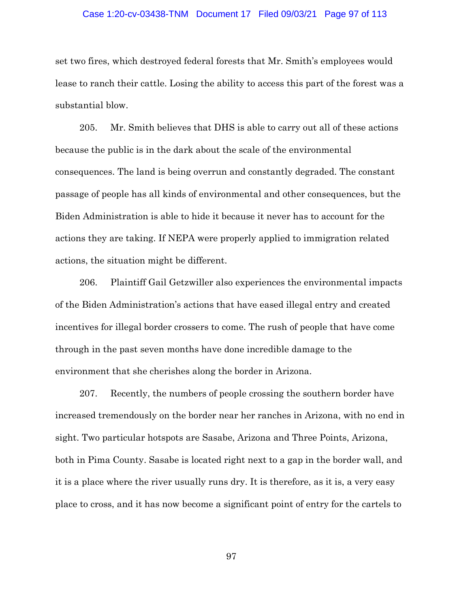#### Case 1:20-cv-03438-TNM Document 17 Filed 09/03/21 Page 97 of 113

set two fires, which destroyed federal forests that Mr. Smith's employees would lease to ranch their cattle. Losing the ability to access this part of the forest was a substantial blow.

205. Mr. Smith believes that DHS is able to carry out all of these actions because the public is in the dark about the scale of the environmental consequences. The land is being overrun and constantly degraded. The constant passage of people has all kinds of environmental and other consequences, but the Biden Administration is able to hide it because it never has to account for the actions they are taking. If NEPA were properly applied to immigration related actions, the situation might be different.

206. Plaintiff Gail Getzwiller also experiences the environmental impacts of the Biden Administration's actions that have eased illegal entry and created incentives for illegal border crossers to come. The rush of people that have come through in the past seven months have done incredible damage to the environment that she cherishes along the border in Arizona.

207. Recently, the numbers of people crossing the southern border have increased tremendously on the border near her ranches in Arizona, with no end in sight. Two particular hotspots are Sasabe, Arizona and Three Points, Arizona, both in Pima County. Sasabe is located right next to a gap in the border wall, and it is a place where the river usually runs dry. It is therefore, as it is, a very easy place to cross, and it has now become a significant point of entry for the cartels to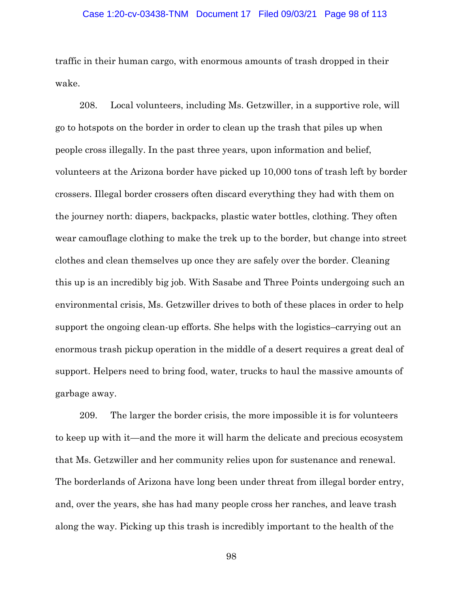## Case 1:20-cv-03438-TNM Document 17 Filed 09/03/21 Page 98 of 113

traffic in their human cargo, with enormous amounts of trash dropped in their wake.

208. Local volunteers, including Ms. Getzwiller, in a supportive role, will go to hotspots on the border in order to clean up the trash that piles up when people cross illegally. In the past three years, upon information and belief, volunteers at the Arizona border have picked up 10,000 tons of trash left by border crossers. Illegal border crossers often discard everything they had with them on the journey north: diapers, backpacks, plastic water bottles, clothing. They often wear camouflage clothing to make the trek up to the border, but change into street clothes and clean themselves up once they are safely over the border. Cleaning this up is an incredibly big job. With Sasabe and Three Points undergoing such an environmental crisis, Ms. Getzwiller drives to both of these places in order to help support the ongoing clean-up efforts. She helps with the logistics–carrying out an enormous trash pickup operation in the middle of a desert requires a great deal of support. Helpers need to bring food, water, trucks to haul the massive amounts of garbage away.

209. The larger the border crisis, the more impossible it is for volunteers to keep up with it—and the more it will harm the delicate and precious ecosystem that Ms. Getzwiller and her community relies upon for sustenance and renewal. The borderlands of Arizona have long been under threat from illegal border entry, and, over the years, she has had many people cross her ranches, and leave trash along the way. Picking up this trash is incredibly important to the health of the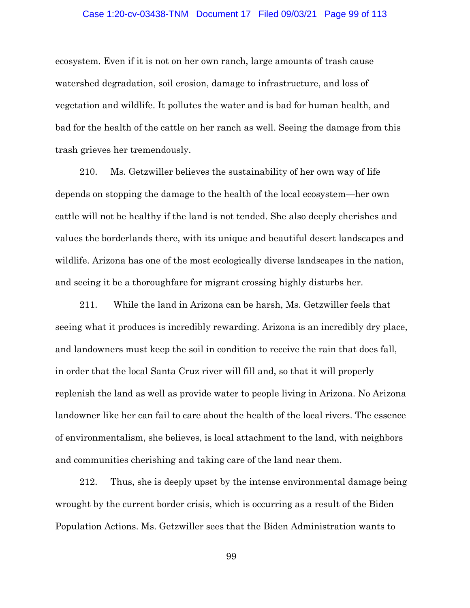### Case 1:20-cv-03438-TNM Document 17 Filed 09/03/21 Page 99 of 113

ecosystem. Even if it is not on her own ranch, large amounts of trash cause watershed degradation, soil erosion, damage to infrastructure, and loss of vegetation and wildlife. It pollutes the water and is bad for human health, and bad for the health of the cattle on her ranch as well. Seeing the damage from this trash grieves her tremendously.

210. Ms. Getzwiller believes the sustainability of her own way of life depends on stopping the damage to the health of the local ecosystem—her own cattle will not be healthy if the land is not tended. She also deeply cherishes and values the borderlands there, with its unique and beautiful desert landscapes and wildlife. Arizona has one of the most ecologically diverse landscapes in the nation, and seeing it be a thoroughfare for migrant crossing highly disturbs her.

211. While the land in Arizona can be harsh, Ms. Getzwiller feels that seeing what it produces is incredibly rewarding. Arizona is an incredibly dry place, and landowners must keep the soil in condition to receive the rain that does fall, in order that the local Santa Cruz river will fill and, so that it will properly replenish the land as well as provide water to people living in Arizona. No Arizona landowner like her can fail to care about the health of the local rivers. The essence of environmentalism, she believes, is local attachment to the land, with neighbors and communities cherishing and taking care of the land near them.

212. Thus, she is deeply upset by the intense environmental damage being wrought by the current border crisis, which is occurring as a result of the Biden Population Actions. Ms. Getzwiller sees that the Biden Administration wants to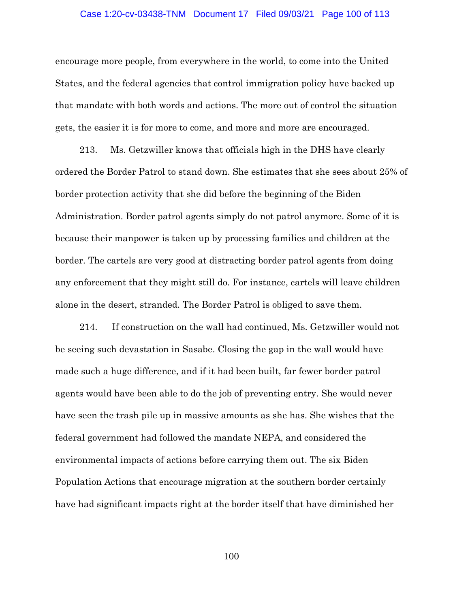#### Case 1:20-cv-03438-TNM Document 17 Filed 09/03/21 Page 100 of 113

encourage more people, from everywhere in the world, to come into the United States, and the federal agencies that control immigration policy have backed up that mandate with both words and actions. The more out of control the situation gets, the easier it is for more to come, and more and more are encouraged.

213. Ms. Getzwiller knows that officials high in the DHS have clearly ordered the Border Patrol to stand down. She estimates that she sees about 25% of border protection activity that she did before the beginning of the Biden Administration. Border patrol agents simply do not patrol anymore. Some of it is because their manpower is taken up by processing families and children at the border. The cartels are very good at distracting border patrol agents from doing any enforcement that they might still do. For instance, cartels will leave children alone in the desert, stranded. The Border Patrol is obliged to save them.

214. If construction on the wall had continued, Ms. Getzwiller would not be seeing such devastation in Sasabe. Closing the gap in the wall would have made such a huge difference, and if it had been built, far fewer border patrol agents would have been able to do the job of preventing entry. She would never have seen the trash pile up in massive amounts as she has. She wishes that the federal government had followed the mandate NEPA, and considered the environmental impacts of actions before carrying them out. The six Biden Population Actions that encourage migration at the southern border certainly have had significant impacts right at the border itself that have diminished her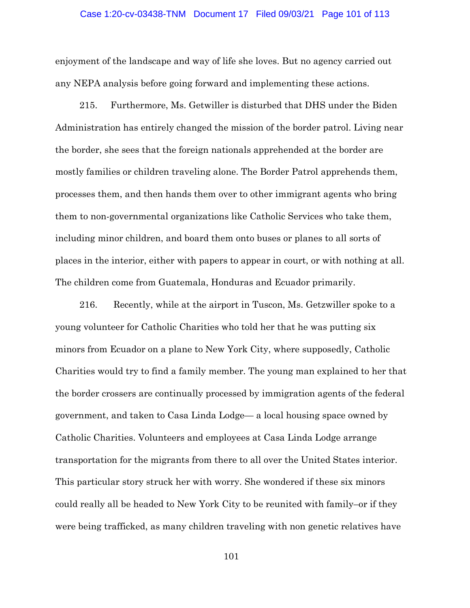#### Case 1:20-cv-03438-TNM Document 17 Filed 09/03/21 Page 101 of 113

enjoyment of the landscape and way of life she loves. But no agency carried out any NEPA analysis before going forward and implementing these actions.

215. Furthermore, Ms. Getwiller is disturbed that DHS under the Biden Administration has entirely changed the mission of the border patrol. Living near the border, she sees that the foreign nationals apprehended at the border are mostly families or children traveling alone. The Border Patrol apprehends them, processes them, and then hands them over to other immigrant agents who bring them to non-governmental organizations like Catholic Services who take them, including minor children, and board them onto buses or planes to all sorts of places in the interior, either with papers to appear in court, or with nothing at all. The children come from Guatemala, Honduras and Ecuador primarily.

216. Recently, while at the airport in Tuscon, Ms. Getzwiller spoke to a young volunteer for Catholic Charities who told her that he was putting six minors from Ecuador on a plane to New York City, where supposedly, Catholic Charities would try to find a family member. The young man explained to her that the border crossers are continually processed by immigration agents of the federal government, and taken to Casa Linda Lodge— a local housing space owned by Catholic Charities. Volunteers and employees at Casa Linda Lodge arrange transportation for the migrants from there to all over the United States interior. This particular story struck her with worry. She wondered if these six minors could really all be headed to New York City to be reunited with family–or if they were being trafficked, as many children traveling with non genetic relatives have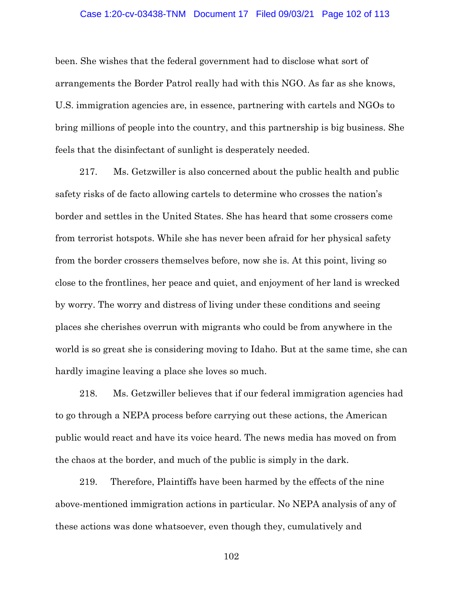#### Case 1:20-cv-03438-TNM Document 17 Filed 09/03/21 Page 102 of 113

been. She wishes that the federal government had to disclose what sort of arrangements the Border Patrol really had with this NGO. As far as she knows, U.S. immigration agencies are, in essence, partnering with cartels and NGOs to bring millions of people into the country, and this partnership is big business. She feels that the disinfectant of sunlight is desperately needed.

217. Ms. Getzwiller is also concerned about the public health and public safety risks of de facto allowing cartels to determine who crosses the nation's border and settles in the United States. She has heard that some crossers come from terrorist hotspots. While she has never been afraid for her physical safety from the border crossers themselves before, now she is. At this point, living so close to the frontlines, her peace and quiet, and enjoyment of her land is wrecked by worry. The worry and distress of living under these conditions and seeing places she cherishes overrun with migrants who could be from anywhere in the world is so great she is considering moving to Idaho. But at the same time, she can hardly imagine leaving a place she loves so much.

218. Ms. Getzwiller believes that if our federal immigration agencies had to go through a NEPA process before carrying out these actions, the American public would react and have its voice heard. The news media has moved on from the chaos at the border, and much of the public is simply in the dark.

219. Therefore, Plaintiffs have been harmed by the effects of the nine above-mentioned immigration actions in particular. No NEPA analysis of any of these actions was done whatsoever, even though they, cumulatively and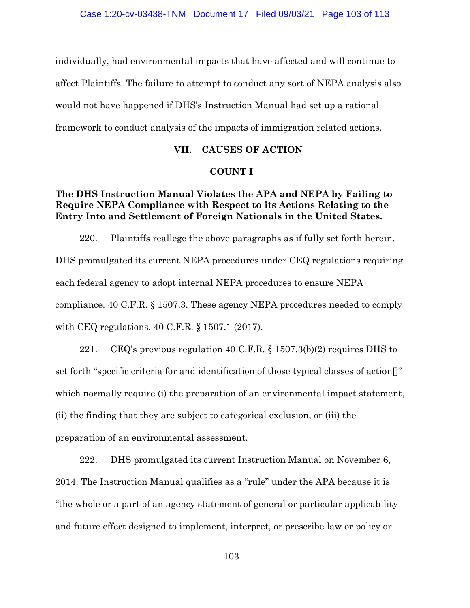individually, had environmental impacts that have affected and will continue to affect Plaintiffs. The failure to attempt to conduct any sort of NEPA analysis also would not have happened if DHS's Instruction Manual had set up a rational framework to conduct analysis of the impacts of immigration related actions.

## **VII. CAUSES OF ACTION**

## **COUNT I**

## **The DHS Instruction Manual Violates the APA and NEPA by Failing to Require NEPA Compliance with Respect to its Actions Relating to the Entry Into and Settlement of Foreign Nationals in the United States.**

220. Plaintiffs reallege the above paragraphs as if fully set forth herein. DHS promulgated its current NEPA procedures under CEQ regulations requiring each federal agency to adopt internal NEPA procedures to ensure NEPA compliance. 40 C.F.R. § 1507.3. These agency NEPA procedures needed to comply with CEQ regulations. 40 C.F.R. § 1507.1 (2017).

221. CEQ's previous regulation 40 C.F.R. § 1507.3(b)(2) requires DHS to set forth "specific criteria for and identification of those typical classes of action[]" which normally require (i) the preparation of an environmental impact statement, (ii) the finding that they are subject to categorical exclusion, or (iii) the preparation of an environmental assessment.

222. DHS promulgated its current Instruction Manual on November 6, 2014. The Instruction Manual qualifies as a "rule" under the APA because it is "the whole or a part of an agency statement of general or particular applicability and future effect designed to implement, interpret, or prescribe law or policy or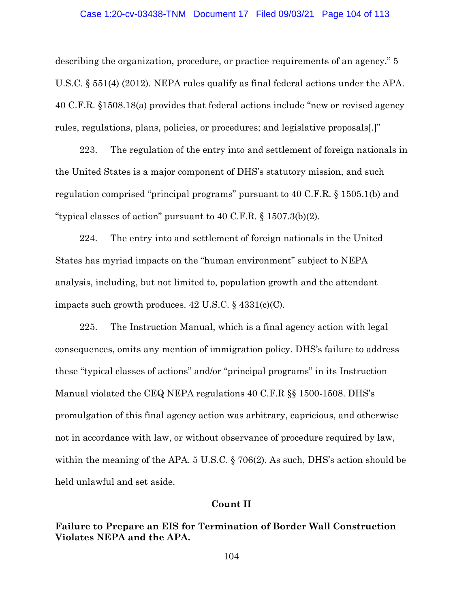## Case 1:20-cv-03438-TNM Document 17 Filed 09/03/21 Page 104 of 113

describing the organization, procedure, or practice requirements of an agency." 5 U.S.C. § 551(4) (2012). NEPA rules qualify as final federal actions under the APA. 40 C.F.R. §1508.18(a) provides that federal actions include "new or revised agency rules, regulations, plans, policies, or procedures; and legislative proposals[.]"

223. The regulation of the entry into and settlement of foreign nationals in the United States is a major component of DHS's statutory mission, and such regulation comprised "principal programs" pursuant to 40 C.F.R. § 1505.1(b) and "typical classes of action" pursuant to 40 C.F.R. § 1507.3(b)(2).

224. The entry into and settlement of foreign nationals in the United States has myriad impacts on the "human environment" subject to NEPA analysis, including, but not limited to, population growth and the attendant impacts such growth produces.  $42 \text{ U.S.C.}$  §  $4331 \text{(c) (C)}$ .

225. The Instruction Manual, which is a final agency action with legal consequences, omits any mention of immigration policy. DHS's failure to address these "typical classes of actions" and/or "principal programs" in its Instruction Manual violated the CEQ NEPA regulations 40 C.F.R §§ 1500-1508. DHS's promulgation of this final agency action was arbitrary, capricious, and otherwise not in accordance with law, or without observance of procedure required by law, within the meaning of the APA. 5 U.S.C. § 706(2). As such, DHS's action should be held unlawful and set aside.

## **Count II**

**Failure to Prepare an EIS for Termination of Border Wall Construction Violates NEPA and the APA.**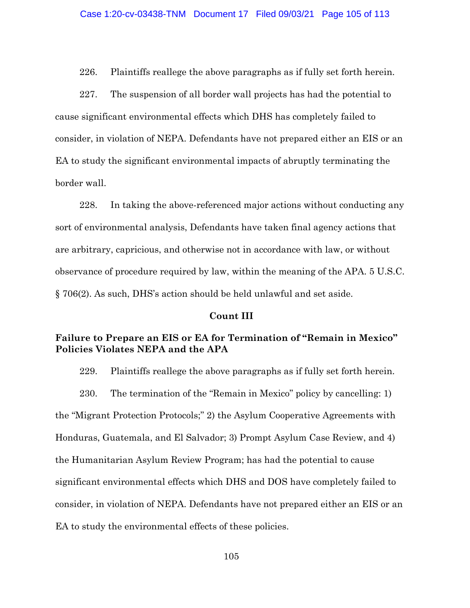226. Plaintiffs reallege the above paragraphs as if fully set forth herein.

227. The suspension of all border wall projects has had the potential to cause significant environmental effects which DHS has completely failed to consider, in violation of NEPA. Defendants have not prepared either an EIS or an EA to study the significant environmental impacts of abruptly terminating the border wall.

228. In taking the above-referenced major actions without conducting any sort of environmental analysis, Defendants have taken final agency actions that are arbitrary, capricious, and otherwise not in accordance with law, or without observance of procedure required by law, within the meaning of the APA. 5 U.S.C. § 706(2). As such, DHS's action should be held unlawful and set aside.

### **Count III**

# **Failure to Prepare an EIS or EA for Termination of "Remain in Mexico" Policies Violates NEPA and the APA**

229. Plaintiffs reallege the above paragraphs as if fully set forth herein.

230. The termination of the "Remain in Mexico" policy by cancelling: 1) the "Migrant Protection Protocols;" 2) the Asylum Cooperative Agreements with Honduras, Guatemala, and El Salvador; 3) Prompt Asylum Case Review, and 4) the Humanitarian Asylum Review Program; has had the potential to cause significant environmental effects which DHS and DOS have completely failed to consider, in violation of NEPA. Defendants have not prepared either an EIS or an EA to study the environmental effects of these policies.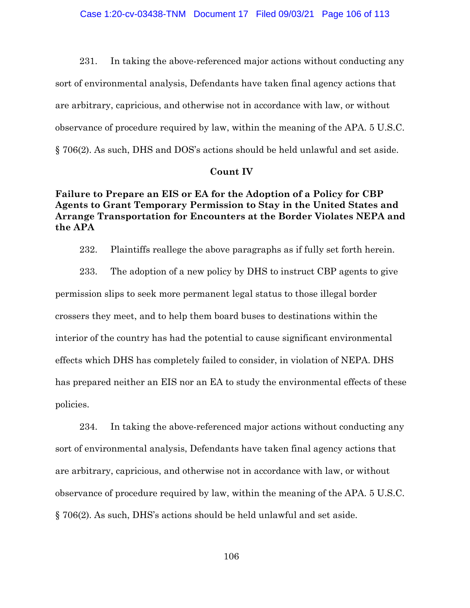231. In taking the above-referenced major actions without conducting any sort of environmental analysis, Defendants have taken final agency actions that are arbitrary, capricious, and otherwise not in accordance with law, or without observance of procedure required by law, within the meaning of the APA. 5 U.S.C. § 706(2). As such, DHS and DOS's actions should be held unlawful and set aside.

## **Count IV**

## **Failure to Prepare an EIS or EA for the Adoption of a Policy for CBP Agents to Grant Temporary Permission to Stay in the United States and Arrange Transportation for Encounters at the Border Violates NEPA and the APA**

232. Plaintiffs reallege the above paragraphs as if fully set forth herein.

233. The adoption of a new policy by DHS to instruct CBP agents to give permission slips to seek more permanent legal status to those illegal border crossers they meet, and to help them board buses to destinations within the interior of the country has had the potential to cause significant environmental effects which DHS has completely failed to consider, in violation of NEPA. DHS has prepared neither an EIS nor an EA to study the environmental effects of these policies.

234. In taking the above-referenced major actions without conducting any sort of environmental analysis, Defendants have taken final agency actions that are arbitrary, capricious, and otherwise not in accordance with law, or without observance of procedure required by law, within the meaning of the APA. 5 U.S.C. § 706(2). As such, DHS's actions should be held unlawful and set aside.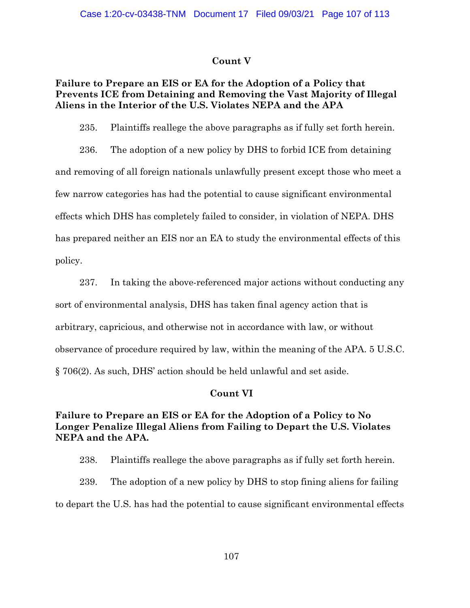## **Count V**

# **Failure to Prepare an EIS or EA for the Adoption of a Policy that Prevents ICE from Detaining and Removing the Vast Majority of Illegal Aliens in the Interior of the U.S. Violates NEPA and the APA**

235. Plaintiffs reallege the above paragraphs as if fully set forth herein.

236. The adoption of a new policy by DHS to forbid ICE from detaining and removing of all foreign nationals unlawfully present except those who meet a few narrow categories has had the potential to cause significant environmental effects which DHS has completely failed to consider, in violation of NEPA. DHS has prepared neither an EIS nor an EA to study the environmental effects of this policy.

237. In taking the above-referenced major actions without conducting any sort of environmental analysis, DHS has taken final agency action that is arbitrary, capricious, and otherwise not in accordance with law, or without observance of procedure required by law, within the meaning of the APA. 5 U.S.C. § 706(2). As such, DHS' action should be held unlawful and set aside.

## **Count VI**

# **Failure to Prepare an EIS or EA for the Adoption of a Policy to No Longer Penalize Illegal Aliens from Failing to Depart the U.S. Violates NEPA and the APA.**

238. Plaintiffs reallege the above paragraphs as if fully set forth herein.

239. The adoption of a new policy by DHS to stop fining aliens for failing to depart the U.S. has had the potential to cause significant environmental effects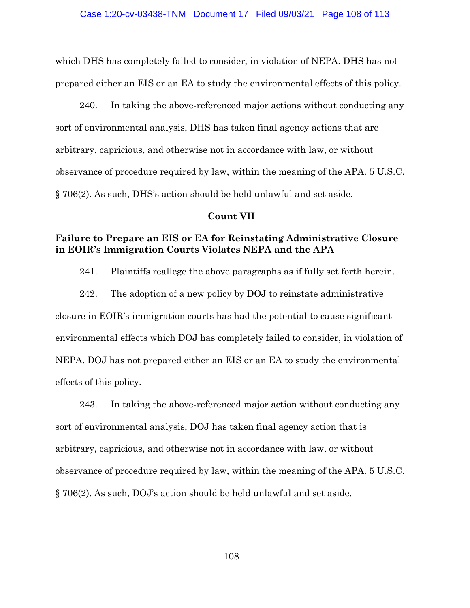which DHS has completely failed to consider, in violation of NEPA. DHS has not prepared either an EIS or an EA to study the environmental effects of this policy.

240. In taking the above-referenced major actions without conducting any sort of environmental analysis, DHS has taken final agency actions that are arbitrary, capricious, and otherwise not in accordance with law, or without observance of procedure required by law, within the meaning of the APA. 5 U.S.C. § 706(2). As such, DHS's action should be held unlawful and set aside.

## **Count VII**

# **Failure to Prepare an EIS or EA for Reinstating Administrative Closure in EOIR's Immigration Courts Violates NEPA and the APA**

241. Plaintiffs reallege the above paragraphs as if fully set forth herein.

242. The adoption of a new policy by DOJ to reinstate administrative closure in EOIR's immigration courts has had the potential to cause significant environmental effects which DOJ has completely failed to consider, in violation of NEPA. DOJ has not prepared either an EIS or an EA to study the environmental effects of this policy.

243. In taking the above-referenced major action without conducting any sort of environmental analysis, DOJ has taken final agency action that is arbitrary, capricious, and otherwise not in accordance with law, or without observance of procedure required by law, within the meaning of the APA. 5 U.S.C. § 706(2). As such, DOJ's action should be held unlawful and set aside.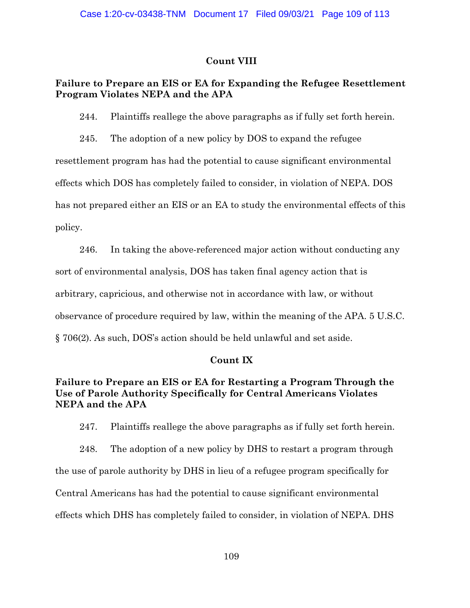### **Count VIII**

# **Failure to Prepare an EIS or EA for Expanding the Refugee Resettlement Program Violates NEPA and the APA**

244. Plaintiffs reallege the above paragraphs as if fully set forth herein.

245. The adoption of a new policy by DOS to expand the refugee resettlement program has had the potential to cause significant environmental effects which DOS has completely failed to consider, in violation of NEPA. DOS has not prepared either an EIS or an EA to study the environmental effects of this policy.

246. In taking the above-referenced major action without conducting any sort of environmental analysis, DOS has taken final agency action that is arbitrary, capricious, and otherwise not in accordance with law, or without observance of procedure required by law, within the meaning of the APA. 5 U.S.C. § 706(2). As such, DOS's action should be held unlawful and set aside.

### **Count IX**

# **Failure to Prepare an EIS or EA for Restarting a Program Through the Use of Parole Authority Specifically for Central Americans Violates NEPA and the APA**

247. Plaintiffs reallege the above paragraphs as if fully set forth herein.

248. The adoption of a new policy by DHS to restart a program through the use of parole authority by DHS in lieu of a refugee program specifically for Central Americans has had the potential to cause significant environmental effects which DHS has completely failed to consider, in violation of NEPA. DHS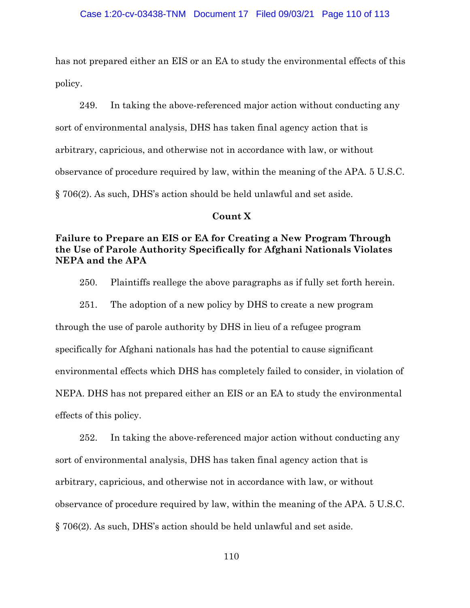has not prepared either an EIS or an EA to study the environmental effects of this policy.

249. In taking the above-referenced major action without conducting any sort of environmental analysis, DHS has taken final agency action that is arbitrary, capricious, and otherwise not in accordance with law, or without observance of procedure required by law, within the meaning of the APA. 5 U.S.C. § 706(2). As such, DHS's action should be held unlawful and set aside.

#### **Count X**

### **Failure to Prepare an EIS or EA for Creating a New Program Through the Use of Parole Authority Specifically for Afghani Nationals Violates NEPA and the APA**

250. Plaintiffs reallege the above paragraphs as if fully set forth herein.

251. The adoption of a new policy by DHS to create a new program through the use of parole authority by DHS in lieu of a refugee program specifically for Afghani nationals has had the potential to cause significant environmental effects which DHS has completely failed to consider, in violation of NEPA. DHS has not prepared either an EIS or an EA to study the environmental effects of this policy.

252. In taking the above-referenced major action without conducting any sort of environmental analysis, DHS has taken final agency action that is arbitrary, capricious, and otherwise not in accordance with law, or without observance of procedure required by law, within the meaning of the APA. 5 U.S.C. § 706(2). As such, DHS's action should be held unlawful and set aside.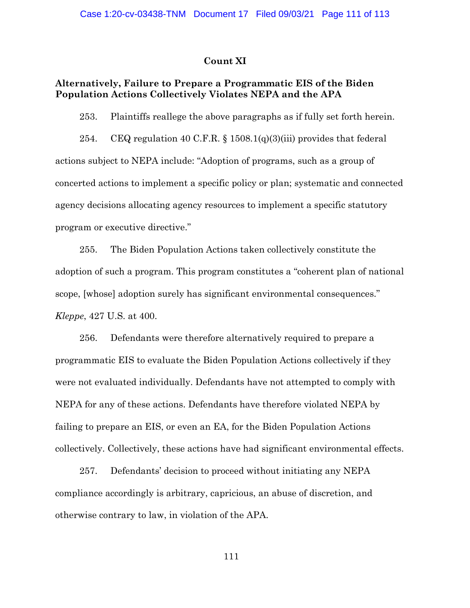#### **Count XI**

### **Alternatively, Failure to Prepare a Programmatic EIS of the Biden Population Actions Collectively Violates NEPA and the APA**

253. Plaintiffs reallege the above paragraphs as if fully set forth herein.

254. CEQ regulation 40 C.F.R.  $\S$  1508.1(q)(3)(iii) provides that federal actions subject to NEPA include: "Adoption of programs, such as a group of concerted actions to implement a specific policy or plan; systematic and connected agency decisions allocating agency resources to implement a specific statutory program or executive directive."

255. The Biden Population Actions taken collectively constitute the adoption of such a program. This program constitutes a "coherent plan of national scope, [whose] adoption surely has significant environmental consequences." *Kleppe*, 427 U.S. at 400.

256. Defendants were therefore alternatively required to prepare a programmatic EIS to evaluate the Biden Population Actions collectively if they were not evaluated individually. Defendants have not attempted to comply with NEPA for any of these actions. Defendants have therefore violated NEPA by failing to prepare an EIS, or even an EA, for the Biden Population Actions collectively. Collectively, these actions have had significant environmental effects.

257. Defendants' decision to proceed without initiating any NEPA compliance accordingly is arbitrary, capricious, an abuse of discretion, and otherwise contrary to law, in violation of the APA.

111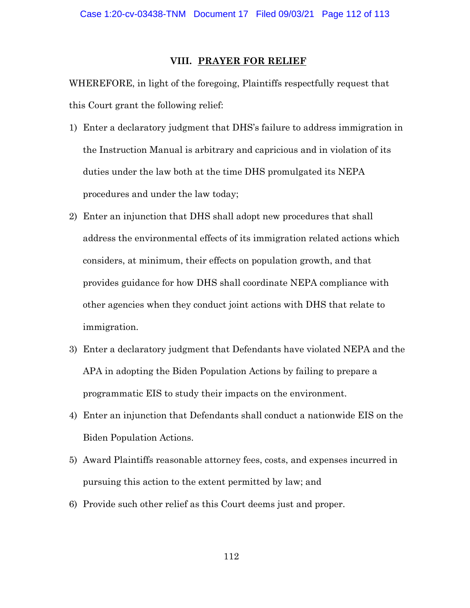#### **VIII. PRAYER FOR RELIEF**

WHEREFORE, in light of the foregoing, Plaintiffs respectfully request that this Court grant the following relief:

- 1) Enter a declaratory judgment that DHS's failure to address immigration in the Instruction Manual is arbitrary and capricious and in violation of its duties under the law both at the time DHS promulgated its NEPA procedures and under the law today;
- 2) Enter an injunction that DHS shall adopt new procedures that shall address the environmental effects of its immigration related actions which considers, at minimum, their effects on population growth, and that provides guidance for how DHS shall coordinate NEPA compliance with other agencies when they conduct joint actions with DHS that relate to immigration.
- 3) Enter a declaratory judgment that Defendants have violated NEPA and the APA in adopting the Biden Population Actions by failing to prepare a programmatic EIS to study their impacts on the environment.
- 4) Enter an injunction that Defendants shall conduct a nationwide EIS on the Biden Population Actions.
- 5) Award Plaintiffs reasonable attorney fees, costs, and expenses incurred in pursuing this action to the extent permitted by law; and
- 6) Provide such other relief as this Court deems just and proper.